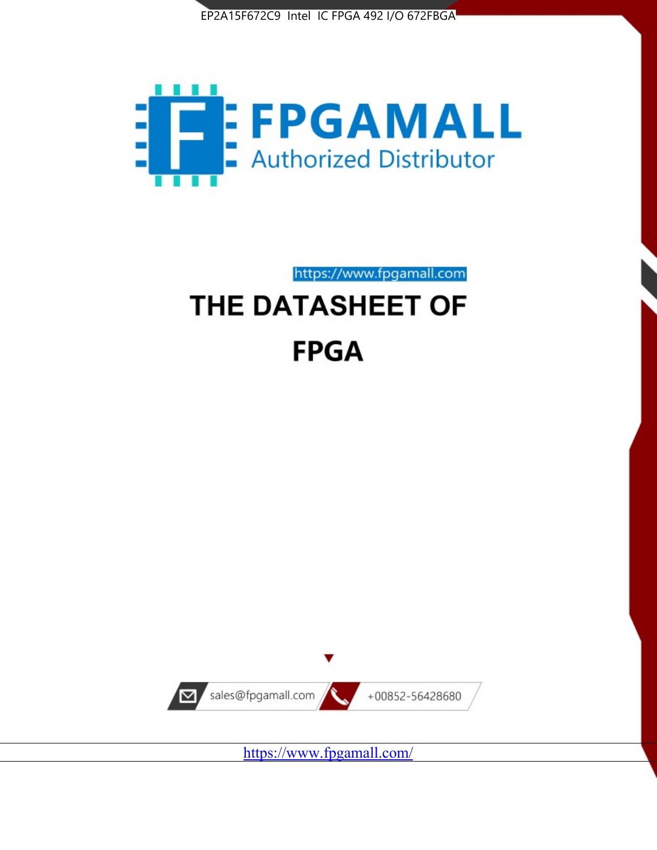



https://www.fpgamall.com

# THE DATASHEET OF **FPGA**



<https://www.fpgamall.com/>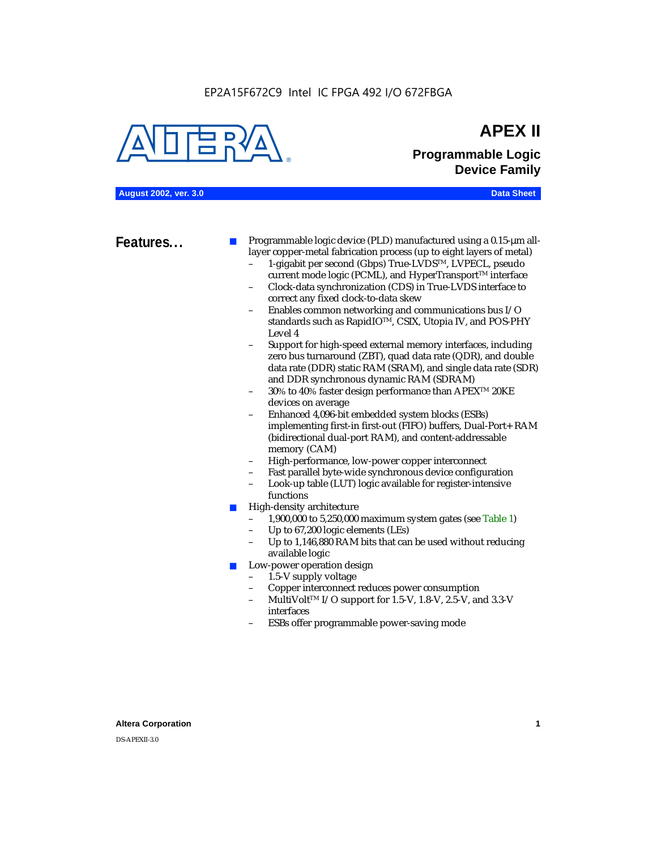#### EP2A15F672C9 Intel IC FPGA 492 I/O 672FBGA



## **APEX II Programmable Logic Device Family**

**August 2002, ver. 3.0 Data Sheet**

**Features...** ■ Programmable logic device (PLD) manufactured using a 0.15-µm alllayer copper-metal fabrication process (up to eight layers of metal)

- 1-gigabit per second (Gbps) True-LVDSTM, LVPECL, pseudo current mode logic (PCML), and HyperTransport<sup>™</sup> interface
- Clock-data synchronization (CDS) in True-LVDS interface to correct any fixed clock-to-data skew
- Enables common networking and communications bus I/O standards such as RapidIOTM, CSIX, Utopia IV, and POS-PHY Level 4
- Support for high-speed external memory interfaces, including zero bus turnaround (ZBT), quad data rate (QDR), and double data rate (DDR) static RAM (SRAM), and single data rate (SDR) and DDR synchronous dynamic RAM (SDRAM)
- 30% to 40% faster design performance than APEX<sup>™</sup> 20KE devices on average
- Enhanced 4,096-bit embedded system blocks (ESBs) implementing first-in first-out (FIFO) buffers, Dual-Port+ RAM (bidirectional dual-port RAM), and content-addressable memory (CAM)
- High-performance, low-power copper interconnect
- Fast parallel byte-wide synchronous device configuration
- Look-up table (LUT) logic available for register-intensive functions
- High-density architecture
	- 1,900,000 to 5,250,000 maximum system gates (see Table 1)
	- Up to 67,200 logic elements (LEs)
	- Up to 1,146,880 RAM bits that can be used without reducing available logic
- Low-power operation design
	- 1.5-V supply voltage
	- Copper interconnect reduces power consumption
	- MultiVolt<sup>™</sup> I/O support for 1.5-V, 1.8-V, 2.5-V, and 3.3-V interfaces
	- ESBs offer programmable power-saving mode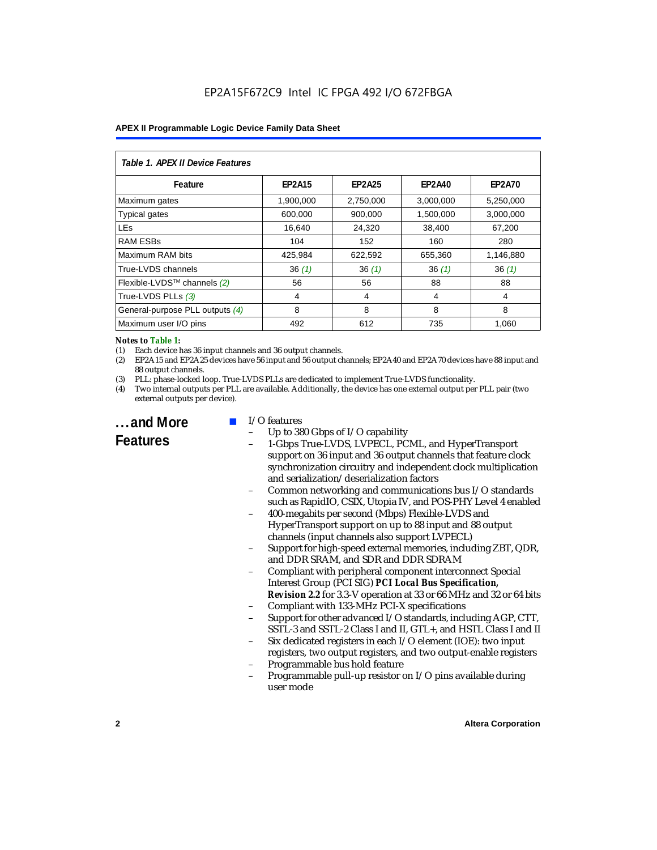| Table 1. APEX II Device Features |               |               |               |               |  |  |
|----------------------------------|---------------|---------------|---------------|---------------|--|--|
| Feature                          | <b>EP2A15</b> | <b>EP2A25</b> | <b>EP2A40</b> | <b>EP2A70</b> |  |  |
| Maximum gates                    | 1,900,000     | 2,750,000     | 3,000,000     | 5,250,000     |  |  |
| <b>Typical gates</b>             | 600,000       | 900,000       | 1,500,000     | 3,000,000     |  |  |
| <b>LEs</b>                       | 16,640        | 24,320        | 38,400        | 67,200        |  |  |
| <b>RAM ESBs</b>                  | 104           | 152           | 160           | 280           |  |  |
| Maximum RAM bits                 | 425,984       | 622,592       | 655,360       | 1,146,880     |  |  |
| True-LVDS channels               | 36(1)         | 36(1)         | 36(1)         | 36(1)         |  |  |
| Flexible-LVDS™ channels (2)      | 56            | 56            | 88            | 88            |  |  |
| True-LVDS PLLs (3)               | 4             | 4             | 4             | 4             |  |  |
| General-purpose PLL outputs (4)  | 8             | 8             | 8             | 8             |  |  |
| Maximum user I/O pins            | 492           | 612           | 735           | 1,060         |  |  |

#### *Notes to Table 1:*

(1) Each device has 36 input channels and 36 output channels.

(2) EP2A15 and EP2A25 devices have 56 input and 56 output channels; EP2A40 and EP2A70 devices have 88 input and 88 output channels.

(3) PLL: phase-locked loop. True-LVDS PLLs are dedicated to implement True-LVDS functionality.

(4) Two internal outputs per PLL are available. Additionally, the device has one external output per PLL pair (two external outputs per device).

**...and More Features**

#### I/O features

- Up to 380 Gbps of I/O capability
- 1-Gbps True-LVDS, LVPECL, PCML, and HyperTransport support on 36 input and 36 output channels that feature clock synchronization circuitry and independent clock multiplication and serialization/deserialization factors
- Common networking and communications bus I/O standards such as RapidIO, CSIX, Utopia IV, and POS-PHY Level 4 enabled
- 400-megabits per second (Mbps) Flexible-LVDS and HyperTransport support on up to 88 input and 88 output channels (input channels also support LVPECL)
- Support for high-speed external memories, including ZBT, QDR, and DDR SRAM, and SDR and DDR SDRAM
- Compliant with peripheral component interconnect Special Interest Group (PCI SIG) *PCI Local Bus Specification, Revision 2.2* for 3.3-V operation at 33 or 66 MHz and 32 or 64 bits
- Compliant with 133-MHz PCI-X specifications
- Support for other advanced I/O standards, including AGP, CTT, SSTL-3 and SSTL-2 Class I and II, GTL+, and HSTL Class I and II
- Six dedicated registers in each I/O element (IOE): two input registers, two output registers, and two output-enable registers
- Programmable bus hold feature
- Programmable pull-up resistor on I/O pins available during user mode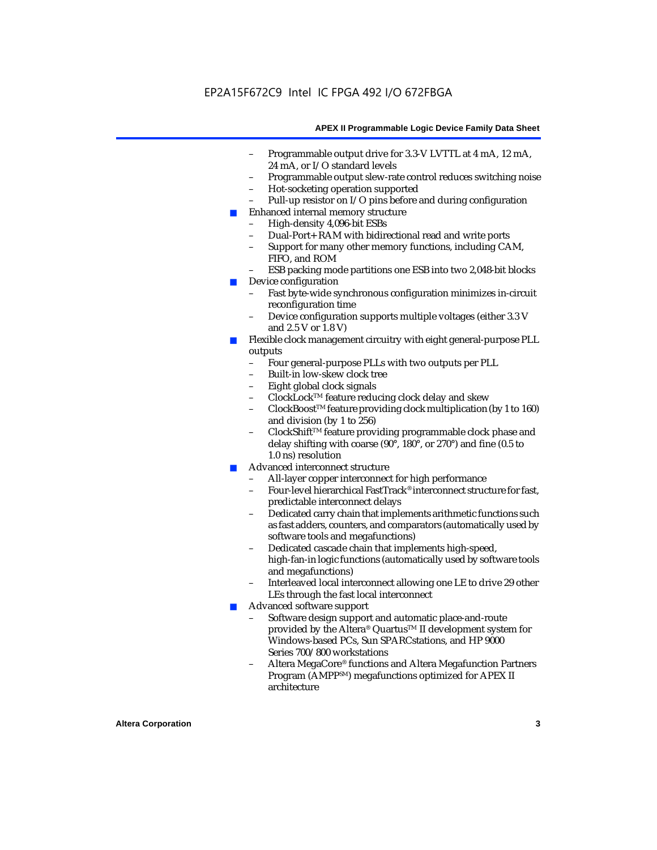- Programmable output drive for 3.3-V LVTTL at 4 mA, 12 mA, 24 mA, or I/O standard levels
- Programmable output slew-rate control reduces switching noise
- Hot-socketing operation supported
- Pull-up resistor on I/O pins before and during configuration
- Enhanced internal memory structure
	- High-density 4,096-bit ESBs
	- Dual-Port+ RAM with bidirectional read and write ports
	- Support for many other memory functions, including CAM, FIFO, and ROM
	- ESB packing mode partitions one ESB into two 2,048-bit blocks
- Device configuration
	- Fast byte-wide synchronous configuration minimizes in-circuit reconfiguration time
	- Device configuration supports multiple voltages (either 3.3 V and 2.5 V or 1.8 V)
- Flexible clock management circuitry with eight general-purpose PLL outputs
	- Four general-purpose PLLs with two outputs per PLL
	- Built-in low-skew clock tree
	- Eight global clock signals
	- ClockLockTM feature reducing clock delay and skew
	- ClockBoostTM feature providing clock multiplication (by 1 to 160) and division (by 1 to 256)
	- ClockShift™ feature providing programmable clock phase and delay shifting with coarse (90°, 180°, or 270°) and fine (0.5 to 1.0 ns) resolution
- Advanced interconnect structure
	- All-layer copper interconnect for high performance
	- Four-level hierarchical FastTrack® interconnect structure for fast, predictable interconnect delays
	- Dedicated carry chain that implements arithmetic functions such as fast adders, counters, and comparators (automatically used by software tools and megafunctions)
	- Dedicated cascade chain that implements high-speed, high-fan-in logic functions (automatically used by software tools and megafunctions)
	- Interleaved local interconnect allowing one LE to drive 29 other LEs through the fast local interconnect
- Advanced software support
	- Software design support and automatic place-and-route provided by the Altera® Quartus<sup>™</sup> II development system for Windows-based PCs, Sun SPARCstations, and HP 9000 Series 700/800 workstations
	- Altera MegaCore® functions and Altera Megafunction Partners Program (AMPPSM) megafunctions optimized for APEX II architecture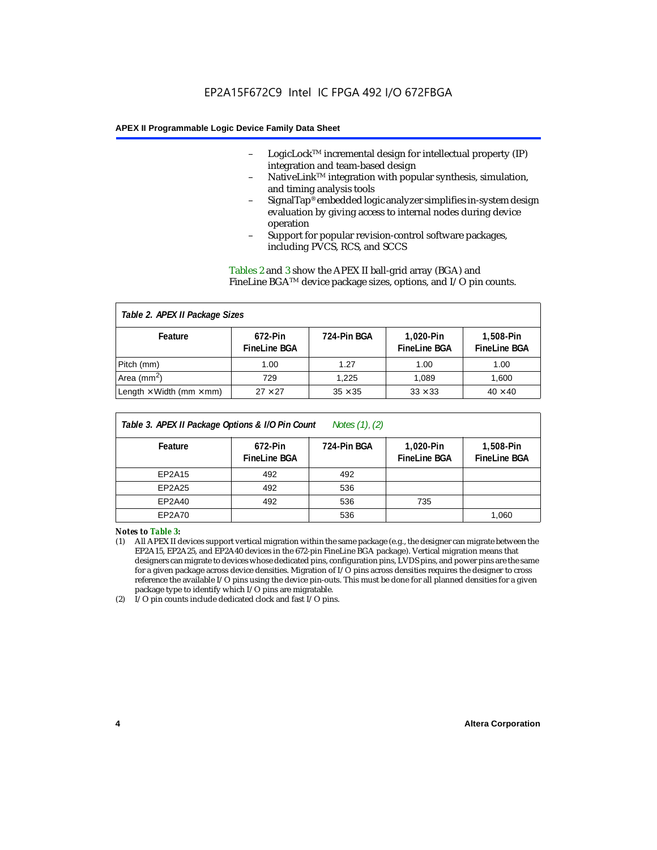- LogicLock<sup>TM</sup> incremental design for intellectual property  $(IP)$ integration and team-based design
- NativeLink™ integration with popular synthesis, simulation, and timing analysis tools
- SignalTap® embedded logic analyzer simplifies in-system design evaluation by giving access to internal nodes during device operation
- Support for popular revision-control software packages, including PVCS, RCS, and SCCS

Tables 2 and 3 show the APEX II ball-grid array (BGA) and FineLine BGATM device package sizes, options, and I/O pin counts.

#### *Table 2. APEX II Package Sizes* **Feature 672-Pin FineLine BGA 724-Pin BGA 1,020-Pin FineLine BGA 1,508-Pin FineLine BGA** Pitch (mm)  $\begin{array}{|c|c|c|c|c|c|c|c|} \hline \text{Pitch (mm)} & \text{1.00} & \text{1.00} & \text{1.00} \ \hline \end{array}$ Area (mm<sup>2</sup>) | 729 | 1,225 | 1,089 | 1,600 Length  $\times$  Width (mm  $\times$  mm)  $\begin{array}{|l|} \hline \end{array}$  27  $\times$  27  $\begin{array}{|l|} \hline \end{array}$  35  $\times$  35  $\begin{array}{|l|} \hline \end{array}$  33  $\times$  33  $\begin{array}{|l|} \hline \end{array}$  40  $\times$  40

| Notes $(1)$ , $(2)$<br>Table 3. APEX II Package Options & I/O Pin Count |                                |             |                                  |                                  |  |
|-------------------------------------------------------------------------|--------------------------------|-------------|----------------------------------|----------------------------------|--|
| Feature                                                                 | 672-Pin<br><b>FineLine BGA</b> | 724-Pin BGA | 1,020-Pin<br><b>FineLine BGA</b> | 1,508-Pin<br><b>FineLine BGA</b> |  |
| EP2A15                                                                  | 492                            | 492         |                                  |                                  |  |
| EP2A25                                                                  | 492                            | 536         |                                  |                                  |  |
| EP2A40                                                                  | 492                            | 536         | 735                              |                                  |  |
| EP2A70                                                                  |                                | 536         |                                  | 1,060                            |  |

*Notes to Table 3:*

(1) All APEX II devices support vertical migration within the same package (e.g., the designer can migrate between the EP2A15, EP2A25, and EP2A40 devices in the 672-pin FineLine BGA package). Vertical migration means that designers can migrate to devices whose dedicated pins, configuration pins, LVDS pins, and power pins are the same for a given package across device densities. Migration of I/O pins across densities requires the designer to cross reference the available I/O pins using the device pin-outs. This must be done for all planned densities for a given package type to identify which I/O pins are migratable.

(2) I/O pin counts include dedicated clock and fast I/O pins.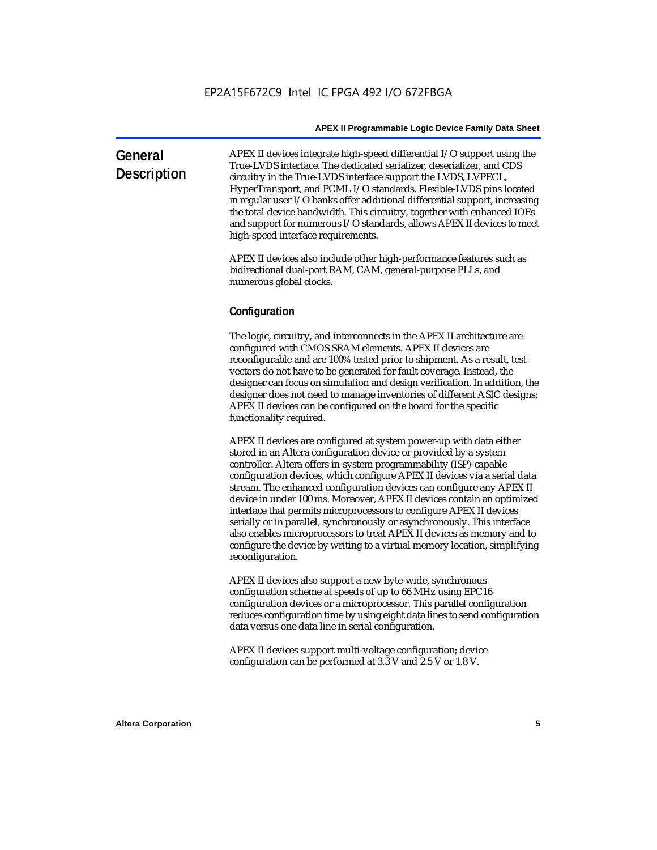| General<br><b>Description</b> | APEX II devices integrate high-speed differential I/O support using the<br>True-LVDS interface. The dedicated serializer, deserializer, and CDS<br>circuitry in the True-LVDS interface support the LVDS, LVPECL,<br>HyperTransport, and PCML I/O standards. Flexible-LVDS pins located<br>in regular user $I/O$ banks offer additional differential support, increasing<br>the total device bandwidth. This circuitry, together with enhanced IOEs<br>and support for numerous I/O standards, allows APEX II devices to meet |
|-------------------------------|-------------------------------------------------------------------------------------------------------------------------------------------------------------------------------------------------------------------------------------------------------------------------------------------------------------------------------------------------------------------------------------------------------------------------------------------------------------------------------------------------------------------------------|
|                               | high-speed interface requirements.                                                                                                                                                                                                                                                                                                                                                                                                                                                                                            |

APEX II devices also include other high-performance features such as bidirectional dual-port RAM, CAM, general-purpose PLLs, and numerous global clocks.

#### **Configuration**

The logic, circuitry, and interconnects in the APEX II architecture are configured with CMOS SRAM elements. APEX II devices are reconfigurable and are 100% tested prior to shipment. As a result, test vectors do not have to be generated for fault coverage. Instead, the designer can focus on simulation and design verification. In addition, the designer does not need to manage inventories of different ASIC designs; APEX II devices can be configured on the board for the specific functionality required.

APEX II devices are configured at system power-up with data either stored in an Altera configuration device or provided by a system controller. Altera offers in-system programmability (ISP)-capable configuration devices, which configure APEX II devices via a serial data stream. The enhanced configuration devices can configure any APEX II device in under 100 ms. Moreover, APEX II devices contain an optimized interface that permits microprocessors to configure APEX II devices serially or in parallel, synchronously or asynchronously. This interface also enables microprocessors to treat APEX II devices as memory and to configure the device by writing to a virtual memory location, simplifying reconfiguration.

APEX II devices also support a new byte-wide, synchronous configuration scheme at speeds of up to 66 MHz using EPC16 configuration devices or a microprocessor. This parallel configuration reduces configuration time by using eight data lines to send configuration data versus one data line in serial configuration.

APEX II devices support multi-voltage configuration; device configuration can be performed at 3.3 V and 2.5 V or 1.8 V.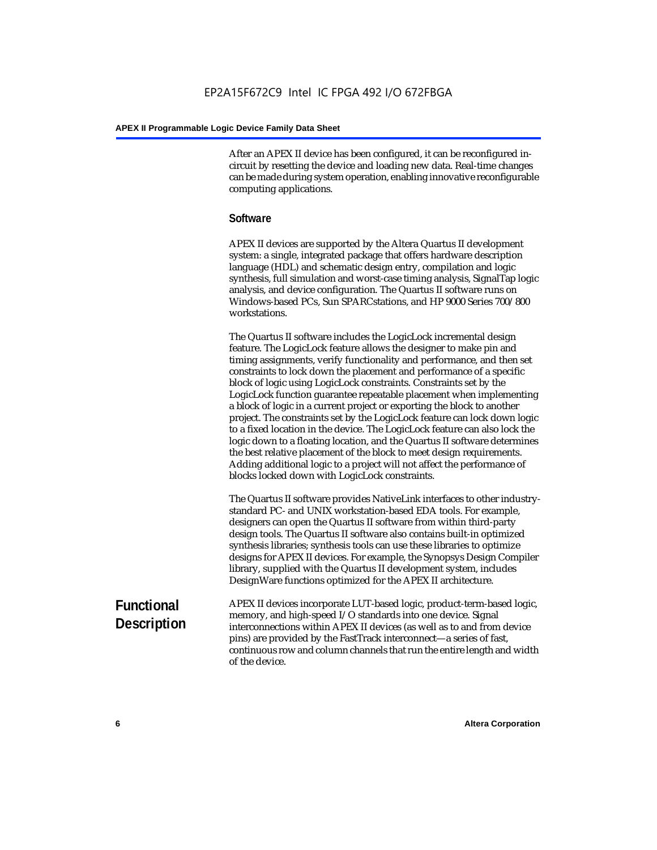After an APEX II device has been configured, it can be reconfigured incircuit by resetting the device and loading new data. Real-time changes can be made during system operation, enabling innovative reconfigurable computing applications.

#### **Software**

APEX II devices are supported by the Altera Quartus II development system: a single, integrated package that offers hardware description language (HDL) and schematic design entry, compilation and logic synthesis, full simulation and worst-case timing analysis, SignalTap logic analysis, and device configuration. The Quartus II software runs on Windows-based PCs, Sun SPARCstations, and HP 9000 Series 700/800 workstations.

The Quartus II software includes the LogicLock incremental design feature. The LogicLock feature allows the designer to make pin and timing assignments, verify functionality and performance, and then set constraints to lock down the placement and performance of a specific block of logic using LogicLock constraints. Constraints set by the LogicLock function guarantee repeatable placement when implementing a block of logic in a current project or exporting the block to another project. The constraints set by the LogicLock feature can lock down logic to a fixed location in the device. The LogicLock feature can also lock the logic down to a floating location, and the Quartus II software determines the best relative placement of the block to meet design requirements. Adding additional logic to a project will not affect the performance of blocks locked down with LogicLock constraints.

The Quartus II software provides NativeLink interfaces to other industrystandard PC- and UNIX workstation-based EDA tools. For example, designers can open the Quartus II software from within third-party design tools. The Quartus II software also contains built-in optimized synthesis libraries; synthesis tools can use these libraries to optimize designs for APEX II devices. For example, the Synopsys Design Compiler library, supplied with the Quartus II development system, includes DesignWare functions optimized for the APEX II architecture.

#### **Functional Description** APEX II devices incorporate LUT-based logic, product-term-based logic, memory, and high-speed I/O standards into one device. Signal interconnections within APEX II devices (as well as to and from device pins) are provided by the FastTrack interconnect—a series of fast, continuous row and column channels that run the entire length and width of the device.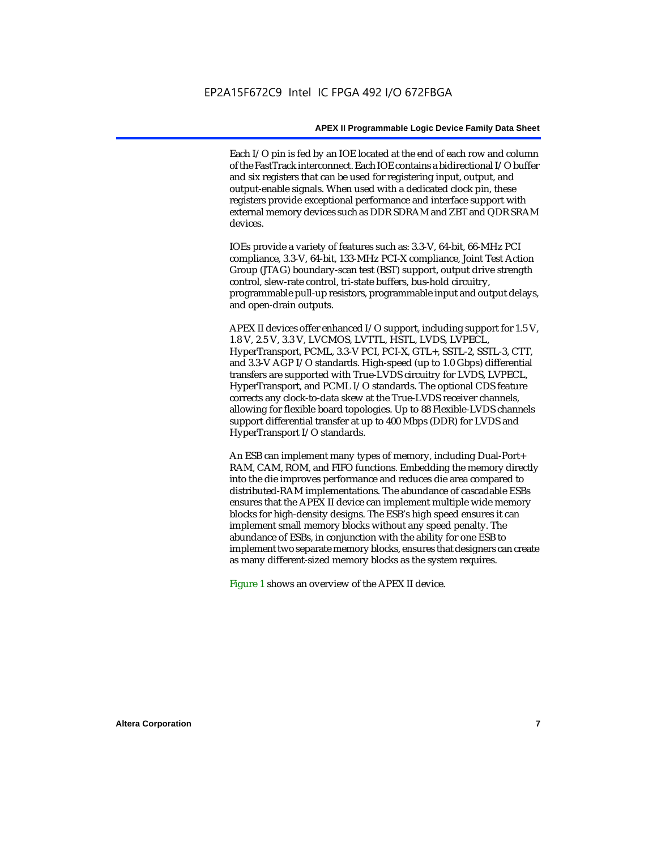Each I/O pin is fed by an IOE located at the end of each row and column of the FastTrack interconnect. Each IOE contains a bidirectional I/O buffer and six registers that can be used for registering input, output, and output-enable signals. When used with a dedicated clock pin, these registers provide exceptional performance and interface support with external memory devices such as DDR SDRAM and ZBT and QDR SRAM devices.

IOEs provide a variety of features such as: 3.3-V, 64-bit, 66-MHz PCI compliance, 3.3-V, 64-bit, 133-MHz PCI-X compliance, Joint Test Action Group (JTAG) boundary-scan test (BST) support, output drive strength control, slew-rate control, tri-state buffers, bus-hold circuitry, programmable pull-up resistors, programmable input and output delays, and open-drain outputs.

APEX II devices offer enhanced I/O support, including support for 1.5 V, 1.8 V, 2.5 V, 3.3 V, LVCMOS, LVTTL, HSTL, LVDS, LVPECL, HyperTransport, PCML, 3.3-V PCI, PCI-X, GTL+, SSTL-2, SSTL-3, CTT, and 3.3-V AGP I/O standards. High-speed (up to 1.0 Gbps) differential transfers are supported with True-LVDS circuitry for LVDS, LVPECL, HyperTransport, and PCML I/O standards. The optional CDS feature corrects any clock-to-data skew at the True-LVDS receiver channels, allowing for flexible board topologies. Up to 88 Flexible-LVDS channels support differential transfer at up to 400 Mbps (DDR) for LVDS and HyperTransport I/O standards.

An ESB can implement many types of memory, including Dual-Port+ RAM, CAM, ROM, and FIFO functions. Embedding the memory directly into the die improves performance and reduces die area compared to distributed-RAM implementations. The abundance of cascadable ESBs ensures that the APEX II device can implement multiple wide memory blocks for high-density designs. The ESB's high speed ensures it can implement small memory blocks without any speed penalty. The abundance of ESBs, in conjunction with the ability for one ESB to implement two separate memory blocks, ensures that designers can create as many different-sized memory blocks as the system requires.

Figure 1 shows an overview of the APEX II device.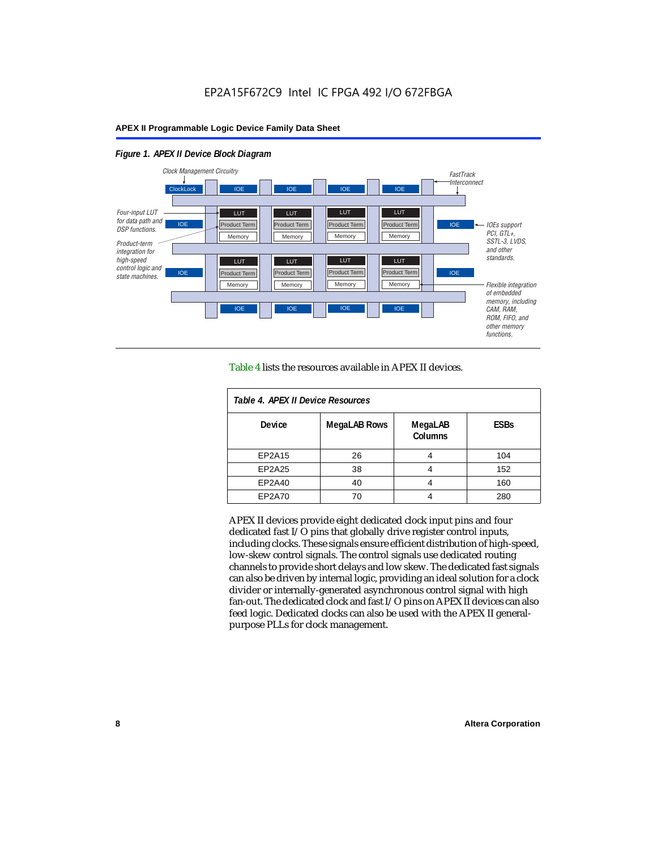#### *Figure 1. APEX II Device Block Diagram*



Table 4 lists the resources available in APEX II devices.

| Table 4. APEX II Device Resources |                     |                           |             |  |  |
|-----------------------------------|---------------------|---------------------------|-------------|--|--|
| <b>Device</b>                     | <b>MegaLAB Rows</b> | MegaLAB<br><b>Columns</b> | <b>ESBs</b> |  |  |
| EP2A15                            | 26                  | 4                         | 104         |  |  |
| EP2A25                            | 38                  |                           | 152         |  |  |
| EP2A40                            | 40                  |                           | 160         |  |  |
| EP2A70                            | 70                  | 4                         | 280         |  |  |

APEX II devices provide eight dedicated clock input pins and four dedicated fast I/O pins that globally drive register control inputs, including clocks. These signals ensure efficient distribution of high-speed, low-skew control signals. The control signals use dedicated routing channels to provide short delays and low skew. The dedicated fast signals can also be driven by internal logic, providing an ideal solution for a clock divider or internally-generated asynchronous control signal with high fan-out. The dedicated clock and fast I/O pins on APEX II devices can also feed logic. Dedicated clocks can also be used with the APEX II generalpurpose PLLs for clock management.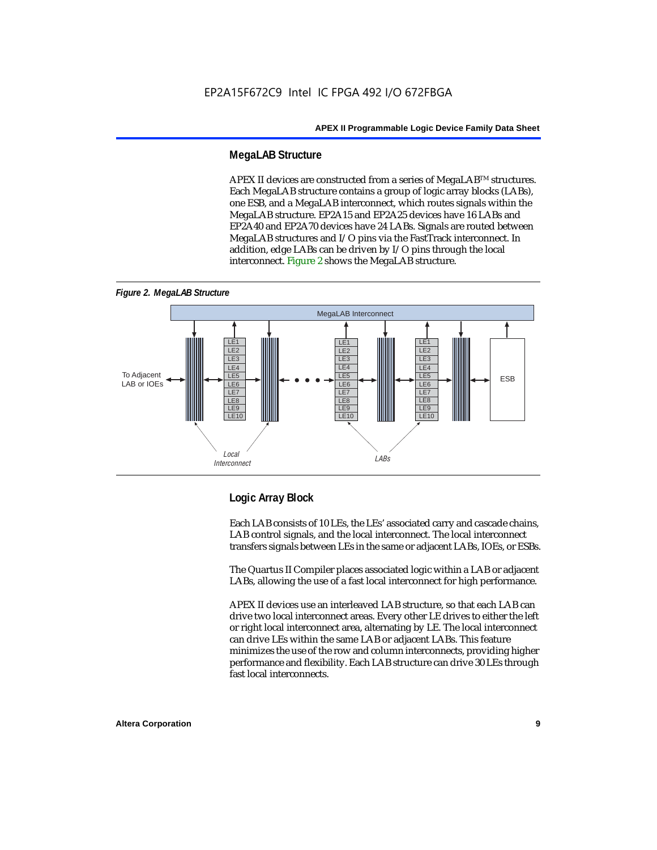#### **MegaLAB Structure**

APEX II devices are constructed from a series of MegaLAB<sup>TM</sup> structures. Each MegaLAB structure contains a group of logic array blocks (LABs), one ESB, and a MegaLAB interconnect, which routes signals within the MegaLAB structure. EP2A15 and EP2A25 devices have 16 LABs and EP2A40 and EP2A70 devices have 24 LABs. Signals are routed between MegaLAB structures and I/O pins via the FastTrack interconnect. In addition, edge LABs can be driven by I/O pins through the local interconnect. Figure 2 shows the MegaLAB structure.





#### **Logic Array Block**

Each LAB consists of 10 LEs, the LEs' associated carry and cascade chains, LAB control signals, and the local interconnect. The local interconnect transfers signals between LEs in the same or adjacent LABs, IOEs, or ESBs.

The Quartus II Compiler places associated logic within a LAB or adjacent LABs, allowing the use of a fast local interconnect for high performance.

APEX II devices use an interleaved LAB structure, so that each LAB can drive two local interconnect areas. Every other LE drives to either the left or right local interconnect area, alternating by LE. The local interconnect can drive LEs within the same LAB or adjacent LABs. This feature minimizes the use of the row and column interconnects, providing higher performance and flexibility. Each LAB structure can drive 30 LEs through fast local interconnects.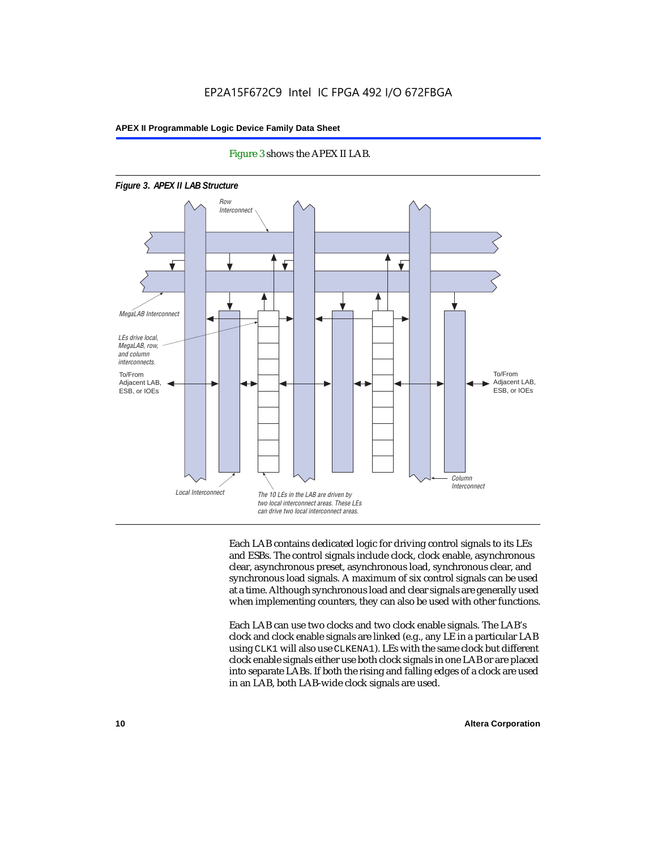

#### Figure 3 shows the APEX II LAB.

Each LAB contains dedicated logic for driving control signals to its LEs and ESBs. The control signals include clock, clock enable, asynchronous clear, asynchronous preset, asynchronous load, synchronous clear, and synchronous load signals. A maximum of six control signals can be used at a time. Although synchronous load and clear signals are generally used when implementing counters, they can also be used with other functions.

Each LAB can use two clocks and two clock enable signals. The LAB's clock and clock enable signals are linked (e.g., any LE in a particular LAB using CLK1 will also use CLKENA1). LEs with the same clock but different clock enable signals either use both clock signals in one LAB or are placed into separate LABs. If both the rising and falling edges of a clock are used in an LAB, both LAB-wide clock signals are used.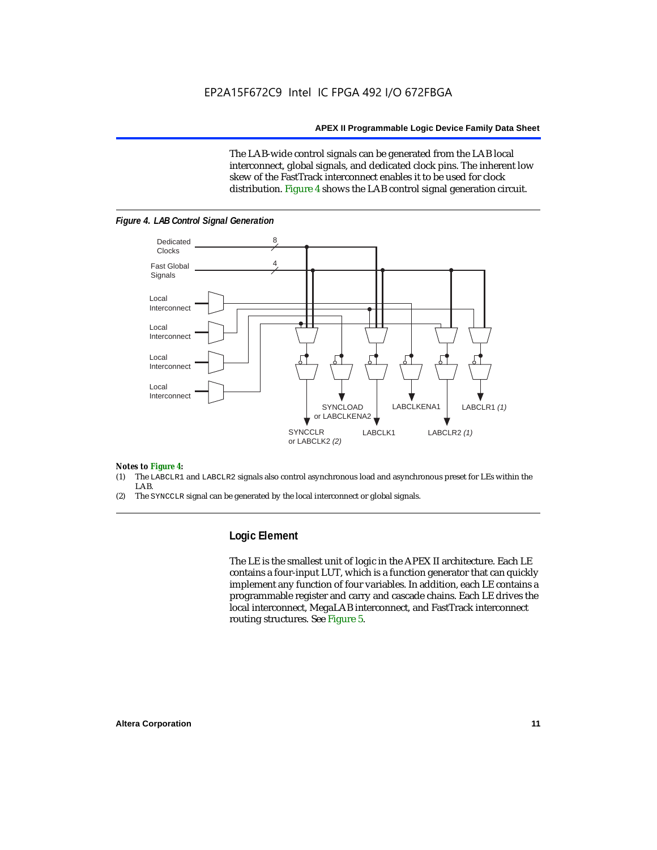The LAB-wide control signals can be generated from the LAB local interconnect, global signals, and dedicated clock pins. The inherent low skew of the FastTrack interconnect enables it to be used for clock distribution. Figure 4 shows the LAB control signal generation circuit.



#### *Figure 4. LAB Control Signal Generation*

#### *Notes to Figure 4:*

- (1) The LABCLR1 and LABCLR2 signals also control asynchronous load and asynchronous preset for LEs within the LAB.
- (2) The SYNCCLR signal can be generated by the local interconnect or global signals.

#### **Logic Element**

The LE is the smallest unit of logic in the APEX II architecture. Each LE contains a four-input LUT, which is a function generator that can quickly implement any function of four variables. In addition, each LE contains a programmable register and carry and cascade chains. Each LE drives the local interconnect, MegaLAB interconnect, and FastTrack interconnect routing structures. See Figure 5.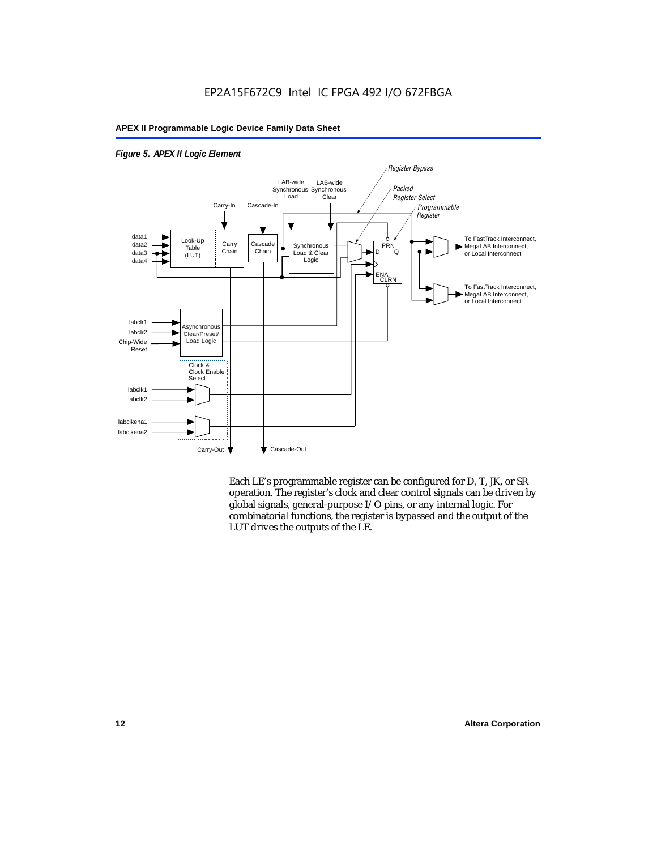

#### *Figure 5. APEX II Logic Element*

Each LE's programmable register can be configured for D, T, JK, or SR operation. The register's clock and clear control signals can be driven by global signals, general-purpose I/O pins, or any internal logic. For combinatorial functions, the register is bypassed and the output of the LUT drives the outputs of the LE.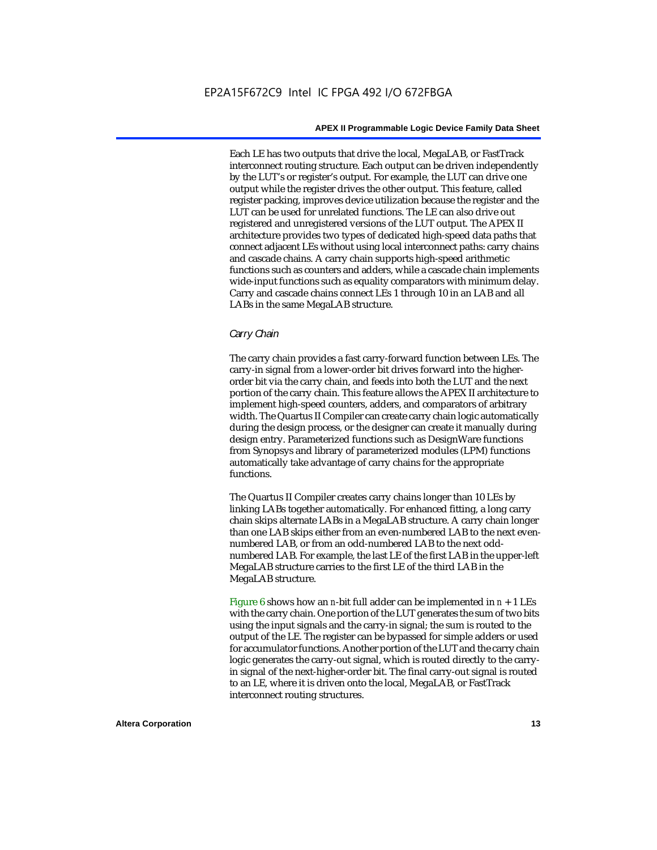Each LE has two outputs that drive the local, MegaLAB, or FastTrack interconnect routing structure. Each output can be driven independently by the LUT's or register's output. For example, the LUT can drive one output while the register drives the other output. This feature, called register packing, improves device utilization because the register and the LUT can be used for unrelated functions. The LE can also drive out registered and unregistered versions of the LUT output. The APEX II architecture provides two types of dedicated high-speed data paths that connect adjacent LEs without using local interconnect paths: carry chains and cascade chains. A carry chain supports high-speed arithmetic functions such as counters and adders, while a cascade chain implements wide-input functions such as equality comparators with minimum delay. Carry and cascade chains connect LEs 1 through 10 in an LAB and all LABs in the same MegaLAB structure.

#### *Carry Chain*

The carry chain provides a fast carry-forward function between LEs. The carry-in signal from a lower-order bit drives forward into the higherorder bit via the carry chain, and feeds into both the LUT and the next portion of the carry chain. This feature allows the APEX II architecture to implement high-speed counters, adders, and comparators of arbitrary width. The Quartus II Compiler can create carry chain logic automatically during the design process, or the designer can create it manually during design entry. Parameterized functions such as DesignWare functions from Synopsys and library of parameterized modules (LPM) functions automatically take advantage of carry chains for the appropriate functions.

The Quartus II Compiler creates carry chains longer than 10 LEs by linking LABs together automatically. For enhanced fitting, a long carry chain skips alternate LABs in a MegaLAB structure. A carry chain longer than one LAB skips either from an even-numbered LAB to the next evennumbered LAB, or from an odd-numbered LAB to the next oddnumbered LAB. For example, the last LE of the first LAB in the upper-left MegaLAB structure carries to the first LE of the third LAB in the MegaLAB structure.

Figure 6 shows how an *n*-bit full adder can be implemented in *n* + 1 LEs with the carry chain. One portion of the LUT generates the sum of two bits using the input signals and the carry-in signal; the sum is routed to the output of the LE. The register can be bypassed for simple adders or used for accumulator functions. Another portion of the LUT and the carry chain logic generates the carry-out signal, which is routed directly to the carryin signal of the next-higher-order bit. The final carry-out signal is routed to an LE, where it is driven onto the local, MegaLAB, or FastTrack interconnect routing structures.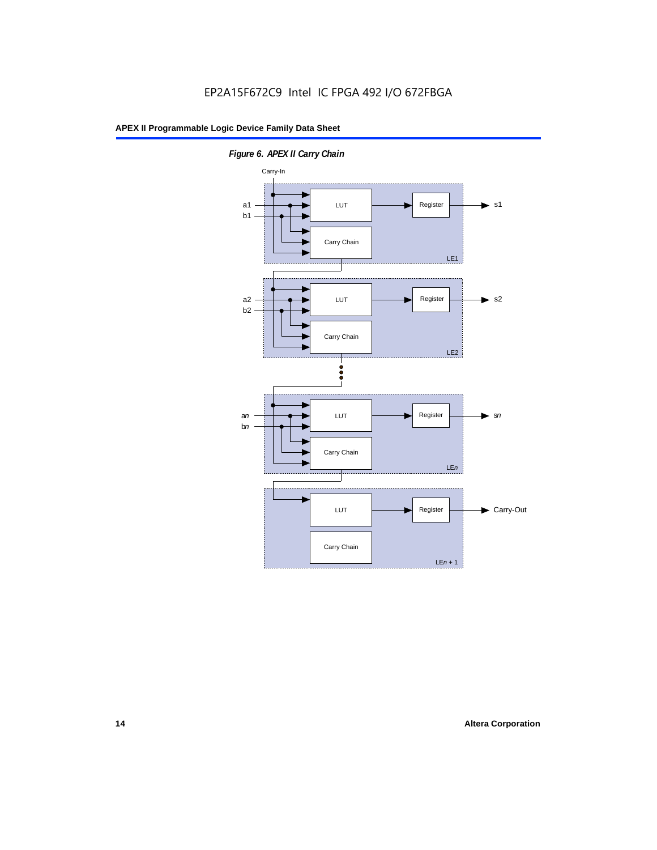

*Figure 6. APEX II Carry Chain*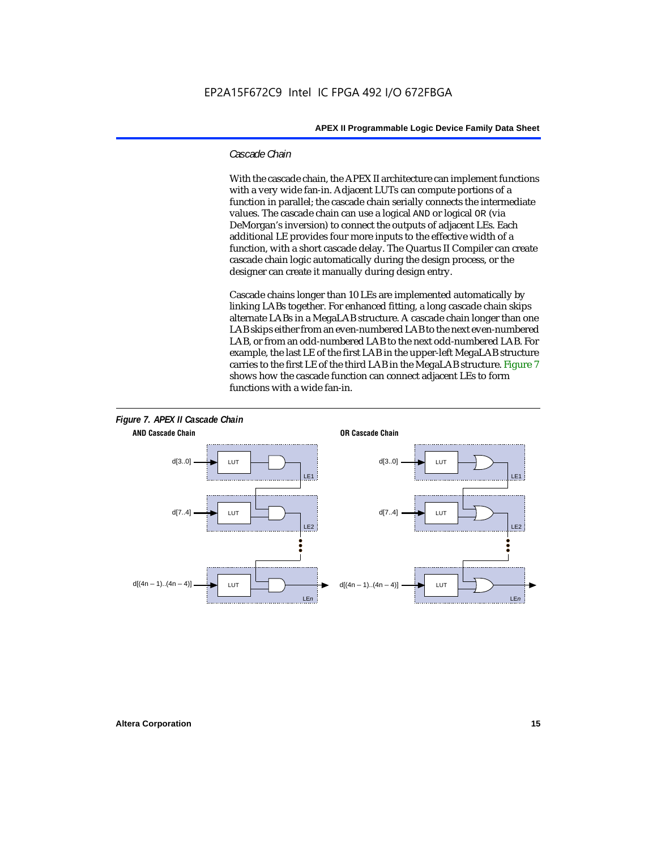#### *Cascade Chain*

With the cascade chain, the APEX II architecture can implement functions with a very wide fan-in. Adjacent LUTs can compute portions of a function in parallel; the cascade chain serially connects the intermediate values. The cascade chain can use a logical AND or logical OR (via DeMorgan's inversion) to connect the outputs of adjacent LEs. Each additional LE provides four more inputs to the effective width of a function, with a short cascade delay. The Quartus II Compiler can create cascade chain logic automatically during the design process, or the designer can create it manually during design entry.

Cascade chains longer than 10 LEs are implemented automatically by linking LABs together. For enhanced fitting, a long cascade chain skips alternate LABs in a MegaLAB structure. A cascade chain longer than one LAB skips either from an even-numbered LAB to the next even-numbered LAB, or from an odd-numbered LAB to the next odd-numbered LAB. For example, the last LE of the first LAB in the upper-left MegaLAB structure carries to the first LE of the third LAB in the MegaLAB structure. Figure 7 shows how the cascade function can connect adjacent LEs to form functions with a wide fan-in.

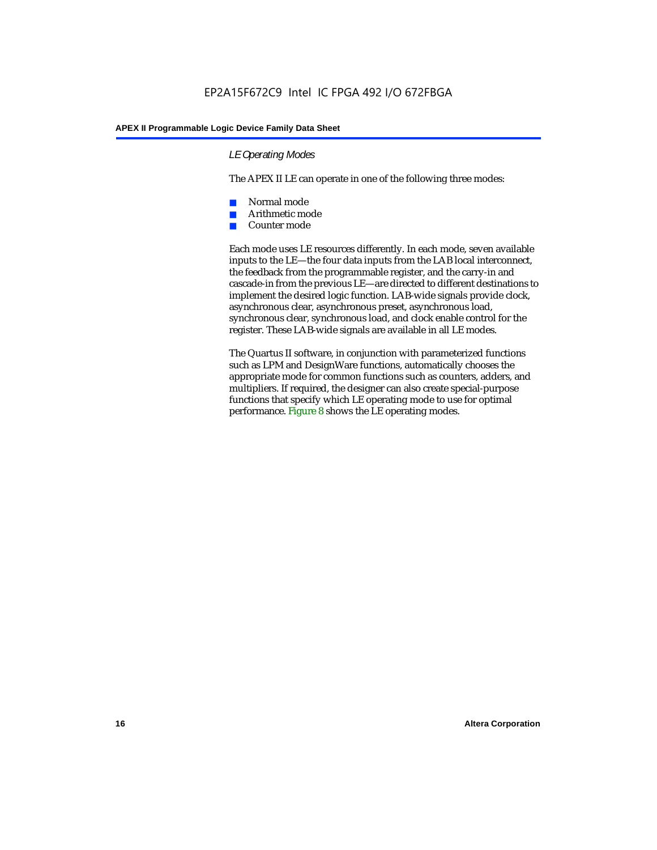#### *LE Operating Modes*

The APEX II LE can operate in one of the following three modes:

- Normal mode
- Arithmetic mode
- Counter mode

Each mode uses LE resources differently. In each mode, seven available inputs to the LE—the four data inputs from the LAB local interconnect, the feedback from the programmable register, and the carry-in and cascade-in from the previous LE—are directed to different destinations to implement the desired logic function. LAB-wide signals provide clock, asynchronous clear, asynchronous preset, asynchronous load, synchronous clear, synchronous load, and clock enable control for the register. These LAB-wide signals are available in all LE modes.

The Quartus II software, in conjunction with parameterized functions such as LPM and DesignWare functions, automatically chooses the appropriate mode for common functions such as counters, adders, and multipliers. If required, the designer can also create special-purpose functions that specify which LE operating mode to use for optimal performance. Figure 8 shows the LE operating modes.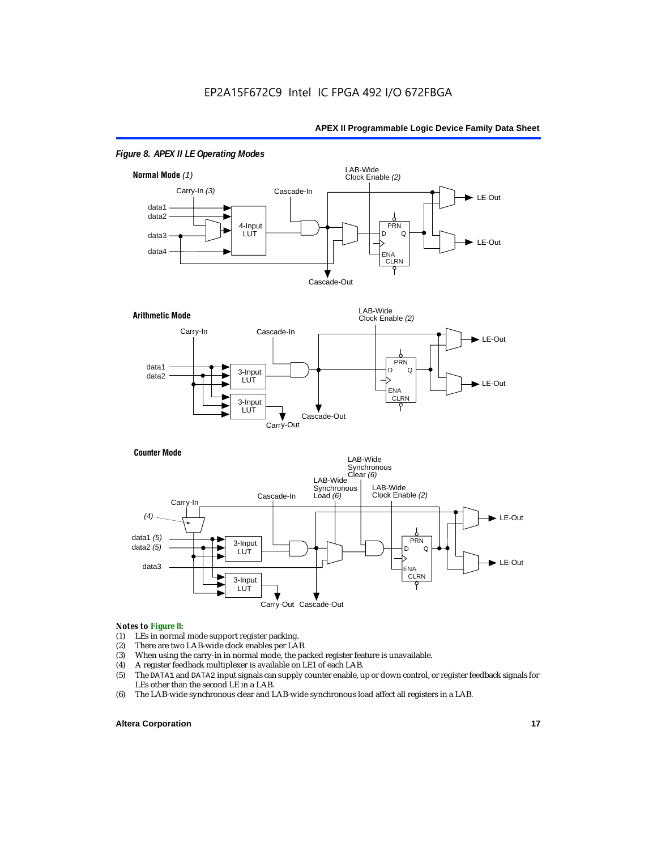

#### *Figure 8. APEX II LE Operating Modes*



#### **Counter Mode**



#### *Notes to Figure 8:*

- (1) LEs in normal mode support register packing.<br>(2) There are two LAB-wide clock enables per LA
- (2) There are two LAB-wide clock enables per LAB.<br>(3) When using the carry-in in normal mode, the pa
- (3) When using the carry-in in normal mode, the packed register feature is unavailable.<br>(4) A register feedback multiplexer is available on LE1 of each LAB.
- (4) A register feedback multiplexer is available on LE1 of each LAB.<br>(5) The DATA1 and DATA2 input signals can supply counter enable, u
- (5) The DATA1 and DATA2 input signals can supply counter enable, up or down control, or register feedback signals for LEs other than the second LE in a LAB.
- (6) The LAB-wide synchronous clear and LAB-wide synchronous load affect all registers in a LAB.

#### **Altera Corporation 17 17**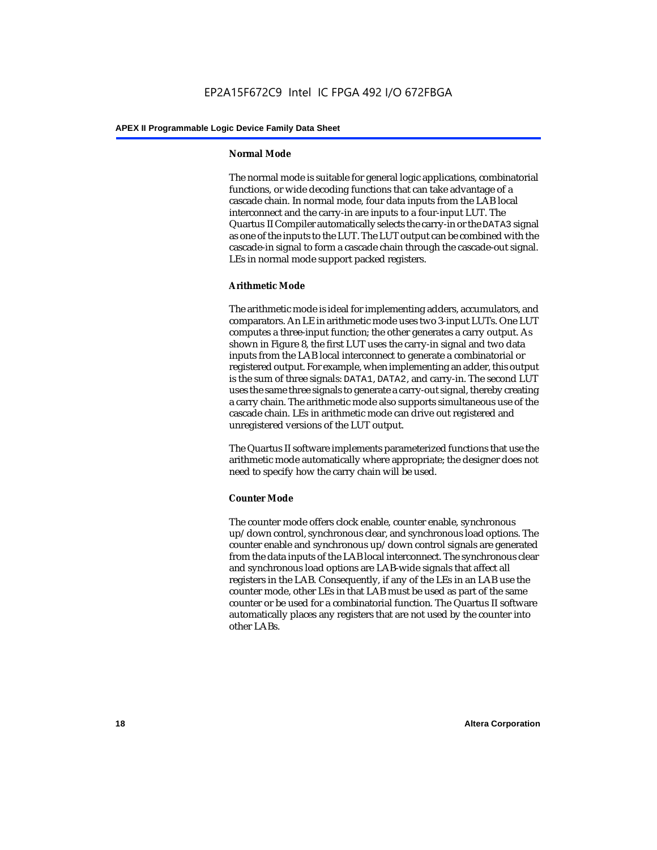#### **Normal Mode**

The normal mode is suitable for general logic applications, combinatorial functions, or wide decoding functions that can take advantage of a cascade chain. In normal mode, four data inputs from the LAB local interconnect and the carry-in are inputs to a four-input LUT. The Quartus II Compiler automatically selects the carry-in or the DATA3 signal as one of the inputs to the LUT. The LUT output can be combined with the cascade-in signal to form a cascade chain through the cascade-out signal. LEs in normal mode support packed registers.

#### **Arithmetic Mode**

The arithmetic mode is ideal for implementing adders, accumulators, and comparators. An LE in arithmetic mode uses two 3-input LUTs. One LUT computes a three-input function; the other generates a carry output. As shown in Figure 8, the first LUT uses the carry-in signal and two data inputs from the LAB local interconnect to generate a combinatorial or registered output. For example, when implementing an adder, this output is the sum of three signals: DATA1, DATA2, and carry-in. The second LUT uses the same three signals to generate a carry-out signal, thereby creating a carry chain. The arithmetic mode also supports simultaneous use of the cascade chain. LEs in arithmetic mode can drive out registered and unregistered versions of the LUT output.

The Quartus II software implements parameterized functions that use the arithmetic mode automatically where appropriate; the designer does not need to specify how the carry chain will be used.

#### **Counter Mode**

The counter mode offers clock enable, counter enable, synchronous up/down control, synchronous clear, and synchronous load options. The counter enable and synchronous up/down control signals are generated from the data inputs of the LAB local interconnect. The synchronous clear and synchronous load options are LAB-wide signals that affect all registers in the LAB. Consequently, if any of the LEs in an LAB use the counter mode, other LEs in that LAB must be used as part of the same counter or be used for a combinatorial function. The Quartus II software automatically places any registers that are not used by the counter into other LABs.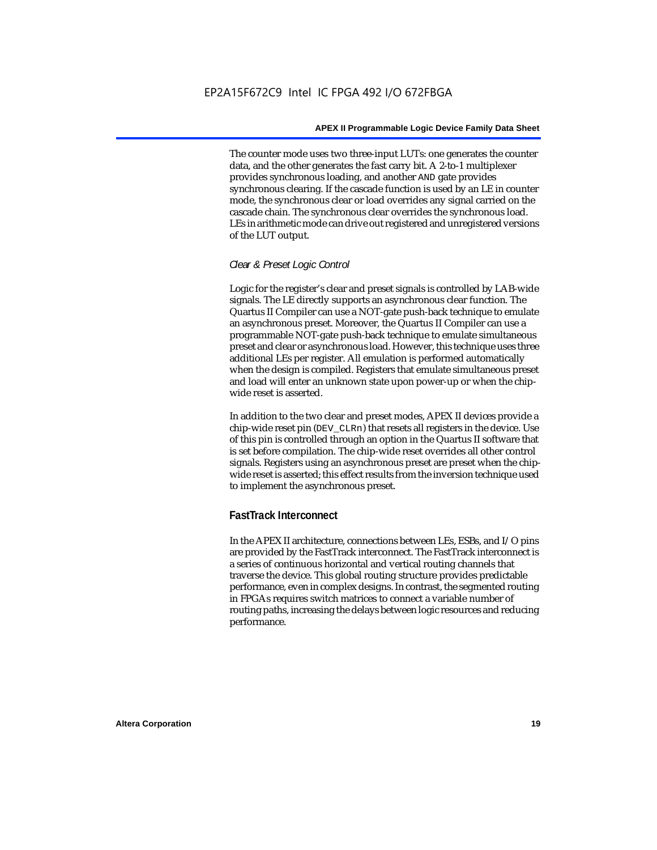The counter mode uses two three-input LUTs: one generates the counter data, and the other generates the fast carry bit. A 2-to-1 multiplexer provides synchronous loading, and another AND gate provides synchronous clearing. If the cascade function is used by an LE in counter mode, the synchronous clear or load overrides any signal carried on the cascade chain. The synchronous clear overrides the synchronous load. LEs in arithmetic mode can drive out registered and unregistered versions of the LUT output.

#### *Clear & Preset Logic Control*

Logic for the register's clear and preset signals is controlled by LAB-wide signals. The LE directly supports an asynchronous clear function. The Quartus II Compiler can use a NOT-gate push-back technique to emulate an asynchronous preset. Moreover, the Quartus II Compiler can use a programmable NOT-gate push-back technique to emulate simultaneous preset and clear or asynchronous load. However, this technique uses three additional LEs per register. All emulation is performed automatically when the design is compiled. Registers that emulate simultaneous preset and load will enter an unknown state upon power-up or when the chipwide reset is asserted.

In addition to the two clear and preset modes, APEX II devices provide a chip-wide reset pin (DEV\_CLRn) that resets all registers in the device. Use of this pin is controlled through an option in the Quartus II software that is set before compilation. The chip-wide reset overrides all other control signals. Registers using an asynchronous preset are preset when the chipwide reset is asserted; this effect results from the inversion technique used to implement the asynchronous preset.

## **FastTrack Interconnect**

In the APEX II architecture, connections between LEs, ESBs, and I/O pins are provided by the FastTrack interconnect. The FastTrack interconnect is a series of continuous horizontal and vertical routing channels that traverse the device. This global routing structure provides predictable performance, even in complex designs. In contrast, the segmented routing in FPGAs requires switch matrices to connect a variable number of routing paths, increasing the delays between logic resources and reducing performance.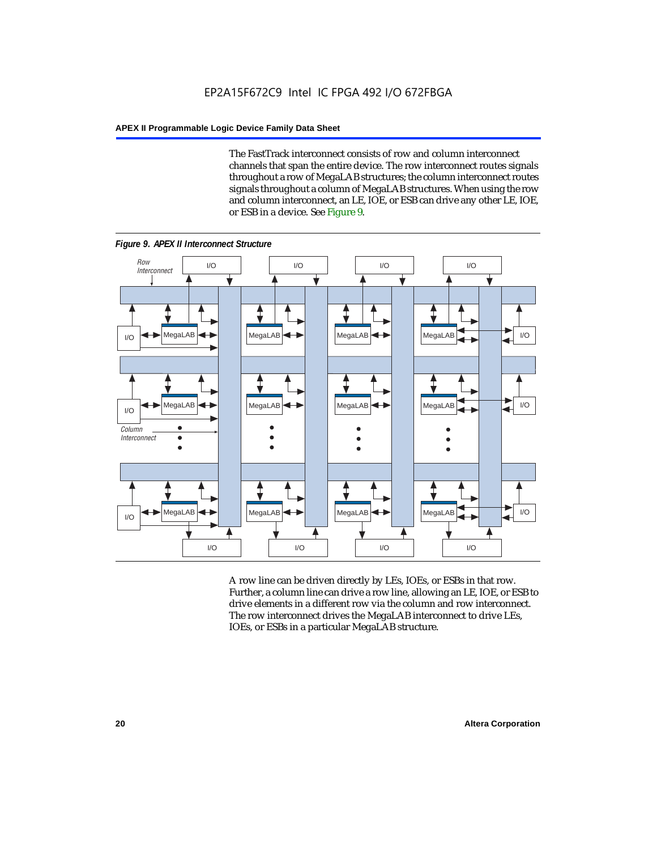The FastTrack interconnect consists of row and column interconnect channels that span the entire device. The row interconnect routes signals throughout a row of MegaLAB structures; the column interconnect routes signals throughout a column of MegaLAB structures. When using the row and column interconnect, an LE, IOE, or ESB can drive any other LE, IOE, or ESB in a device. See Figure 9.



*Figure 9. APEX II Interconnect Structure*

A row line can be driven directly by LEs, IOEs, or ESBs in that row. Further, a column line can drive a row line, allowing an LE, IOE, or ESB to drive elements in a different row via the column and row interconnect. The row interconnect drives the MegaLAB interconnect to drive LEs, IOEs, or ESBs in a particular MegaLAB structure.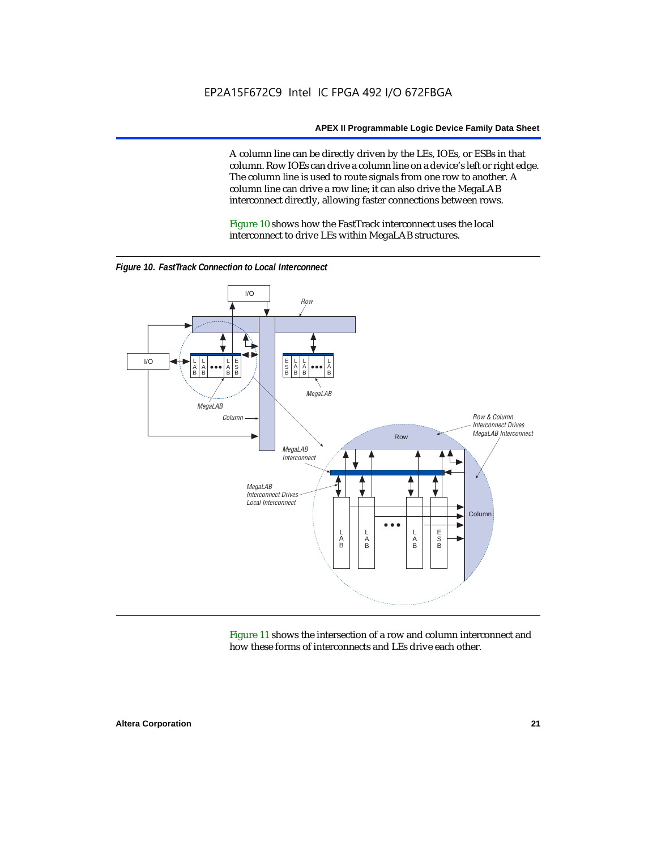A column line can be directly driven by the LEs, IOEs, or ESBs in that column. Row IOEs can drive a column line on a device's left or right edge. The column line is used to route signals from one row to another. A column line can drive a row line; it can also drive the MegaLAB interconnect directly, allowing faster connections between rows.

Figure 10 shows how the FastTrack interconnect uses the local interconnect to drive LEs within MegaLAB structures.



*Figure 10. FastTrack Connection to Local Interconnect*

Figure 11 shows the intersection of a row and column interconnect and how these forms of interconnects and LEs drive each other.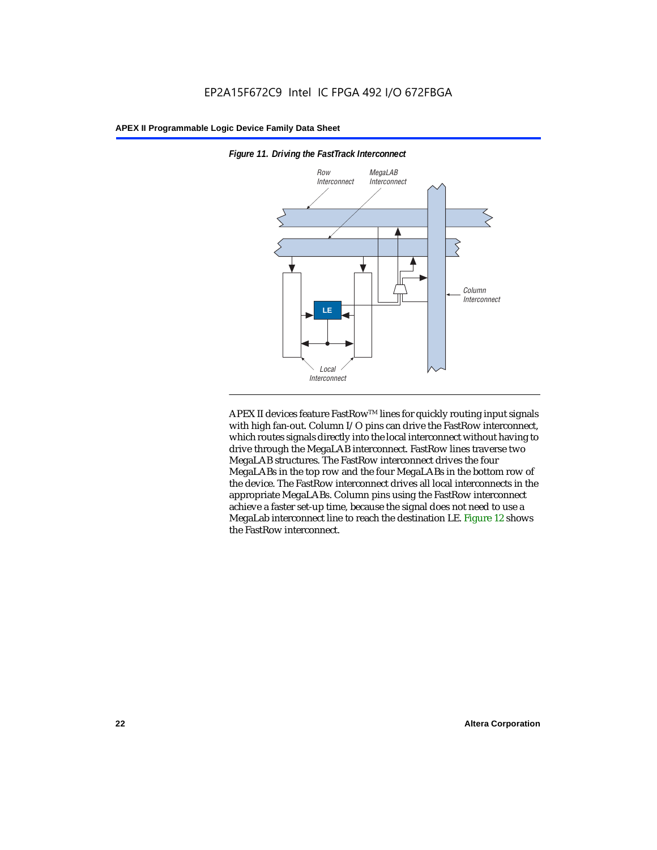

*Figure 11. Driving the FastTrack Interconnect*

APEX II devices feature FastRow™ lines for quickly routing input signals with high fan-out. Column I/O pins can drive the FastRow interconnect, which routes signals directly into the local interconnect without having to drive through the MegaLAB interconnect. FastRow lines traverse two MegaLAB structures. The FastRow interconnect drives the four MegaLABs in the top row and the four MegaLABs in the bottom row of the device. The FastRow interconnect drives all local interconnects in the appropriate MegaLABs. Column pins using the FastRow interconnect achieve a faster set-up time, because the signal does not need to use a MegaLab interconnect line to reach the destination LE. Figure 12 shows the FastRow interconnect.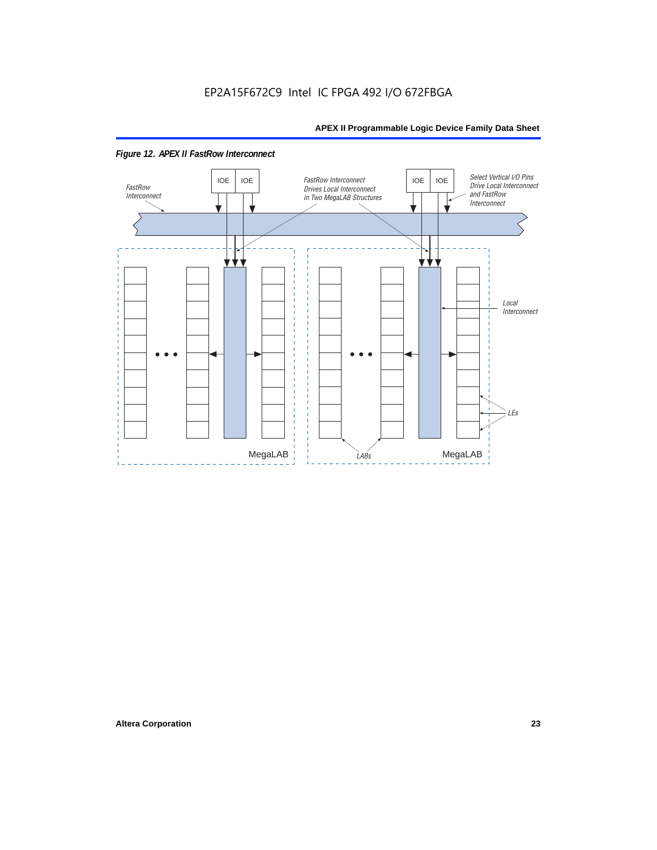

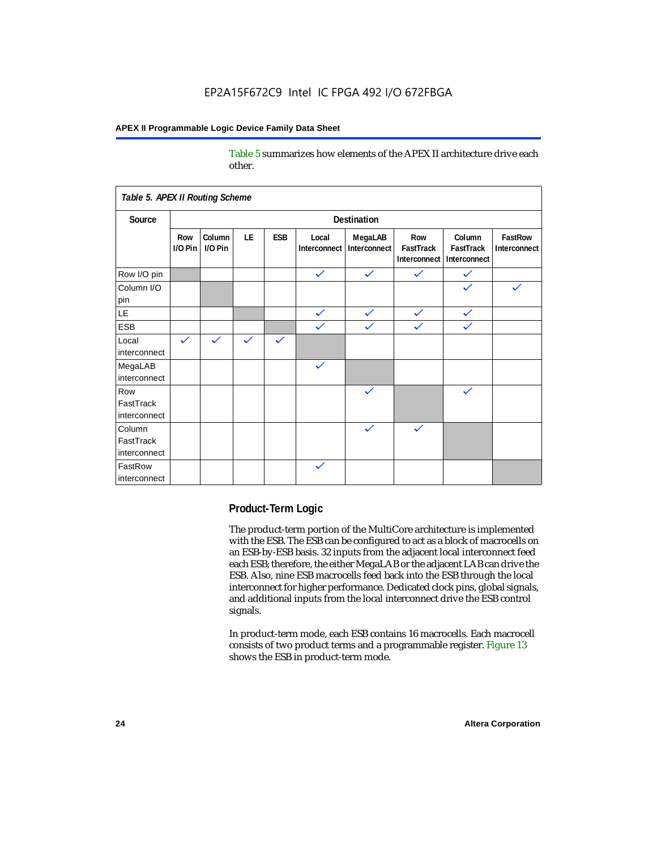Table 5 summarizes how elements of the APEX II architecture drive each other.

| Table 5. APEX II Routing Scheme     |                    |                   |              |              |                       |                         |                                  |                                     |                         |
|-------------------------------------|--------------------|-------------------|--------------|--------------|-----------------------|-------------------------|----------------------------------|-------------------------------------|-------------------------|
| Source                              | <b>Destination</b> |                   |              |              |                       |                         |                                  |                                     |                         |
|                                     | Row<br>$1/0$ Pin   | Column<br>I/O Pin | LE           | <b>ESB</b>   | Local<br>Interconnect | MegaLAB<br>Interconnect | Row<br>FastTrack<br>Interconnect | Column<br>FastTrack<br>Interconnect | FastRow<br>Interconnect |
| Row I/O pin                         |                    |                   |              |              | $\checkmark$          | $\checkmark$            | $\checkmark$                     | $\checkmark$                        |                         |
| Column I/O<br>pin                   |                    |                   |              |              |                       |                         |                                  |                                     | $\checkmark$            |
| LE                                  |                    |                   |              |              | $\checkmark$          | $\checkmark$            | $\checkmark$                     | $\checkmark$                        |                         |
| <b>ESB</b>                          |                    |                   |              |              | $\checkmark$          | $\checkmark$            | $\checkmark$                     | $\checkmark$                        |                         |
| Local<br>interconnect               | $\checkmark$       | $\checkmark$      | $\checkmark$ | $\checkmark$ |                       |                         |                                  |                                     |                         |
| MegaLAB<br>interconnect             |                    |                   |              |              | $\checkmark$          |                         |                                  |                                     |                         |
| Row<br>FastTrack<br>interconnect    |                    |                   |              |              |                       | $\checkmark$            |                                  | $\checkmark$                        |                         |
| Column<br>FastTrack<br>interconnect |                    |                   |              |              |                       | $\checkmark$            | $\checkmark$                     |                                     |                         |
| FastRow<br>interconnect             |                    |                   |              |              | $\checkmark$          |                         |                                  |                                     |                         |

#### **Product-Term Logic**

The product-term portion of the MultiCore architecture is implemented with the ESB. The ESB can be configured to act as a block of macrocells on an ESB-by-ESB basis. 32 inputs from the adjacent local interconnect feed each ESB; therefore, the either MegaLAB or the adjacent LAB can drive the ESB. Also, nine ESB macrocells feed back into the ESB through the local interconnect for higher performance. Dedicated clock pins, global signals, and additional inputs from the local interconnect drive the ESB control signals.

In product-term mode, each ESB contains 16 macrocells. Each macrocell consists of two product terms and a programmable register. Figure 13 shows the ESB in product-term mode.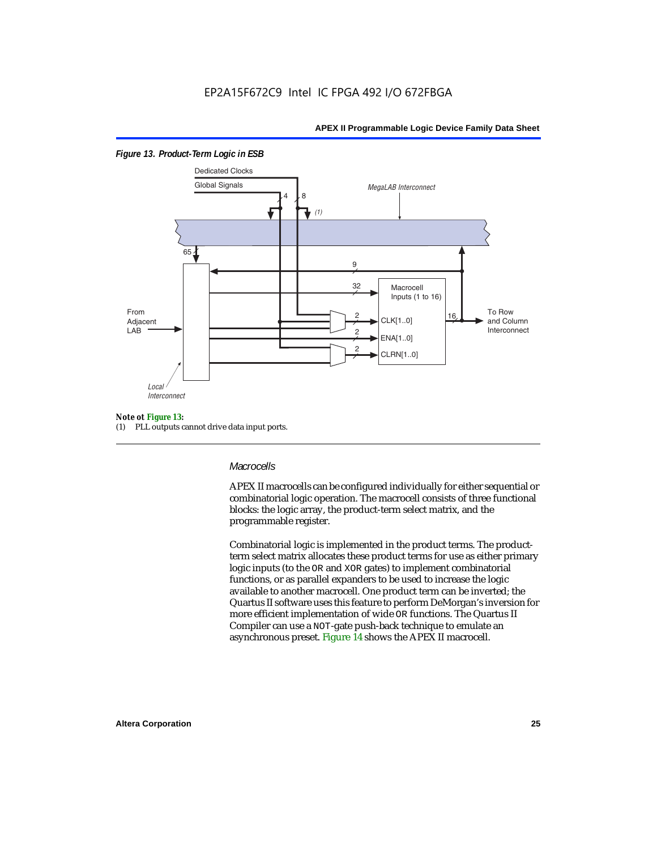

#### *Figure 13. Product-Term Logic in ESB*

#### *Note ot Figure 13:*

(1) PLL outputs cannot drive data input ports.

#### *Macrocells*

APEX II macrocells can be configured individually for either sequential or combinatorial logic operation. The macrocell consists of three functional blocks: the logic array, the product-term select matrix, and the programmable register.

Combinatorial logic is implemented in the product terms. The productterm select matrix allocates these product terms for use as either primary logic inputs (to the OR and XOR gates) to implement combinatorial functions, or as parallel expanders to be used to increase the logic available to another macrocell. One product term can be inverted; the Quartus II software uses this feature to perform DeMorgan's inversion for more efficient implementation of wide OR functions. The Quartus II Compiler can use a NOT-gate push-back technique to emulate an asynchronous preset. Figure 14 shows the APEX II macrocell.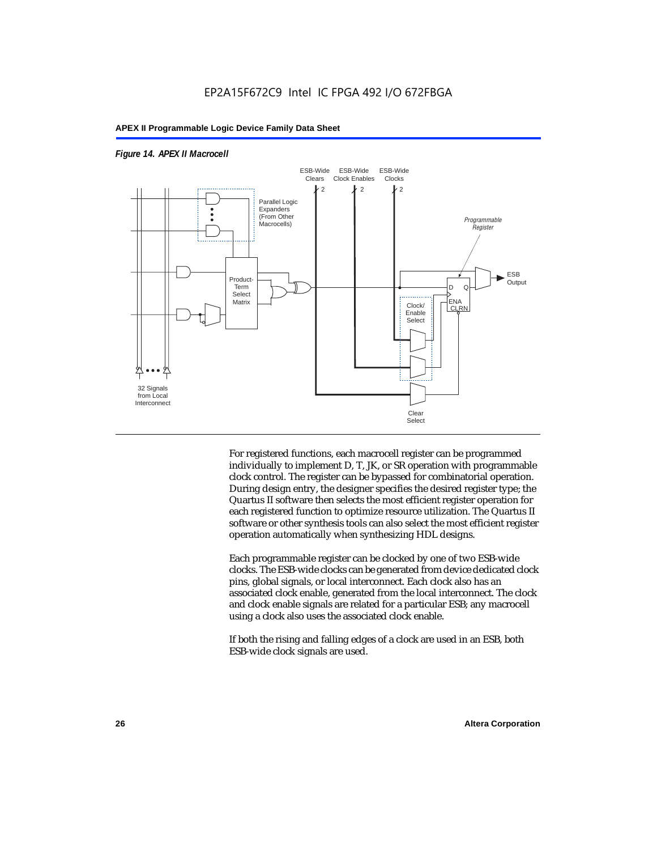



For registered functions, each macrocell register can be programmed individually to implement D, T, JK, or SR operation with programmable clock control. The register can be bypassed for combinatorial operation. During design entry, the designer specifies the desired register type; the Quartus II software then selects the most efficient register operation for each registered function to optimize resource utilization. The Quartus II software or other synthesis tools can also select the most efficient register operation automatically when synthesizing HDL designs.

Each programmable register can be clocked by one of two ESB-wide clocks. The ESB-wide clocks can be generated from device dedicated clock pins, global signals, or local interconnect. Each clock also has an associated clock enable, generated from the local interconnect. The clock and clock enable signals are related for a particular ESB; any macrocell using a clock also uses the associated clock enable.

If both the rising and falling edges of a clock are used in an ESB, both ESB-wide clock signals are used.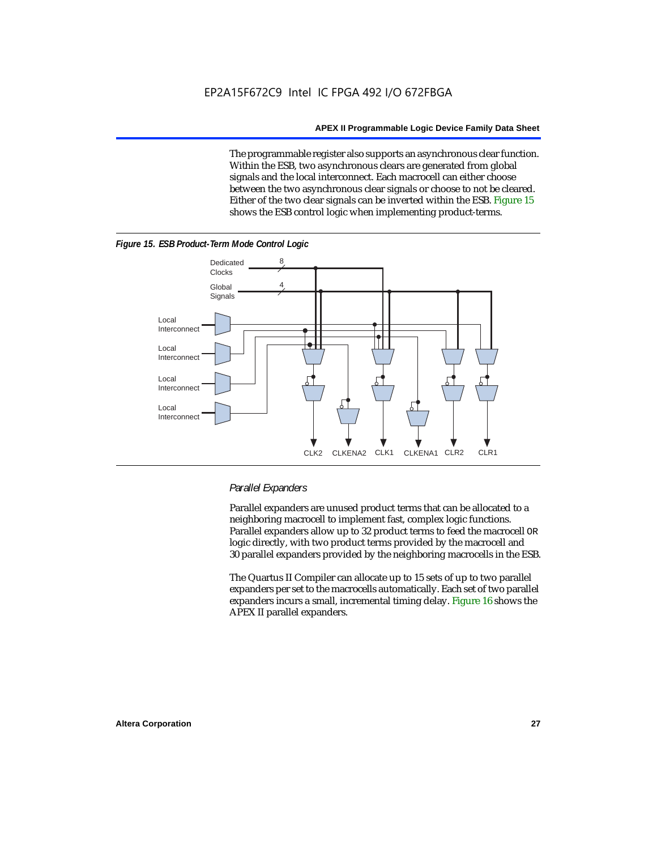The programmable register also supports an asynchronous clear function. Within the ESB, two asynchronous clears are generated from global signals and the local interconnect. Each macrocell can either choose between the two asynchronous clear signals or choose to not be cleared. Either of the two clear signals can be inverted within the ESB. Figure 15 shows the ESB control logic when implementing product-terms.





#### *Parallel Expanders*

Parallel expanders are unused product terms that can be allocated to a neighboring macrocell to implement fast, complex logic functions. Parallel expanders allow up to 32 product terms to feed the macrocell OR logic directly, with two product terms provided by the macrocell and 30 parallel expanders provided by the neighboring macrocells in the ESB.

The Quartus II Compiler can allocate up to 15 sets of up to two parallel expanders per set to the macrocells automatically. Each set of two parallel expanders incurs a small, incremental timing delay. Figure 16 shows the APEX II parallel expanders.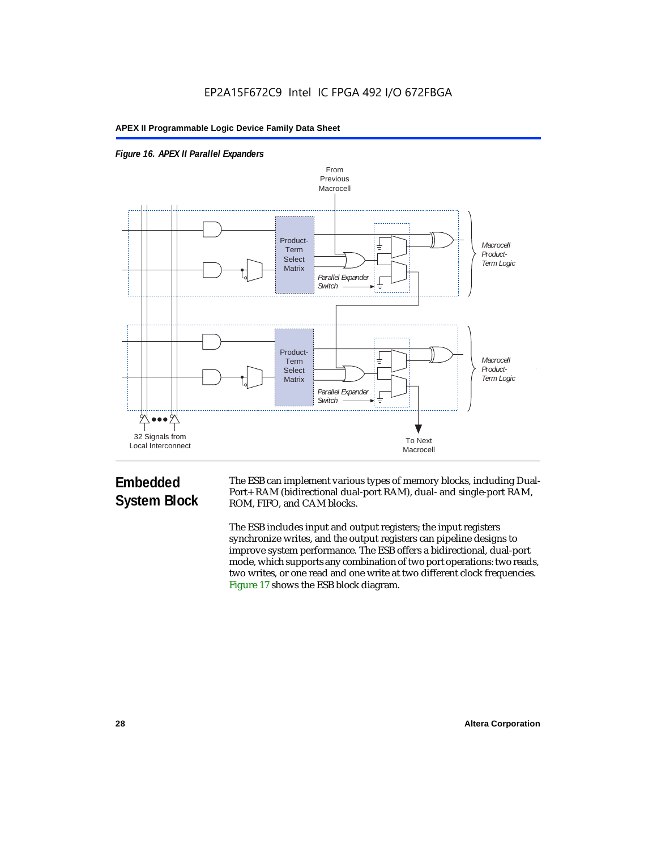



# **Embedded System Block**

The ESB can implement various types of memory blocks, including Dual-Port+ RAM (bidirectional dual-port RAM), dual- and single-port RAM, ROM, FIFO, and CAM blocks.

The ESB includes input and output registers; the input registers synchronize writes, and the output registers can pipeline designs to improve system performance. The ESB offers a bidirectional, dual-port mode, which supports any combination of two port operations: two reads, two writes, or one read and one write at two different clock frequencies. Figure 17 shows the ESB block diagram.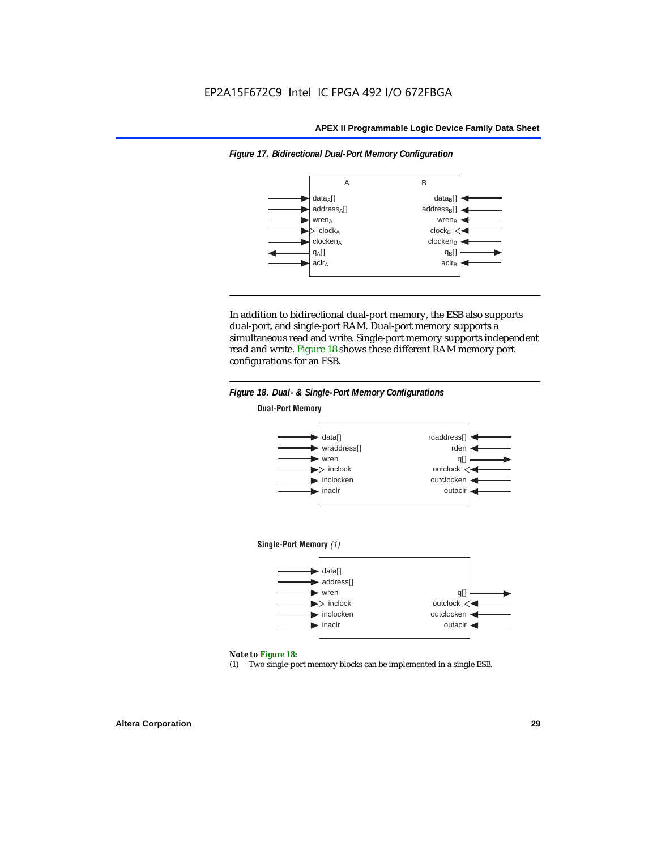*Figure 17. Bidirectional Dual-Port Memory Configuration*

#### **APEX II Programmable Logic Device Family Data Sheet**



In addition to bidirectional dual-port memory, the ESB also supports dual-port, and single-port RAM. Dual-port memory supports a simultaneous read and write. Single-port memory supports independent read and write. Figure 18 shows these different RAM memory port configurations for an ESB.



#### *Note to Figure 18:*

(1) Two single-port memory blocks can be implemented in a single ESB.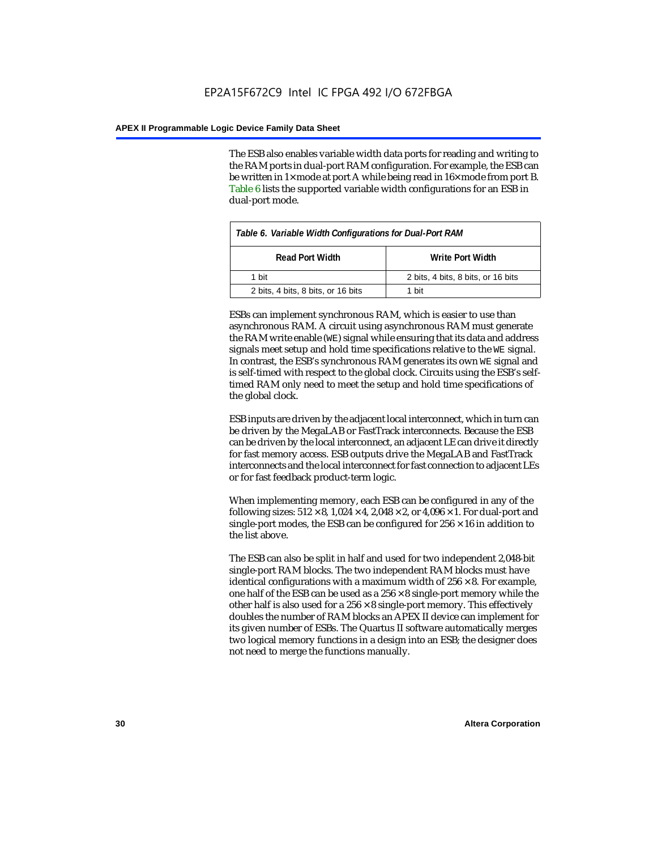The ESB also enables variable width data ports for reading and writing to the RAM ports in dual-port RAM configuration. For example, the ESB can be written in 1× mode at port A while being read in 16× mode from port B. Table 6 lists the supported variable width configurations for an ESB in dual-port mode.

| Table 6. Variable Width Configurations for Dual-Port RAM |                                    |  |  |
|----------------------------------------------------------|------------------------------------|--|--|
| <b>Read Port Width</b>                                   | Write Port Width                   |  |  |
| 1 hit                                                    | 2 bits, 4 bits, 8 bits, or 16 bits |  |  |
| 2 bits, 4 bits, 8 bits, or 16 bits                       | 1 hit                              |  |  |

ESBs can implement synchronous RAM, which is easier to use than asynchronous RAM. A circuit using asynchronous RAM must generate the RAM write enable (WE) signal while ensuring that its data and address signals meet setup and hold time specifications relative to the WE signal. In contrast, the ESB's synchronous RAM generates its own WE signal and is self-timed with respect to the global clock. Circuits using the ESB's selftimed RAM only need to meet the setup and hold time specifications of the global clock.

ESB inputs are driven by the adjacent local interconnect, which in turn can be driven by the MegaLAB or FastTrack interconnects. Because the ESB can be driven by the local interconnect, an adjacent LE can drive it directly for fast memory access. ESB outputs drive the MegaLAB and FastTrack interconnects and the local interconnect for fast connection to adjacent LEs or for fast feedback product-term logic.

When implementing memory, each ESB can be configured in any of the following sizes:  $512 \times 8$ ,  $1,024 \times 4$ ,  $2,048 \times 2$ , or  $4,096 \times 1$ . For dual-port and single-port modes, the ESB can be configured for  $256 \times 16$  in addition to the list above.

The ESB can also be split in half and used for two independent 2,048-bit single-port RAM blocks. The two independent RAM blocks must have identical configurations with a maximum width of  $256 \times 8$ . For example, one half of the ESB can be used as a  $256 \times 8$  single-port memory while the other half is also used for a  $256 \times 8$  single-port memory. This effectively doubles the number of RAM blocks an APEX II device can implement for its given number of ESBs. The Quartus II software automatically merges two logical memory functions in a design into an ESB; the designer does not need to merge the functions manually.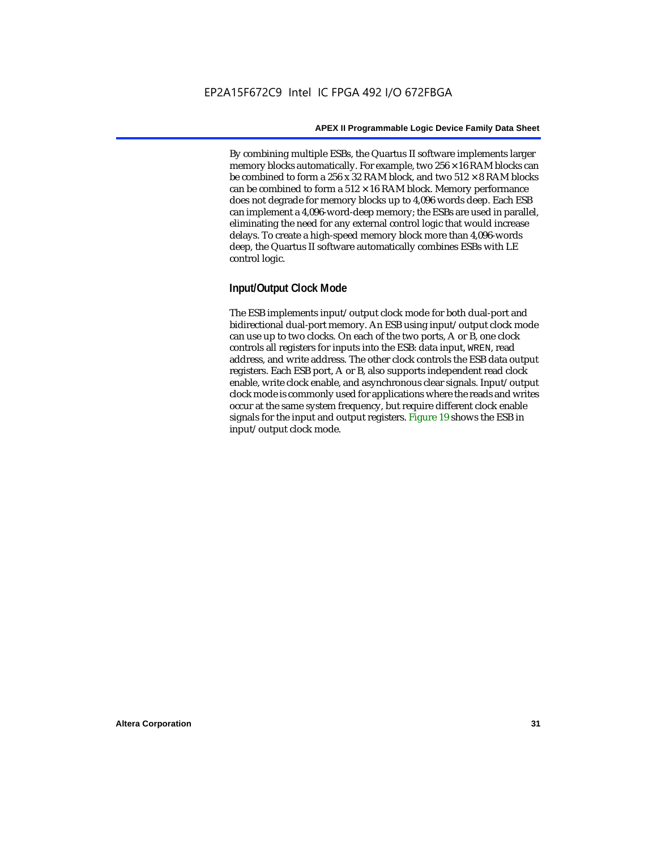By combining multiple ESBs, the Quartus II software implements larger memory blocks automatically. For example, two  $256 \times 16$  RAM blocks can be combined to form a 256 x 32 RAM block, and two  $512 \times 8$  RAM blocks can be combined to form a  $512 \times 16$  RAM block. Memory performance does not degrade for memory blocks up to 4,096 words deep. Each ESB can implement a 4,096-word-deep memory; the ESBs are used in parallel, eliminating the need for any external control logic that would increase delays. To create a high-speed memory block more than 4,096-words deep, the Quartus II software automatically combines ESBs with LE control logic.

## **Input/Output Clock Mode**

The ESB implements input/output clock mode for both dual-port and bidirectional dual-port memory. An ESB using input/output clock mode can use up to two clocks. On each of the two ports, A or B, one clock controls all registers for inputs into the ESB: data input, WREN, read address, and write address. The other clock controls the ESB data output registers. Each ESB port, A or B, also supports independent read clock enable, write clock enable, and asynchronous clear signals. Input/output clock mode is commonly used for applications where the reads and writes occur at the same system frequency, but require different clock enable signals for the input and output registers. Figure 19 shows the ESB in input/output clock mode.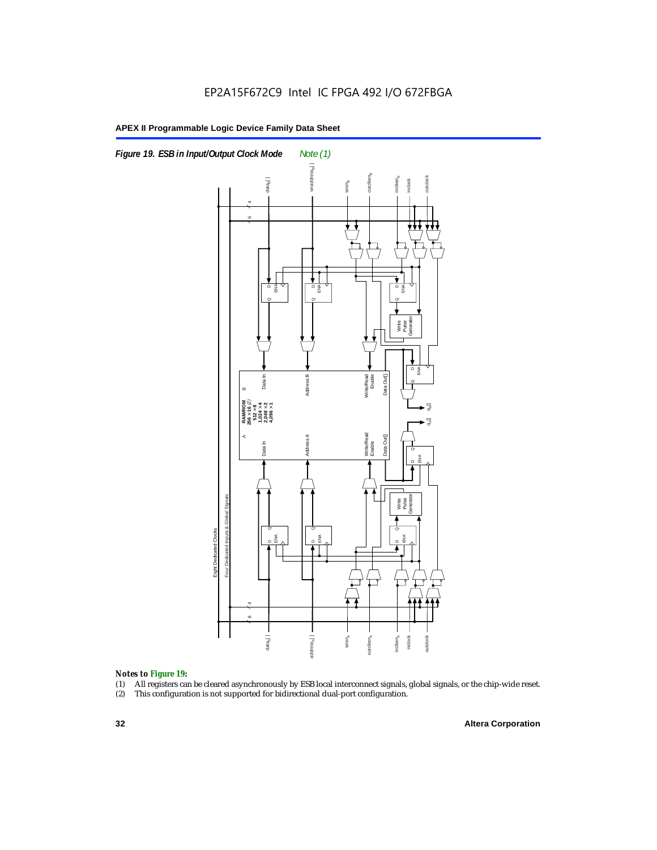

#### *Notes to Figure 19:*

- (1) All registers can be cleared asynchronously by ESB local interconnect signals, global signals, or the chip-wide reset.
-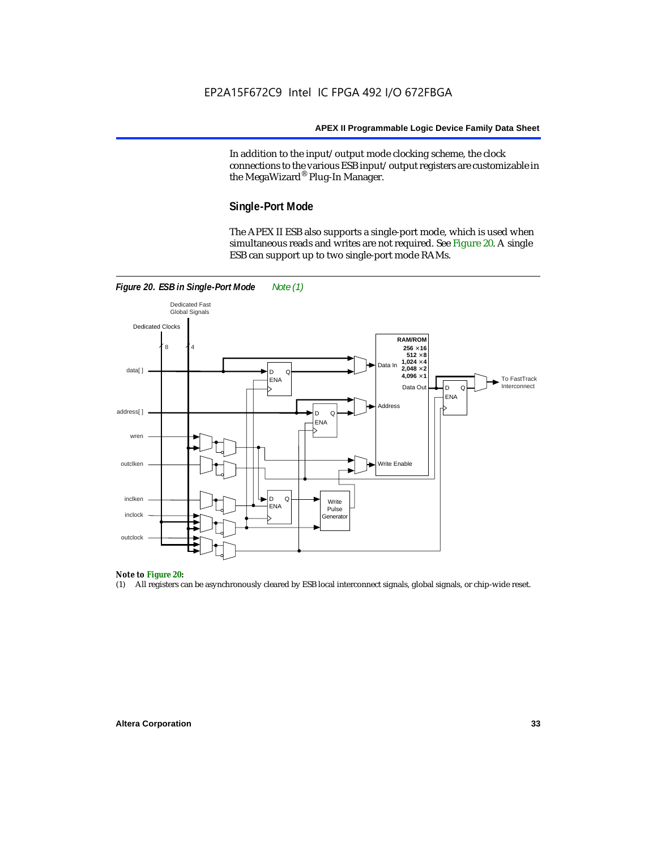In addition to the input/output mode clocking scheme, the clock connections to the various ESB input/output registers are customizable in the MegaWizard® Plug-In Manager.

#### **Single-Port Mode**

The APEX II ESB also supports a single-port mode, which is used when simultaneous reads and writes are not required. See Figure 20. A single ESB can support up to two single-port mode RAMs.



#### *Note to Figure 20:*

(1) All registers can be asynchronously cleared by ESB local interconnect signals, global signals, or chip-wide reset.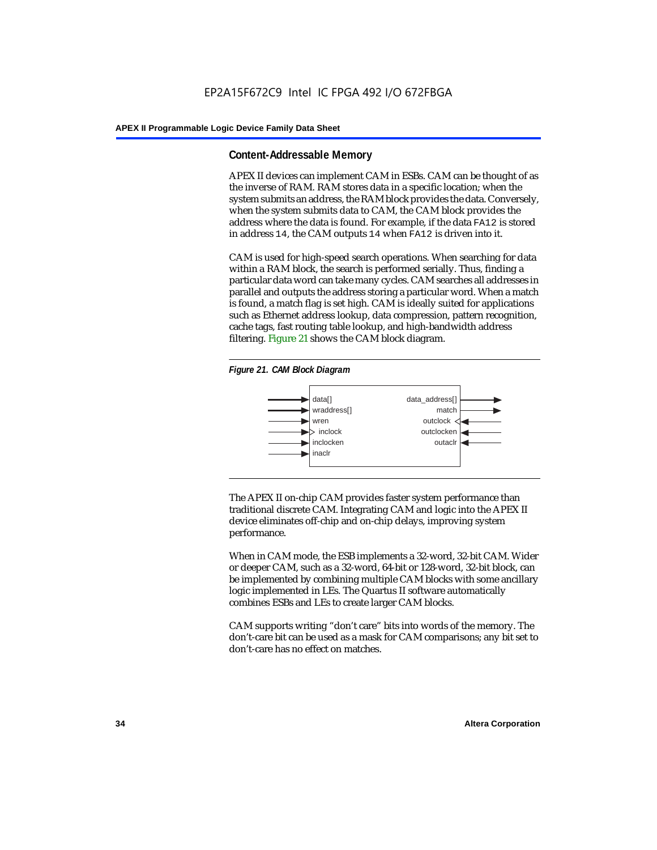#### **Content-Addressable Memory**

APEX II devices can implement CAM in ESBs. CAM can be thought of as the inverse of RAM. RAM stores data in a specific location; when the system submits an address, the RAM block provides the data. Conversely, when the system submits data to CAM, the CAM block provides the address where the data is found. For example, if the data FA12 is stored in address 14, the CAM outputs 14 when FA12 is driven into it.

CAM is used for high-speed search operations. When searching for data within a RAM block, the search is performed serially. Thus, finding a particular data word can take many cycles. CAM searches all addresses in parallel and outputs the address storing a particular word. When a match is found, a match flag is set high. CAM is ideally suited for applications such as Ethernet address lookup, data compression, pattern recognition, cache tags, fast routing table lookup, and high-bandwidth address filtering. Figure 21 shows the CAM block diagram.





The APEX II on-chip CAM provides faster system performance than traditional discrete CAM. Integrating CAM and logic into the APEX II device eliminates off-chip and on-chip delays, improving system performance.

When in CAM mode, the ESB implements a 32-word, 32-bit CAM. Wider or deeper CAM, such as a 32-word, 64-bit or 128-word, 32-bit block, can be implemented by combining multiple CAM blocks with some ancillary logic implemented in LEs. The Quartus II software automatically combines ESBs and LEs to create larger CAM blocks.

CAM supports writing "don't care" bits into words of the memory. The don't-care bit can be used as a mask for CAM comparisons; any bit set to don't-care has no effect on matches.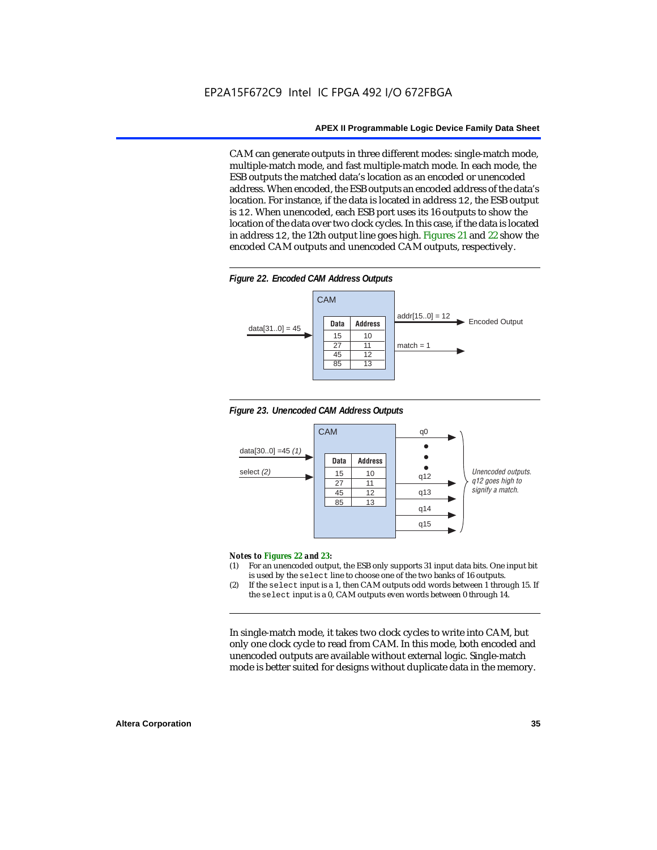CAM can generate outputs in three different modes: single-match mode, multiple-match mode, and fast multiple-match mode. In each mode, the ESB outputs the matched data's location as an encoded or unencoded address. When encoded, the ESB outputs an encoded address of the data's location. For instance, if the data is located in address 12, the ESB output is 12. When unencoded, each ESB port uses its 16 outputs to show the location of the data over two clock cycles. In this case, if the data is located in address 12, the 12th output line goes high. Figures 21 and 22 show the encoded CAM outputs and unencoded CAM outputs, respectively.









#### *Notes to Figures 22 and 23:*

- (1) For an unencoded output, the ESB only supports 31 input data bits. One input bit is used by the select line to choose one of the two banks of 16 outputs.
- (2) If the select input is a 1, then CAM outputs odd words between 1 through 15. If the select input is a 0, CAM outputs even words between 0 through 14.

In single-match mode, it takes two clock cycles to write into CAM, but only one clock cycle to read from CAM. In this mode, both encoded and unencoded outputs are available without external logic. Single-match mode is better suited for designs without duplicate data in the memory.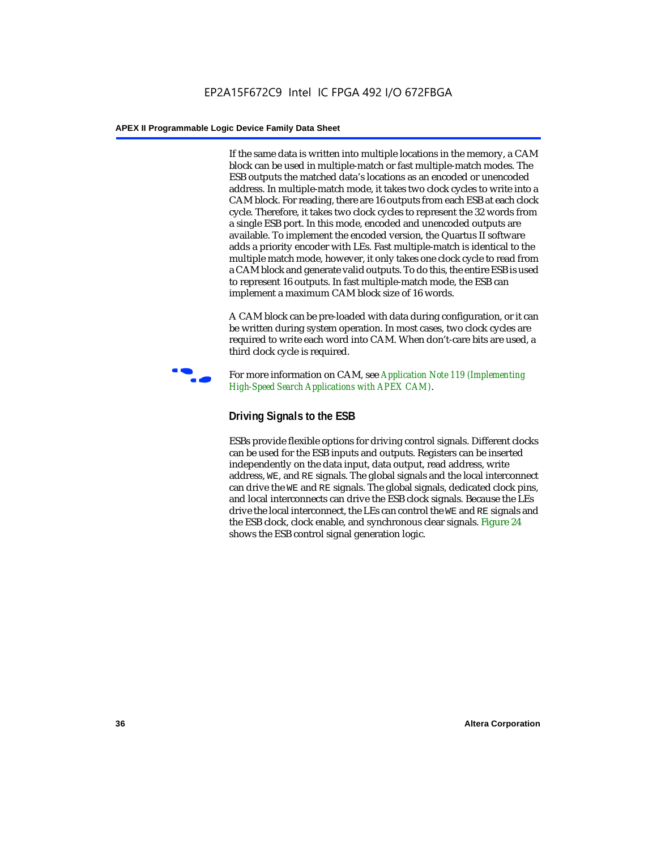If the same data is written into multiple locations in the memory, a CAM block can be used in multiple-match or fast multiple-match modes. The ESB outputs the matched data's locations as an encoded or unencoded address. In multiple-match mode, it takes two clock cycles to write into a CAM block. For reading, there are 16 outputs from each ESB at each clock cycle. Therefore, it takes two clock cycles to represent the 32 words from a single ESB port. In this mode, encoded and unencoded outputs are available. To implement the encoded version, the Quartus II software adds a priority encoder with LEs. Fast multiple-match is identical to the multiple match mode, however, it only takes one clock cycle to read from a CAM block and generate valid outputs. To do this, the entire ESB is used to represent 16 outputs. In fast multiple-match mode, the ESB can implement a maximum CAM block size of 16 words.

A CAM block can be pre-loaded with data during configuration, or it can be written during system operation. In most cases, two clock cycles are required to write each word into CAM. When don't-care bits are used, a third clock cycle is required.



f For more information on CAM, see *Application Note 119 (Implementing High-Speed Search Applications with APEX CAM)*.

## **Driving Signals to the ESB**

ESBs provide flexible options for driving control signals. Different clocks can be used for the ESB inputs and outputs. Registers can be inserted independently on the data input, data output, read address, write address, WE, and RE signals. The global signals and the local interconnect can drive the WE and RE signals. The global signals, dedicated clock pins, and local interconnects can drive the ESB clock signals. Because the LEs drive the local interconnect, the LEs can control the WE and RE signals and the ESB clock, clock enable, and synchronous clear signals. Figure 24 shows the ESB control signal generation logic.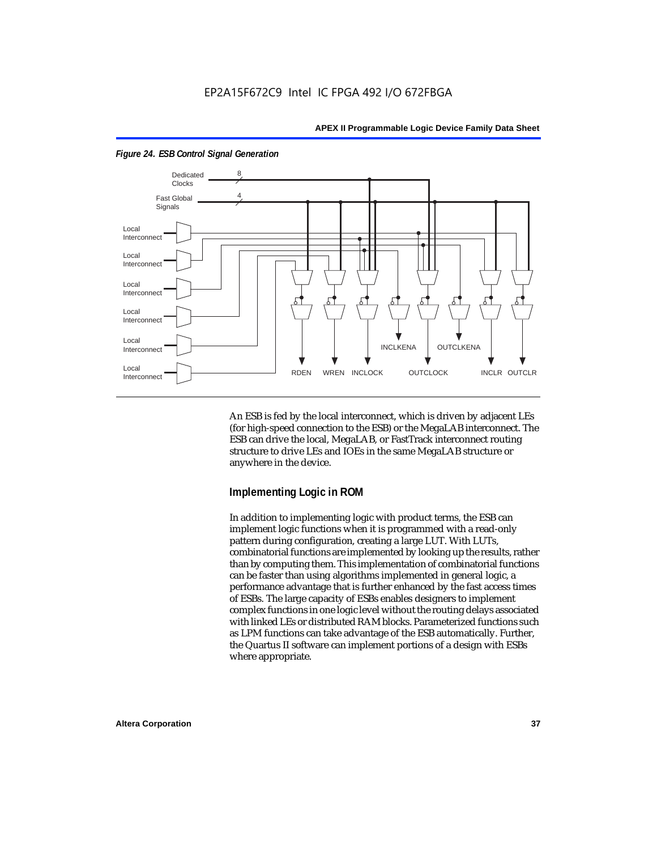

*Figure 24. ESB Control Signal Generation*

An ESB is fed by the local interconnect, which is driven by adjacent LEs (for high-speed connection to the ESB) or the MegaLAB interconnect. The ESB can drive the local, MegaLAB, or FastTrack interconnect routing structure to drive LEs and IOEs in the same MegaLAB structure or anywhere in the device.

## **Implementing Logic in ROM**

In addition to implementing logic with product terms, the ESB can implement logic functions when it is programmed with a read-only pattern during configuration, creating a large LUT. With LUTs, combinatorial functions are implemented by looking up the results, rather than by computing them. This implementation of combinatorial functions can be faster than using algorithms implemented in general logic, a performance advantage that is further enhanced by the fast access times of ESBs. The large capacity of ESBs enables designers to implement complex functions in one logic level without the routing delays associated with linked LEs or distributed RAM blocks. Parameterized functions such as LPM functions can take advantage of the ESB automatically. Further, the Quartus II software can implement portions of a design with ESBs where appropriate.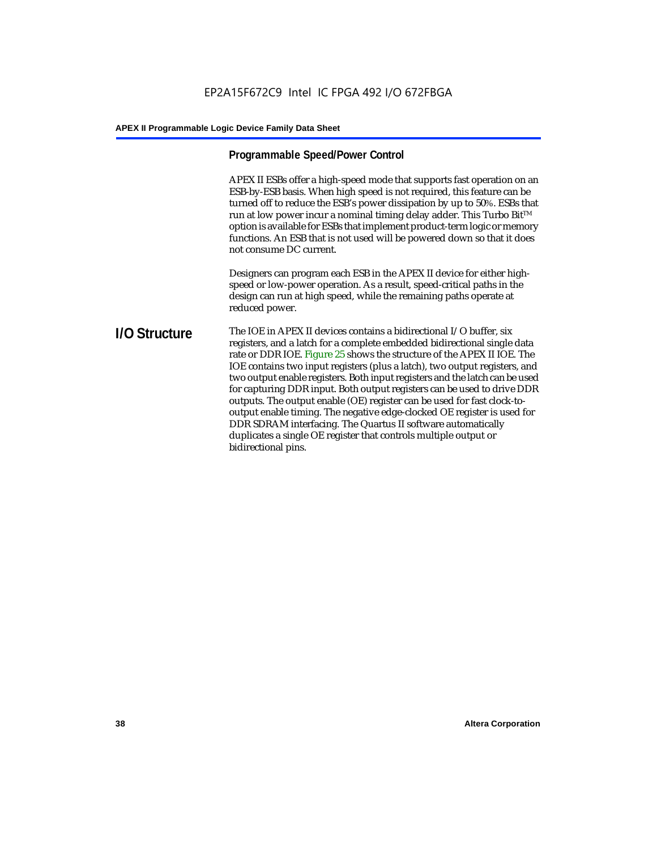## **Programmable Speed/Power Control**

APEX II ESBs offer a high-speed mode that supports fast operation on an ESB-by-ESB basis. When high speed is not required, this feature can be turned off to reduce the ESB's power dissipation by up to 50%. ESBs that run at low power incur a nominal timing delay adder. This Turbo Bit $TM$ option is available for ESBs that implement product-term logic or memory functions. An ESB that is not used will be powered down so that it does not consume DC current.

Designers can program each ESB in the APEX II device for either highspeed or low-power operation. As a result, speed-critical paths in the design can run at high speed, while the remaining paths operate at reduced power.

## **I/O Structure** The IOE in APEX II devices contains a bidirectional I/O buffer, six registers, and a latch for a complete embedded bidirectional single data rate or DDR IOE. Figure 25 shows the structure of the APEX II IOE. The IOE contains two input registers (plus a latch), two output registers, and two output enable registers. Both input registers and the latch can be used for capturing DDR input. Both output registers can be used to drive DDR outputs. The output enable (OE) register can be used for fast clock-tooutput enable timing. The negative edge-clocked OE register is used for DDR SDRAM interfacing. The Quartus II software automatically duplicates a single OE register that controls multiple output or bidirectional pins.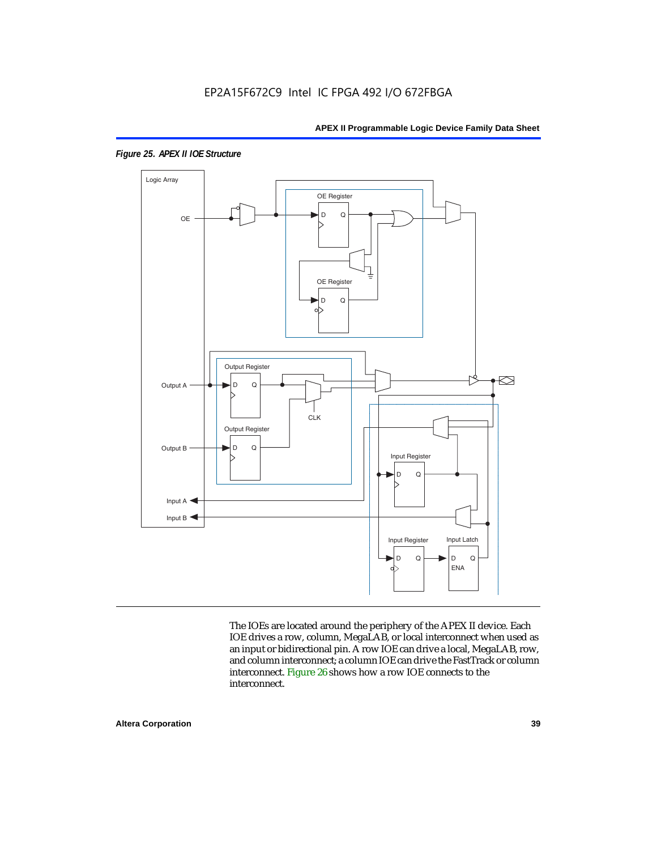

*Figure 25. APEX II IOE Structure*

The IOEs are located around the periphery of the APEX II device. Each IOE drives a row, column, MegaLAB, or local interconnect when used as an input or bidirectional pin. A row IOE can drive a local, MegaLAB, row, and column interconnect; a column IOE can drive the FastTrack or column interconnect. Figure 26 shows how a row IOE connects to the interconnect.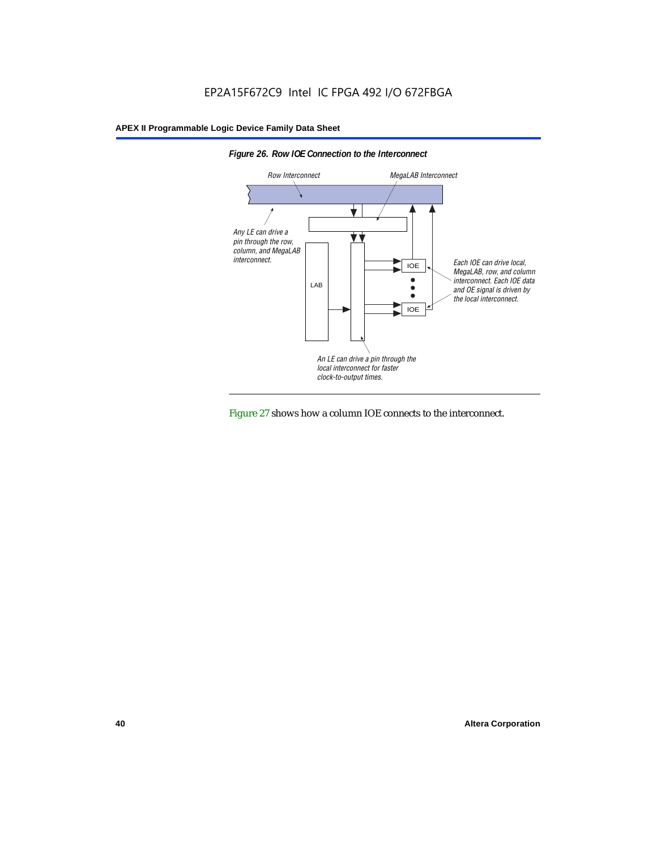



Figure 27 shows how a column IOE connects to the interconnect.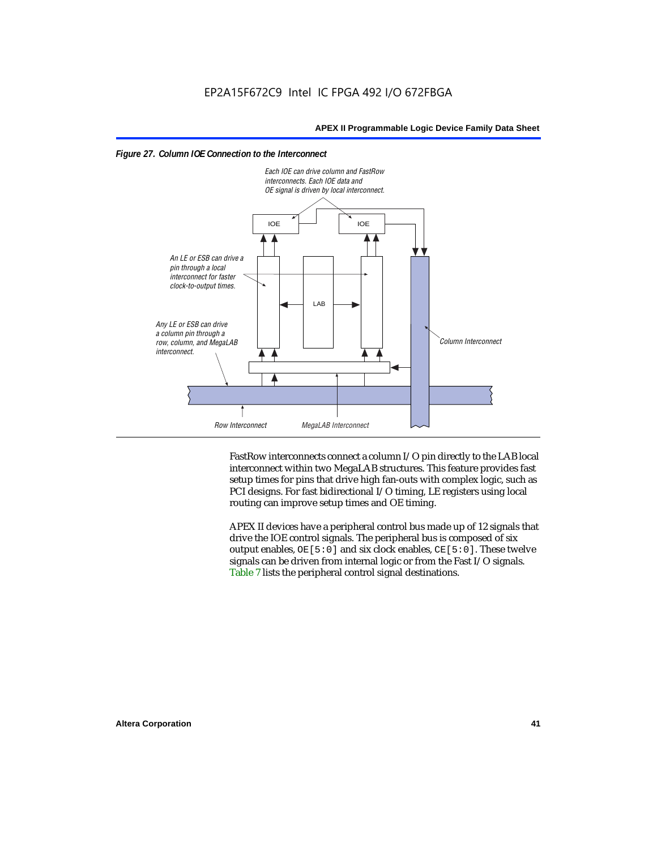



FastRow interconnects connect a column I/O pin directly to the LAB local interconnect within two MegaLAB structures. This feature provides fast setup times for pins that drive high fan-outs with complex logic, such as PCI designs. For fast bidirectional I/O timing, LE registers using local routing can improve setup times and OE timing.

APEX II devices have a peripheral control bus made up of 12 signals that drive the IOE control signals. The peripheral bus is composed of six output enables,  $OE[5:0]$  and six clock enables,  $CE[5:0]$ . These twelve signals can be driven from internal logic or from the Fast I/O signals. Table 7 lists the peripheral control signal destinations.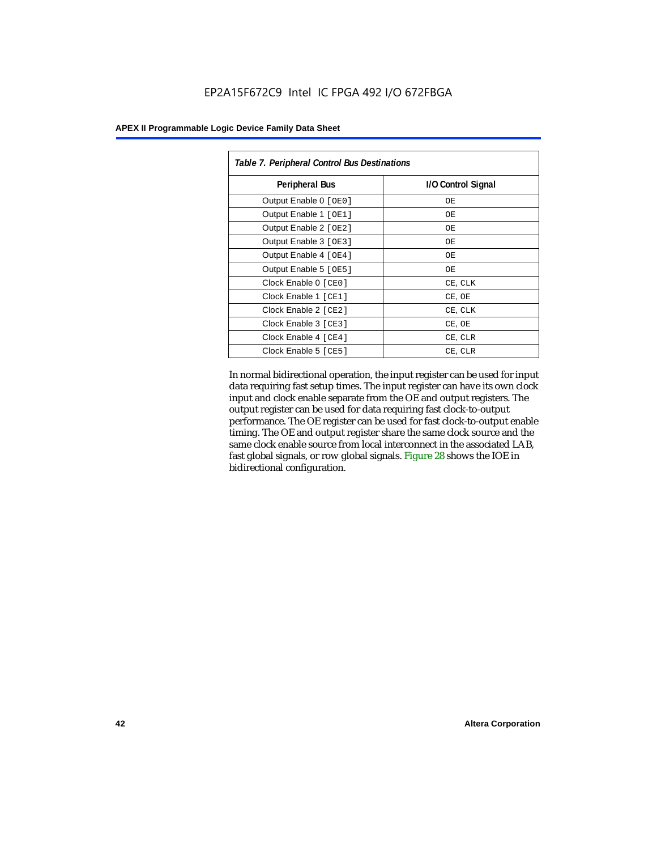| Table 7. Peripheral Control Bus Destinations |                    |  |  |  |
|----------------------------------------------|--------------------|--|--|--|
| <b>Peripheral Bus</b>                        | I/O Control Signal |  |  |  |
| Output Enable 0 [OE0]                        | OЕ                 |  |  |  |
| Output Enable 1 [OE1]                        | ОE                 |  |  |  |
| Output Enable 2 [OE2]                        | OЕ                 |  |  |  |
| Output Enable 3 [OE3]                        | ОE                 |  |  |  |
| Output Enable 4 [OE4]                        | OЕ                 |  |  |  |
| Output Enable 5 [OE5]                        | ОE                 |  |  |  |
| Clock Enable 0 [ CE0 ]                       | CE, CLK            |  |  |  |
| Clock Enable 1 [CE1]                         | CE, OE             |  |  |  |
| Clock Enable 2 [ CE2 ]                       | CE, CLK            |  |  |  |
| Clock Enable 3 [CE3]                         | CE, OE             |  |  |  |
| Clock Enable 4 [CE4]                         | CE, CLR            |  |  |  |
| Clock Enable 5 [ CE5 ]                       | CE, CLR            |  |  |  |

In normal bidirectional operation, the input register can be used for input data requiring fast setup times. The input register can have its own clock input and clock enable separate from the OE and output registers. The output register can be used for data requiring fast clock-to-output performance. The OE register can be used for fast clock-to-output enable timing. The OE and output register share the same clock source and the same clock enable source from local interconnect in the associated LAB, fast global signals, or row global signals. Figure 28 shows the IOE in bidirectional configuration.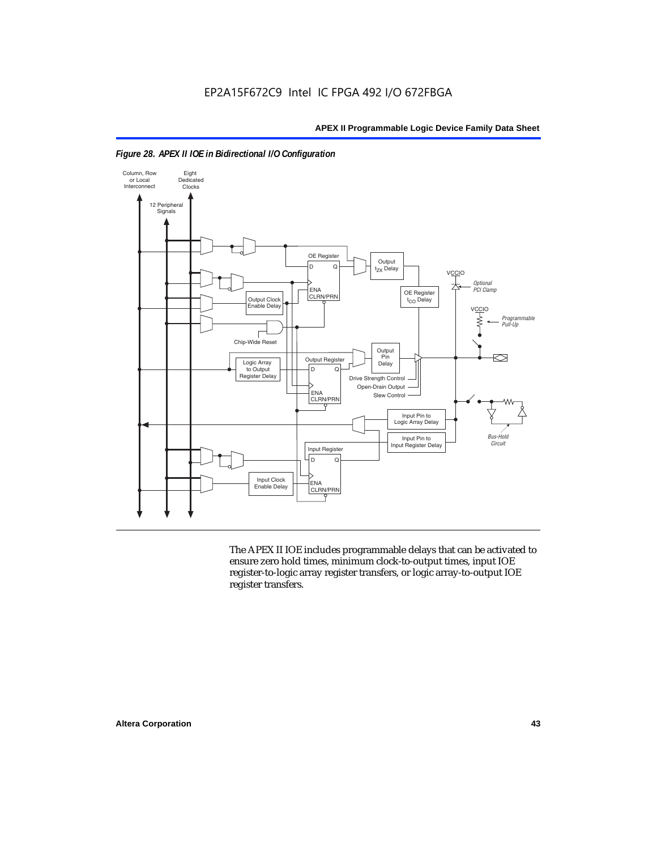



The APEX II IOE includes programmable delays that can be activated to ensure zero hold times, minimum clock-to-output times, input IOE register-to-logic array register transfers, or logic array-to-output IOE register transfers.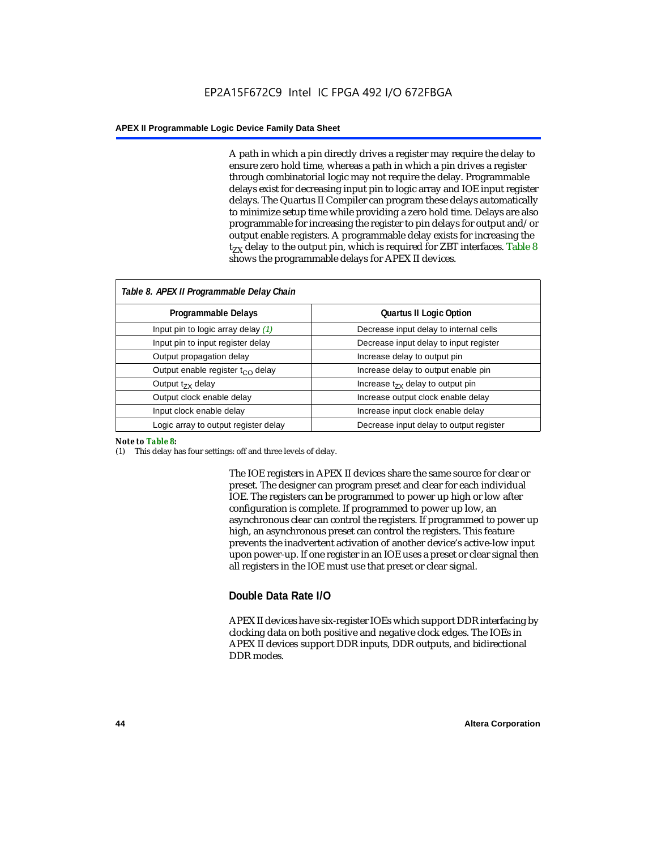A path in which a pin directly drives a register may require the delay to ensure zero hold time, whereas a path in which a pin drives a register through combinatorial logic may not require the delay. Programmable delays exist for decreasing input pin to logic array and IOE input register delays. The Quartus II Compiler can program these delays automatically to minimize setup time while providing a zero hold time. Delays are also programmable for increasing the register to pin delays for output and/or output enable registers. A programmable delay exists for increasing the  $t_{ZX}$  delay to the output pin, which is required for ZBT interfaces. Table 8 shows the programmable delays for APEX II devices.

| Table 8. APEX II Programmable Delay Chain |                                         |  |  |  |
|-------------------------------------------|-----------------------------------------|--|--|--|
| Programmable Delays                       | <b>Quartus II Logic Option</b>          |  |  |  |
| Input pin to logic array delay $(1)$      | Decrease input delay to internal cells  |  |  |  |
| Input pin to input register delay         | Decrease input delay to input register  |  |  |  |
| Output propagation delay                  | Increase delay to output pin            |  |  |  |
| Output enable register $t_{\rm CO}$ delay | Increase delay to output enable pin     |  |  |  |
| Output $t_{\rm rx}$ delay                 | Increase $t_{zx}$ delay to output pin   |  |  |  |
| Output clock enable delay                 | Increase output clock enable delay      |  |  |  |
| Input clock enable delay                  | Increase input clock enable delay       |  |  |  |
| Logic array to output register delay      | Decrease input delay to output register |  |  |  |

#### *Note to Table 8:*

(1) This delay has four settings: off and three levels of delay.

The IOE registers in APEX II devices share the same source for clear or preset. The designer can program preset and clear for each individual IOE. The registers can be programmed to power up high or low after configuration is complete. If programmed to power up low, an asynchronous clear can control the registers. If programmed to power up high, an asynchronous preset can control the registers. This feature prevents the inadvertent activation of another device's active-low input upon power-up. If one register in an IOE uses a preset or clear signal then all registers in the IOE must use that preset or clear signal.

## **Double Data Rate I/O**

APEX II devices have six-register IOEs which support DDR interfacing by clocking data on both positive and negative clock edges. The IOEs in APEX II devices support DDR inputs, DDR outputs, and bidirectional DDR modes.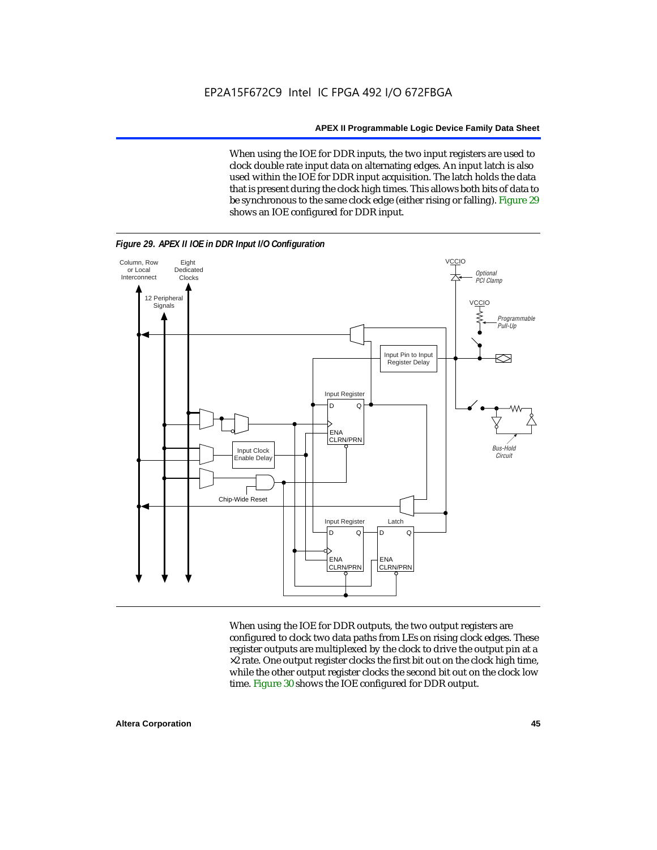When using the IOE for DDR inputs, the two input registers are used to clock double rate input data on alternating edges. An input latch is also used within the IOE for DDR input acquisition. The latch holds the data that is present during the clock high times. This allows both bits of data to be synchronous to the same clock edge (either rising or falling). Figure 29 shows an IOE configured for DDR input.



When using the IOE for DDR outputs, the two output registers are configured to clock two data paths from LEs on rising clock edges. These register outputs are multiplexed by the clock to drive the output pin at a  $\times 2$  rate. One output register clocks the first bit out on the clock high time, while the other output register clocks the second bit out on the clock low time. Figure 30 shows the IOE configured for DDR output.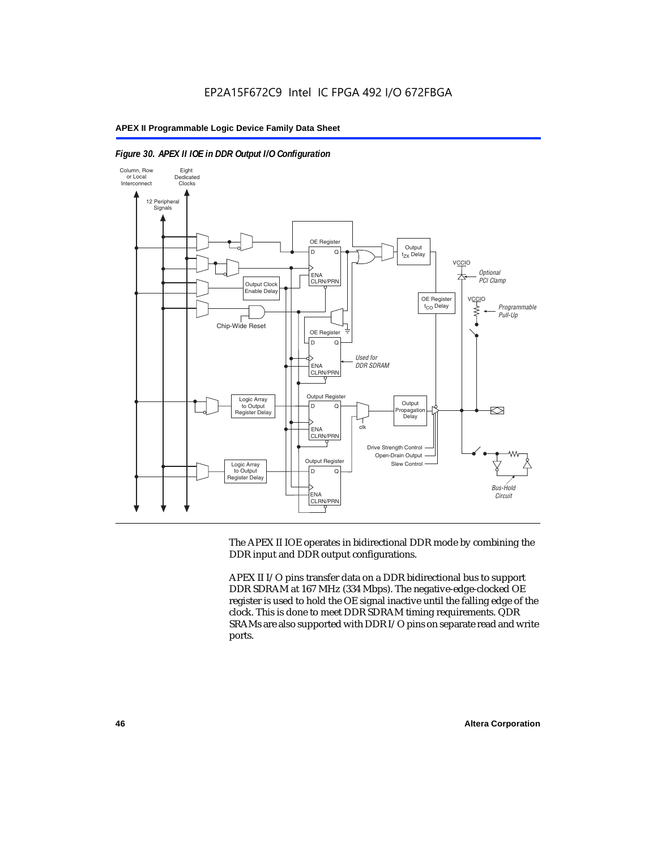



The APEX II IOE operates in bidirectional DDR mode by combining the DDR input and DDR output configurations.

APEX II I/O pins transfer data on a DDR bidirectional bus to support DDR SDRAM at 167 MHz (334 Mbps). The negative-edge-clocked OE register is used to hold the OE signal inactive until the falling edge of the clock. This is done to meet DDR SDRAM timing requirements. QDR SRAMs are also supported with DDR I/O pins on separate read and write ports.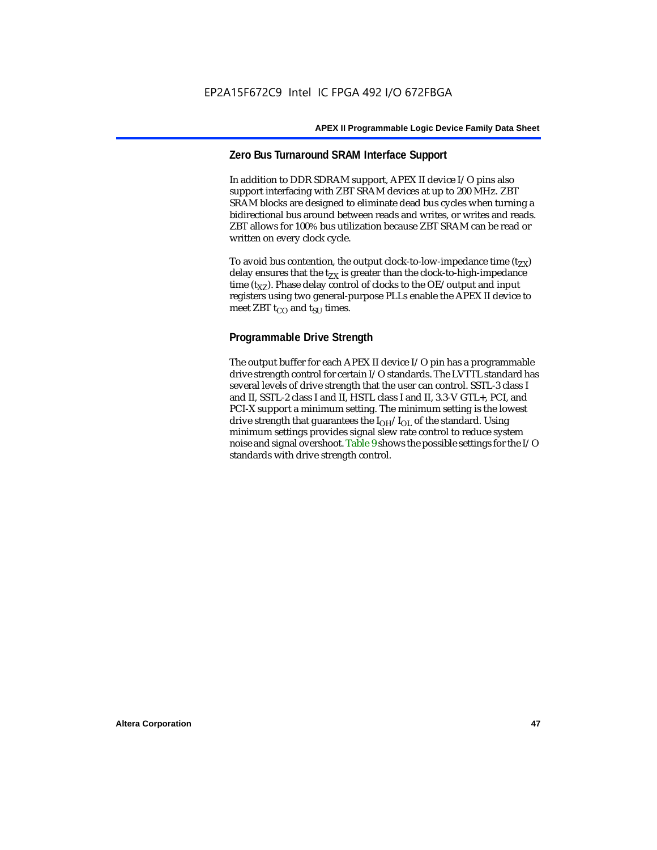## **Zero Bus Turnaround SRAM Interface Support**

In addition to DDR SDRAM support, APEX II device I/O pins also support interfacing with ZBT SRAM devices at up to 200 MHz. ZBT SRAM blocks are designed to eliminate dead bus cycles when turning a bidirectional bus around between reads and writes, or writes and reads. ZBT allows for 100% bus utilization because ZBT SRAM can be read or written on every clock cycle.

To avoid bus contention, the output clock-to-low-impedance time  $(t_{ZX})$ delay ensures that the  $t_{ZX}$  is greater than the clock-to-high-impedance time  $(t_{\text{YZ}})$ . Phase delay control of clocks to the OE/output and input registers using two general-purpose PLLs enable the APEX II device to meet ZBT  $t_{CO}$  and  $t_{SUI}$  times.

## **Programmable Drive Strength**

The output buffer for each APEX II device I/O pin has a programmable drive strength control for certain I/O standards. The LVTTL standard has several levels of drive strength that the user can control. SSTL-3 class I and II, SSTL-2 class I and II, HSTL class I and II, 3.3-V GTL+, PCI, and PCI-X support a minimum setting. The minimum setting is the lowest drive strength that guarantees the  $I<sub>OH</sub>/I<sub>OL</sub>$  of the standard. Using minimum settings provides signal slew rate control to reduce system noise and signal overshoot. Table 9 shows the possible settings for the I/O standards with drive strength control.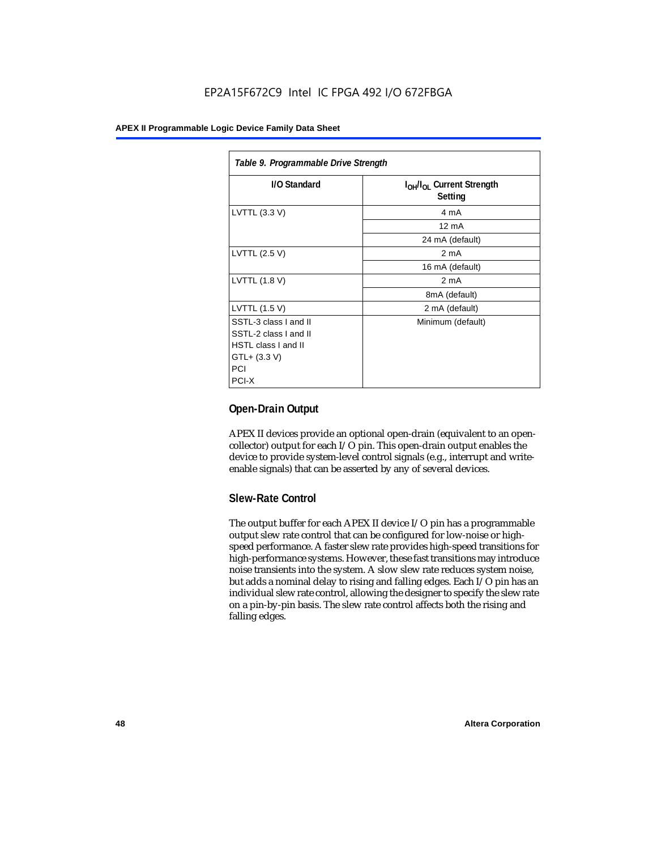## EP2A15F672C9 Intel IC FPGA 492 I/O 672FBGA

#### **APEX II Programmable Logic Device Family Data Sheet**

| Table 9. Programmable Drive Strength |                                                              |  |  |  |
|--------------------------------------|--------------------------------------------------------------|--|--|--|
| I/O Standard                         | I <sub>OH</sub> /I <sub>OL</sub> Current Strength<br>Setting |  |  |  |
| LVTTL (3.3 V)                        | 4 mA                                                         |  |  |  |
|                                      | $12 \text{ mA}$                                              |  |  |  |
|                                      | 24 mA (default)                                              |  |  |  |
| LVTTL (2.5 V)                        | 2 <sub>m</sub> A                                             |  |  |  |
|                                      | 16 mA (default)                                              |  |  |  |
| LVTTL (1.8 V)                        | 2 mA                                                         |  |  |  |
|                                      | 8mA (default)                                                |  |  |  |
| LVTTL (1.5 V)                        | 2 mA (default)                                               |  |  |  |
| SSTL-3 class I and II                | Minimum (default)                                            |  |  |  |
| SSTL-2 class I and II                |                                                              |  |  |  |
| HSTL class I and II                  |                                                              |  |  |  |
| GTL+ (3.3 V)                         |                                                              |  |  |  |
| PCI                                  |                                                              |  |  |  |
| PCI-X                                |                                                              |  |  |  |

## **Open-Drain Output**

APEX II devices provide an optional open-drain (equivalent to an opencollector) output for each I/O pin. This open-drain output enables the device to provide system-level control signals (e.g., interrupt and writeenable signals) that can be asserted by any of several devices.

## **Slew-Rate Control**

The output buffer for each APEX II device I/O pin has a programmable output slew rate control that can be configured for low-noise or highspeed performance. A faster slew rate provides high-speed transitions for high-performance systems. However, these fast transitions may introduce noise transients into the system. A slow slew rate reduces system noise, but adds a nominal delay to rising and falling edges. Each I/O pin has an individual slew rate control, allowing the designer to specify the slew rate on a pin-by-pin basis. The slew rate control affects both the rising and falling edges.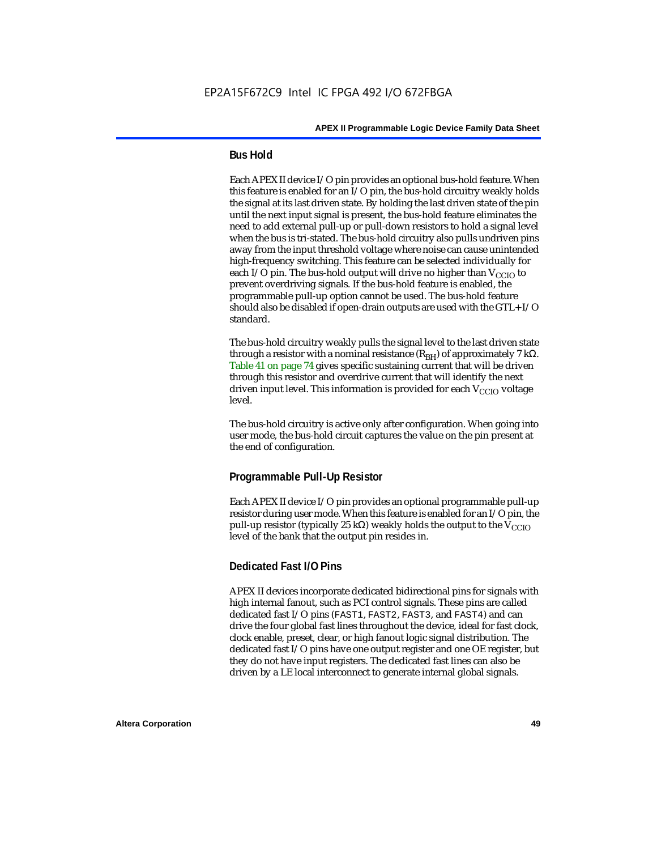## **Bus Hold**

Each APEX II device I/O pin provides an optional bus-hold feature. When this feature is enabled for an I/O pin, the bus-hold circuitry weakly holds the signal at its last driven state. By holding the last driven state of the pin until the next input signal is present, the bus-hold feature eliminates the need to add external pull-up or pull-down resistors to hold a signal level when the bus is tri-stated. The bus-hold circuitry also pulls undriven pins away from the input threshold voltage where noise can cause unintended high-frequency switching. This feature can be selected individually for each I/O pin. The bus-hold output will drive no higher than  $V_{CCIO}$  to prevent overdriving signals. If the bus-hold feature is enabled, the programmable pull-up option cannot be used. The bus-hold feature should also be disabled if open-drain outputs are used with the GTL+ I/O standard.

The bus-hold circuitry weakly pulls the signal level to the last driven state through a resistor with a nominal resistance  $(R_{BH})$  of approximately 7 kΩ. Table 41 on page 74 gives specific sustaining current that will be driven through this resistor and overdrive current that will identify the next driven input level. This information is provided for each  $V_{CCIO}$  voltage level.

The bus-hold circuitry is active only after configuration. When going into user mode, the bus-hold circuit captures the value on the pin present at the end of configuration.

## **Programmable Pull-Up Resistor**

Each APEX II device I/O pin provides an optional programmable pull-up resistor during user mode. When this feature is enabled for an I/O pin, the pull-up resistor (typically 25 kΩ) weakly holds the output to the  $V_{CCIO}$ level of the bank that the output pin resides in.

## **Dedicated Fast I/O Pins**

APEX II devices incorporate dedicated bidirectional pins for signals with high internal fanout, such as PCI control signals. These pins are called dedicated fast I/O pins (FAST1, FAST2, FAST3, and FAST4) and can drive the four global fast lines throughout the device, ideal for fast clock, clock enable, preset, clear, or high fanout logic signal distribution. The dedicated fast I/O pins have one output register and one OE register, but they do not have input registers. The dedicated fast lines can also be driven by a LE local interconnect to generate internal global signals.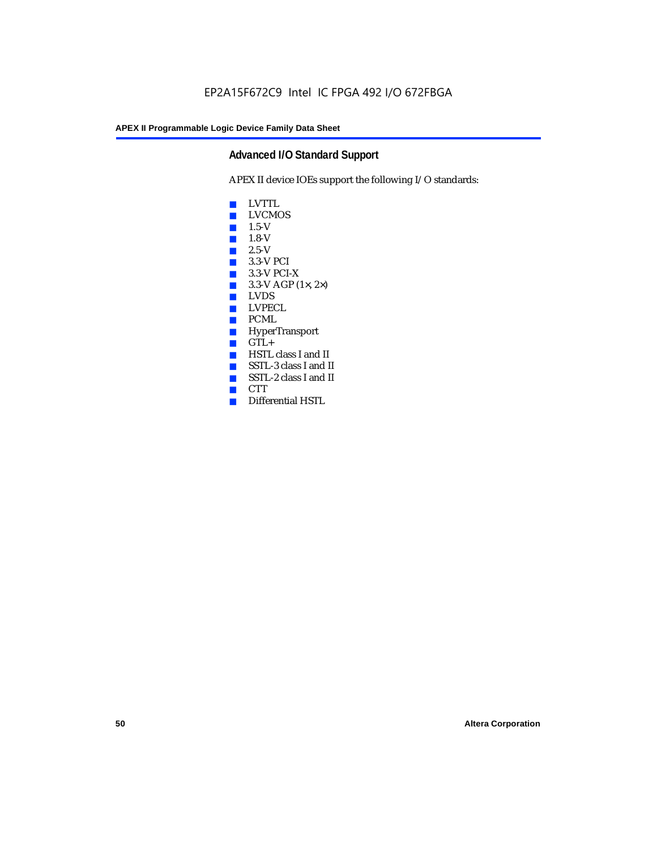## **Advanced I/O Standard Support**

APEX II device IOEs support the following I/O standards:

- LVTTL
- LVCMOS
- 1.5-V
- 1.8-V
- 2.5-V
- 3.3-V PCI
- 3.3-V PCI-X
- $\blacksquare$  3.3-V AGP (1 $\times$ , 2 $\times$ )
- LVDS<br>■ LVPE
- LVPECL
- PCML
- HyperTransport
- GTL+<br>■ HSTL
- HSTL class I and II
- SSTL-3 class I and II
- SSTL-2 class I and II
- CTT
- Differential HSTL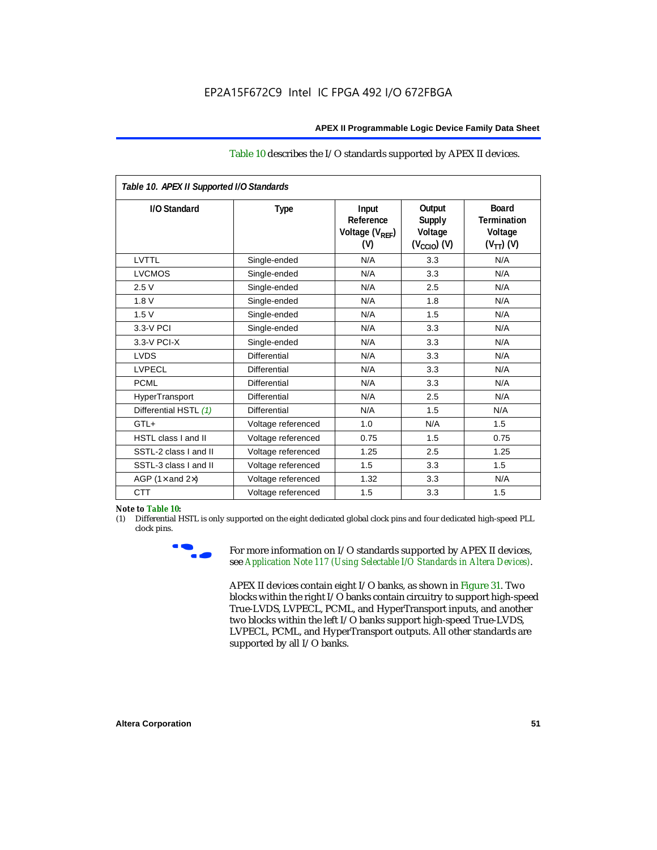#### Table 10 describes the I/O standards supported by APEX II devices.

| Table 10. APEX II Supported I/O Standards |                    |                                                  |                                                               |                                                                   |  |  |
|-------------------------------------------|--------------------|--------------------------------------------------|---------------------------------------------------------------|-------------------------------------------------------------------|--|--|
| I/O Standard                              | <b>Type</b>        | Input<br>Reference<br>Voltage $(V_{RFF})$<br>(V) | Output<br><b>Supply</b><br>Voltage<br>$(V_{\text{CCIO}})$ (V) | <b>Board</b><br><b>Termination</b><br>Voltage<br>$(V_{TT})$ $(V)$ |  |  |
| LVTTL                                     | Single-ended       | N/A                                              | 3.3                                                           | N/A                                                               |  |  |
| <b>LVCMOS</b>                             | Single-ended       | N/A                                              | 3.3                                                           | N/A                                                               |  |  |
| 2.5V                                      | Single-ended       | N/A                                              | 2.5                                                           | N/A                                                               |  |  |
| 1.8V                                      | Single-ended       | N/A                                              | 1.8                                                           | N/A                                                               |  |  |
| 1.5V                                      | Single-ended       | N/A                                              | 1.5                                                           | N/A                                                               |  |  |
| 3.3-V PCI                                 | Single-ended       | N/A                                              | 3.3                                                           | N/A                                                               |  |  |
| $3.3-V$ PCI-X                             | Single-ended       | N/A                                              | 3.3                                                           | N/A                                                               |  |  |
| <b>LVDS</b>                               | Differential       | N/A                                              | 3.3                                                           | N/A                                                               |  |  |
| <b>LVPECL</b>                             | Differential       | N/A                                              | 3.3                                                           | N/A                                                               |  |  |
| <b>PCML</b>                               | Differential       | N/A                                              | 3.3                                                           | N/A                                                               |  |  |
| HyperTransport                            | Differential       | N/A                                              | 2.5                                                           | N/A                                                               |  |  |
| Differential HSTL (1)                     | Differential       | N/A                                              | 1.5                                                           | N/A                                                               |  |  |
| $GTL+$                                    | Voltage referenced | 1.0                                              | N/A                                                           | 1.5                                                               |  |  |
| <b>HSTL class I and II</b>                | Voltage referenced | 0.75                                             | 1.5                                                           | 0.75                                                              |  |  |
| SSTL-2 class I and II                     | Voltage referenced | 1.25                                             | 2.5                                                           | 1.25                                                              |  |  |
| SSTL-3 class I and II                     | Voltage referenced | 1.5                                              | 3.3                                                           | 1.5                                                               |  |  |
| AGP (1 $\times$ and 2 $\times$ )          | Voltage referenced | 1.32                                             | 3.3                                                           | N/A                                                               |  |  |
| <b>CTT</b>                                | Voltage referenced | 1.5                                              | 3.3                                                           | 1.5                                                               |  |  |

#### *Note to Table 10:*

(1) Differential HSTL is only supported on the eight dedicated global clock pins and four dedicated high-speed PLL clock pins.



For more information on I/O standards supported by APEX II devices, see *Application Note 117 (Using Selectable I/O Standards in Altera Devices)*.

APEX II devices contain eight I/O banks, as shown in Figure 31. Two blocks within the right I/O banks contain circuitry to support high-speed True-LVDS, LVPECL, PCML, and HyperTransport inputs, and another two blocks within the left I/O banks support high-speed True-LVDS, LVPECL, PCML, and HyperTransport outputs. All other standards are supported by all I/O banks.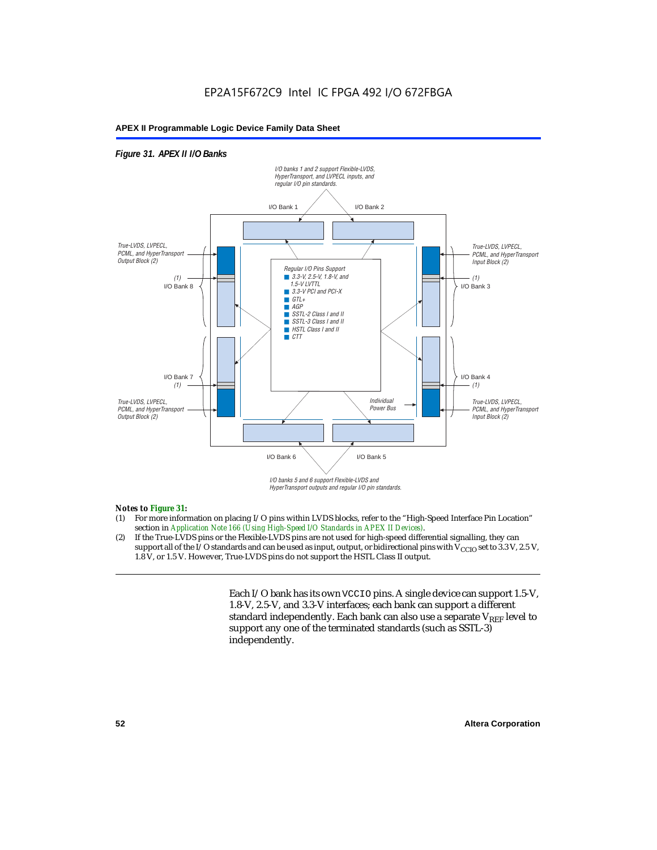## *Figure 31. APEX II I/O Banks*



HyperTransport outputs and regular I/O pin standards.

#### *Notes to Figure 31:*

- (1) For more information on placing I/O pins within LVDS blocks, refer to the "High-Speed Interface Pin Location" section in *Application Note 166 (Using High-Speed I/O Standards in APEX II Devices)*.
- (2) If the True-LVDS pins or the Flexible-LVDS pins are not used for high-speed differential signalling, they can support all of the I/O standards and can be used as input, output, or bidirectional pins with  $V_{CCIO}$  set to 3.3 V, 2.5 V, 1.8 V, or 1.5 V. However, True-LVDS pins do not support the HSTL Class II output.

Each I/O bank has its own VCCIO pins. A single device can support 1.5-V, 1.8-V, 2.5-V, and 3.3-V interfaces; each bank can support a different standard independently. Each bank can also use a separate  $V_{REF}$  level to support any one of the terminated standards (such as SSTL-3) independently.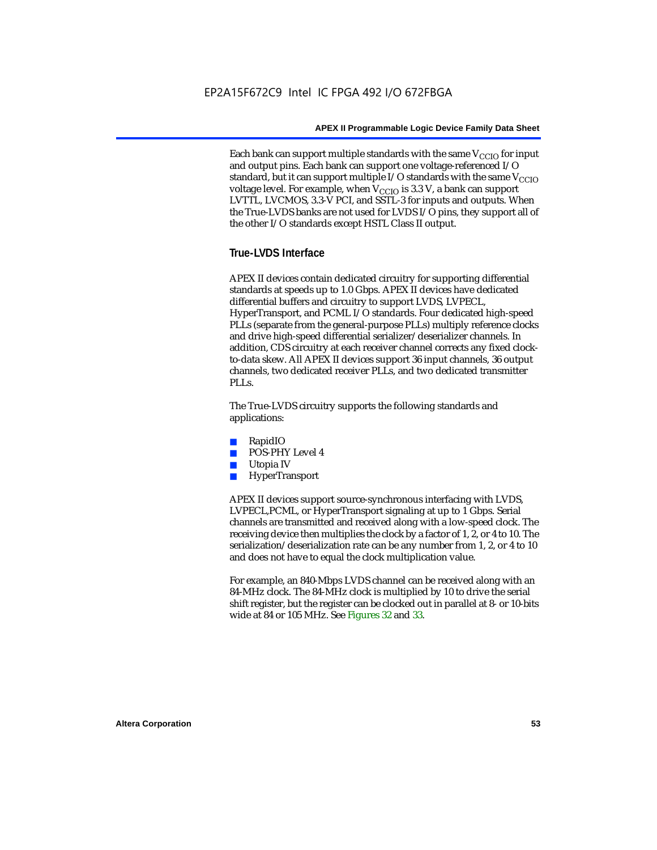Each bank can support multiple standards with the same  $V_{\text{CCIO}}$  for input and output pins. Each bank can support one voltage-referenced I/O standard, but it can support multiple I/O standards with the same  $V_{CCIO}$ voltage level. For example, when  $V_{CCIO}$  is 3.3 V, a bank can support LVTTL, LVCMOS, 3.3-V PCI, and SSTL-3 for inputs and outputs. When the True-LVDS banks are not used for LVDS I/O pins, they support all of the other I/O standards except HSTL Class II output.

## **True-LVDS Interface**

APEX II devices contain dedicated circuitry for supporting differential standards at speeds up to 1.0 Gbps. APEX II devices have dedicated differential buffers and circuitry to support LVDS, LVPECL, HyperTransport, and PCML I/O standards. Four dedicated high-speed PLLs (separate from the general-purpose PLLs) multiply reference clocks and drive high-speed differential serializer/deserializer channels. In addition, CDS circuitry at each receiver channel corrects any fixed clockto-data skew. All APEX II devices support 36 input channels, 36 output channels, two dedicated receiver PLLs, and two dedicated transmitter PLL<sub>s</sub>.

The True-LVDS circuitry supports the following standards and applications:

- RapidIO
- POS-PHY Level 4
- Utopia IV
- **HyperTransport**

APEX II devices support source-synchronous interfacing with LVDS, LVPECL,PCML, or HyperTransport signaling at up to 1 Gbps. Serial channels are transmitted and received along with a low-speed clock. The receiving device then multiplies the clock by a factor of 1, 2, or 4 to 10. The serialization/deserialization rate can be any number from 1, 2, or 4 to 10 and does not have to equal the clock multiplication value.

For example, an 840-Mbps LVDS channel can be received along with an 84-MHz clock. The 84-MHz clock is multiplied by 10 to drive the serial shift register, but the register can be clocked out in parallel at 8- or 10-bits wide at 84 or 105 MHz. See Figures 32 and 33.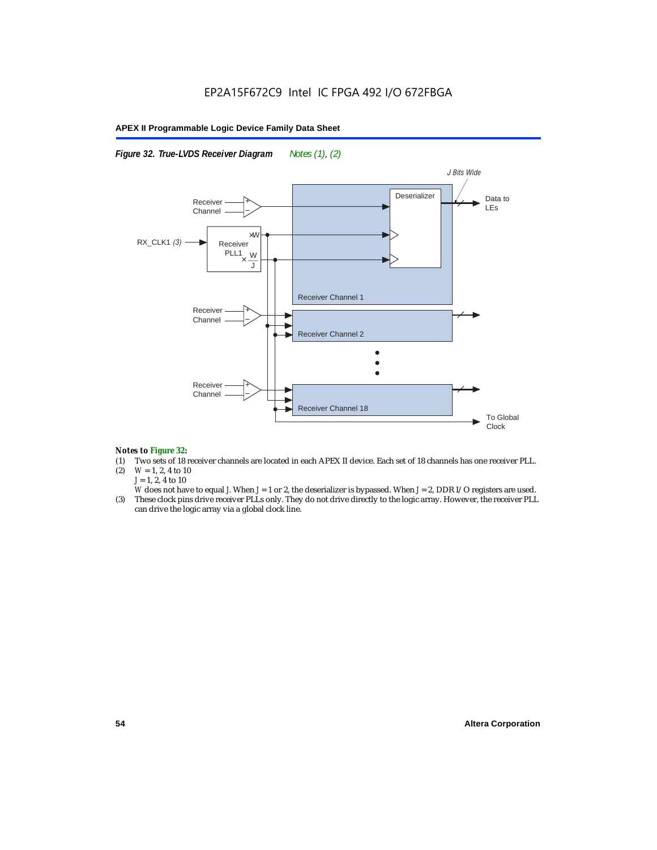### *Figure 32. True-LVDS Receiver Diagram Notes (1), (2)*



#### *Notes to Figure 32:*

- (1) Two sets of 18 receiver channels are located in each APEX II device. Each set of 18 channels has one receiver PLL.<br>(2)  $W = 1, 2, 4$  to 10
- $W = 1, 2, 4$  to 10 *J* = 1, 2, 4 to 10
- *W* does not have to equal *J*. When *J* = 1 or 2, the deserializer is bypassed. When *J* = 2, DDR I/O registers are used.
- (3) These clock pins drive receiver PLLs only. They do not drive directly to the logic array. However, the receiver PLL can drive the logic array via a global clock line.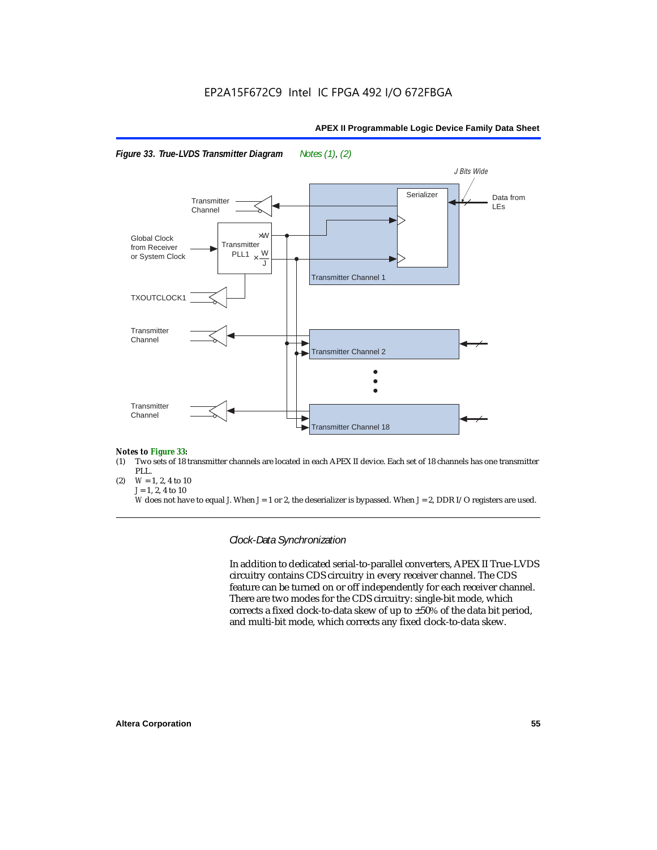



#### *Notes to Figure 33:*

- (1) Two sets of 18 transmitter channels are located in each APEX II device. Each set of 18 channels has one transmitter PLL.
- (2)  $W = 1, 2, 4$  to 10 *J* = 1, 2, 4 to 10

*W* does not have to equal *J*. When *J* = 1 or 2, the deserializer is bypassed. When *J* = 2, DDR I/O registers are used.

*Clock-Data Synchronization*

In addition to dedicated serial-to-parallel converters, APEX II True-LVDS circuitry contains CDS circuitry in every receiver channel. The CDS feature can be turned on or off independently for each receiver channel. There are two modes for the CDS circuitry: single-bit mode, which corrects a fixed clock-to-data skew of up to ±50% of the data bit period, and multi-bit mode, which corrects any fixed clock-to-data skew.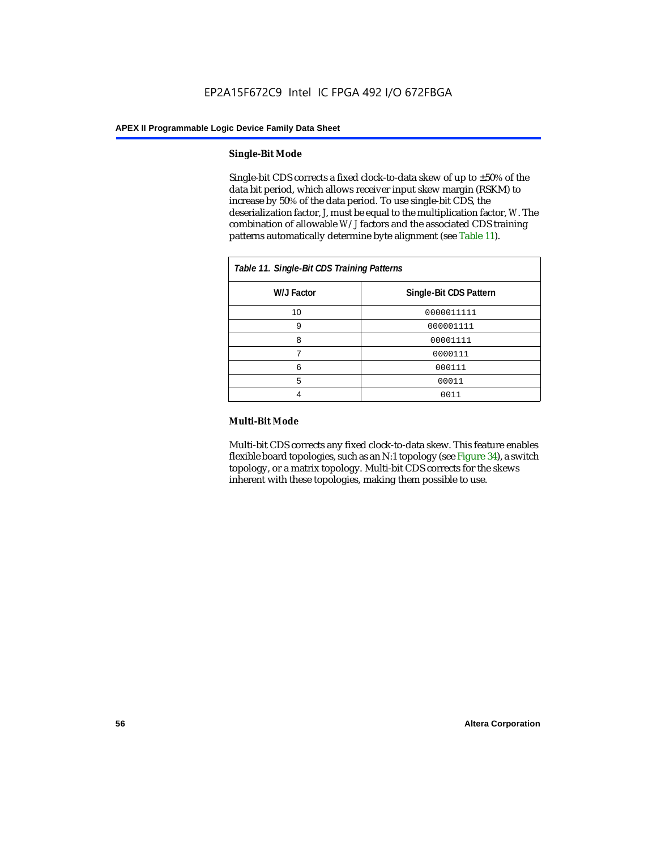#### **Single-Bit Mode**

Single-bit CDS corrects a fixed clock-to-data skew of up to  $\pm 50\%$  of the data bit period, which allows receiver input skew margin (RSKM) to increase by 50% of the data period. To use single-bit CDS, the deserialization factor, *J*, must be equal to the multiplication factor, *W*. The combination of allowable *W*/*J* factors and the associated CDS training patterns automatically determine byte alignment (see Table 11).

| Table 11. Single-Bit CDS Training Patterns |                        |  |  |  |
|--------------------------------------------|------------------------|--|--|--|
| W/J Factor                                 | Single-Bit CDS Pattern |  |  |  |
| 10                                         | 0000011111             |  |  |  |
| 9                                          | 000001111              |  |  |  |
| 8                                          | 00001111               |  |  |  |
|                                            | 0000111                |  |  |  |
| 6                                          | 000111                 |  |  |  |
| 5                                          | 00011                  |  |  |  |
|                                            | 0011                   |  |  |  |

#### **Multi-Bit Mode**

Multi-bit CDS corrects any fixed clock-to-data skew. This feature enables flexible board topologies, such as an N:1 topology (see Figure 34), a switch topology, or a matrix topology. Multi-bit CDS corrects for the skews inherent with these topologies, making them possible to use.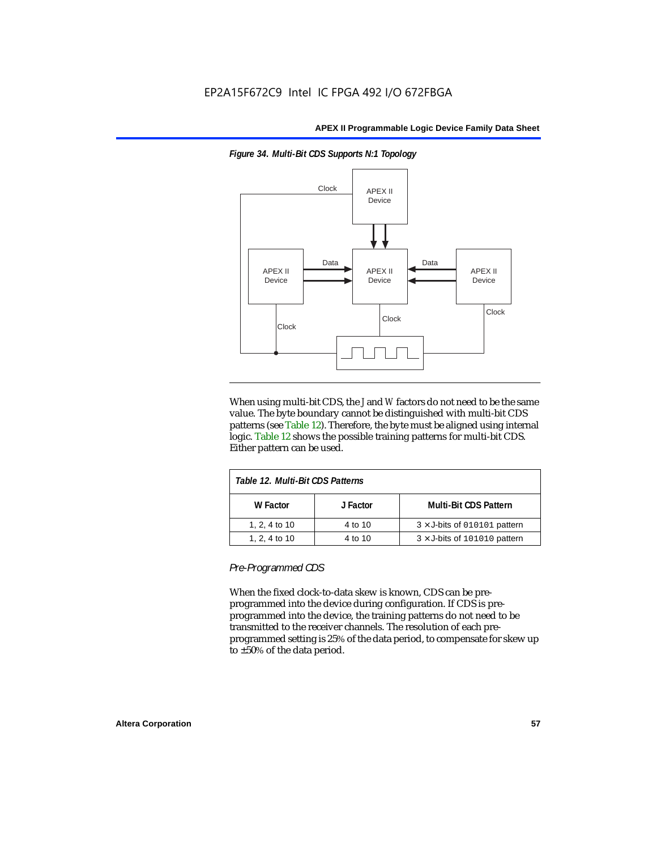

*Figure 34. Multi-Bit CDS Supports N:1 Topology*

When using multi-bit CDS, the *J* and *W* factors do not need to be the same value. The byte boundary cannot be distinguished with multi-bit CDS patterns (see Table 12). Therefore, the byte must be aligned using internal logic. Table 12 shows the possible training patterns for multi-bit CDS. Either pattern can be used.

| Table 12. Multi-Bit CDS Patterns |          |                                     |  |  |  |
|----------------------------------|----------|-------------------------------------|--|--|--|
| W Factor                         | J Factor | <b>Multi-Bit CDS Pattern</b>        |  |  |  |
| 1, 2, 4 to 10                    | 4 to 10  | $3 \times$ J-bits of 010101 pattern |  |  |  |
| 1, 2, 4 to 10                    | 4 to 10  | $3 \times$ J-bits of 101010 pattern |  |  |  |

*Pre-Programmed CDS*

When the fixed clock-to-data skew is known, CDS can be preprogrammed into the device during configuration. If CDS is preprogrammed into the device, the training patterns do not need to be transmitted to the receiver channels. The resolution of each preprogrammed setting is 25% of the data period, to compensate for skew up to ±50% of the data period.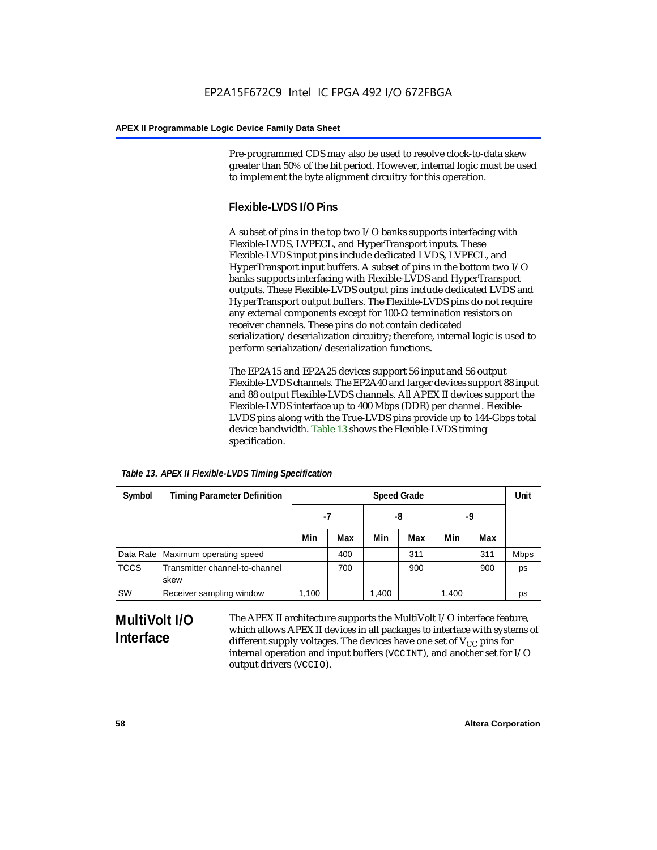Pre-programmed CDS may also be used to resolve clock-to-data skew greater than 50% of the bit period. However, internal logic must be used to implement the byte alignment circuitry for this operation.

## **Flexible-LVDS I/O Pins**

A subset of pins in the top two I/O banks supports interfacing with Flexible-LVDS, LVPECL, and HyperTransport inputs. These Flexible-LVDS input pins include dedicated LVDS, LVPECL, and HyperTransport input buffers. A subset of pins in the bottom two I/O banks supports interfacing with Flexible-LVDS and HyperTransport outputs. These Flexible-LVDS output pins include dedicated LVDS and HyperTransport output buffers. The Flexible-LVDS pins do not require any external components except for 100-Ω termination resistors on receiver channels. These pins do not contain dedicated serialization/deserialization circuitry; therefore, internal logic is used to perform serialization/deserialization functions.

The EP2A15 and EP2A25 devices support 56 input and 56 output Flexible-LVDS channels. The EP2A40 and larger devices support 88 input and 88 output Flexible-LVDS channels. All APEX II devices support the Flexible-LVDS interface up to 400 Mbps (DDR) per channel. Flexible-LVDS pins along with the True-LVDS pins provide up to 144-Gbps total device bandwidth. Table 13 shows the Flexible-LVDS timing specification.

| Table 13. APEX II Flexible-LVDS Timing Specification |                                        |                    |     |       |     |       |      |             |
|------------------------------------------------------|----------------------------------------|--------------------|-----|-------|-----|-------|------|-------------|
| Symbol                                               | <b>Timing Parameter Definition</b>     | <b>Speed Grade</b> |     |       |     |       | Unit |             |
|                                                      |                                        | -7                 |     | -8    |     | -9    |      |             |
|                                                      |                                        | Min                | Max | Min   | Max | Min   | Max  |             |
|                                                      | Data Rate   Maximum operating speed    |                    | 400 |       | 311 |       | 311  | <b>Mbps</b> |
| <b>TCCS</b>                                          | Transmitter channel-to-channel<br>skew |                    | 700 |       | 900 |       | 900  | ps          |
| <b>SW</b>                                            | Receiver sampling window               | 1,100              |     | 1,400 |     | 1,400 |      | ps          |

# **MultiVolt I/O Interface**

The APEX II architecture supports the MultiVolt I/O interface feature, which allows APEX II devices in all packages to interface with systems of different supply voltages. The devices have one set of  $V_{CC}$  pins for internal operation and input buffers (VCCINT), and another set for I/O output drivers (VCCIO).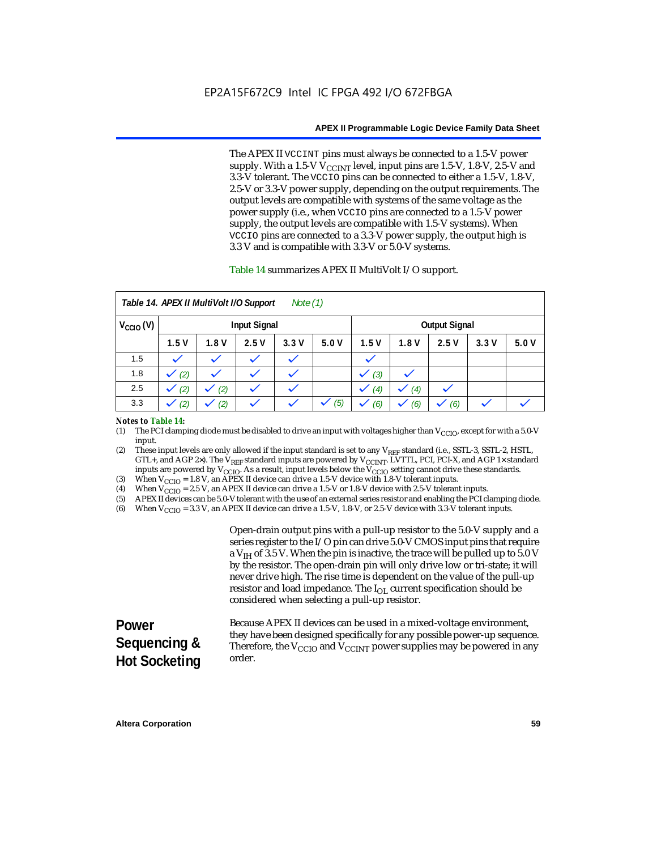The APEX II VCCINT pins must always be connected to a 1.5-V power supply. With a 1.5-V  $V_{\text{CCINT}}$  level, input pins are 1.5-V, 1.8-V, 2.5-V and 3.3-V tolerant. The VCCIO pins can be connected to either a 1.5-V, 1.8-V, 2.5-V or 3.3-V power supply, depending on the output requirements. The output levels are compatible with systems of the same voltage as the power supply (i.e., when VCCIO pins are connected to a 1.5-V power supply, the output levels are compatible with 1.5-V systems). When VCCIO pins are connected to a 3.3-V power supply, the output high is 3.3 V and is compatible with 3.3-V or 5.0-V systems.

### Table 14 summarizes APEX II MultiVolt I/O support.

| Table 14. APEX II MultiVolt I/O Support<br>Note $(1)$ |                     |      |      |      |      |      |      |                      |      |      |
|-------------------------------------------------------|---------------------|------|------|------|------|------|------|----------------------|------|------|
| $V_{\text{CCIO}}(V)$                                  | <b>Input Signal</b> |      |      |      |      |      |      | <b>Output Signal</b> |      |      |
|                                                       | 1.5V                | 1.8V | 2.5V | 3.3V | 5.0V | 1.5V | 1.8V | 2.5V                 | 3.3V | 5.0V |
| 1.5                                                   |                     |      |      |      |      |      |      |                      |      |      |
| 1.8                                                   | (2)                 |      |      |      |      | (3)  |      |                      |      |      |
| 2.5                                                   | (2)                 | (2)  |      | k.   |      | (4)  | (4)  |                      |      |      |
| 3.3                                                   | (2)                 | (2)  |      |      | (5)  | (6)  | (6)  | (6)                  |      |      |

#### *Notes to Table 14:*

(1) The PCI clamping diode must be disabled to drive an input with voltages higher than  $V_{\rm CClO}$ , except for with a 5.0-V input.

(2) These input levels are only allowed if the input standard is set to any V<sub>REF</sub> standard (i.e., SSTL-3, SSTL-2, HSTL, GTL+, and AGP 2×). The V<sub>REF</sub> standard inputs are powered by V<sub>CCINT</sub>. LVTTL, PCI, PCI-X, and AGP 1× standard inputs are powered by  $V_{\text{CCIO}}$ . As a result, input levels below the  $V_{\text{CCIO}}$  setting cannot drive these standards.

(3) When  $V_{\text{CCIO}} = 1.8$  V, an APEX II device can drive a 1.5-V device with 1.8-V tolerant inputs.<br>(4) When  $V_{\text{CCIO}} = 2.5$  V, an APEX II device can drive a 1.5-V or 1.8-V device with 2.5-V toleran

(4) When  $V_{\text{CCIO}} = 2.5$  V, an APEX II device can drive a 1.5-V or 1.8-V device with 2.5-V tolerant inputs.<br>(5) APEX II devices can be 5.0-V tolerant with the use of an external series resistor and enabling the PCI cl

(5) APEX II devices can be 5.0-V tolerant with the use of an external series resistor and enabling the PCI clamping diode.

(6) When  $V_{\text{CCIO}} = 3.3$  V, an APEX II device can drive a 1.5-V, 1.8-V, or 2.5-V device with 3.3-V tolerant inputs.

Open-drain output pins with a pull-up resistor to the 5.0-V supply and a series register to the I/O pin can drive 5.0-V CMOS input pins that require a  $V<sub>IH</sub>$  of 3.5 V. When the pin is inactive, the trace will be pulled up to 5.0 V by the resistor. The open-drain pin will only drive low or tri-state; it will never drive high. The rise time is dependent on the value of the pull-up resistor and load impedance. The  $I_{OL}$  current specification should be considered when selecting a pull-up resistor.

#### **Power Sequencing & Hot Socketing** Because APEX II devices can be used in a mixed-voltage environment, they have been designed specifically for any possible power-up sequence. Therefore, the  $V_{\text{CCIO}}$  and  $V_{\text{CCINT}}$  power supplies may be powered in any order.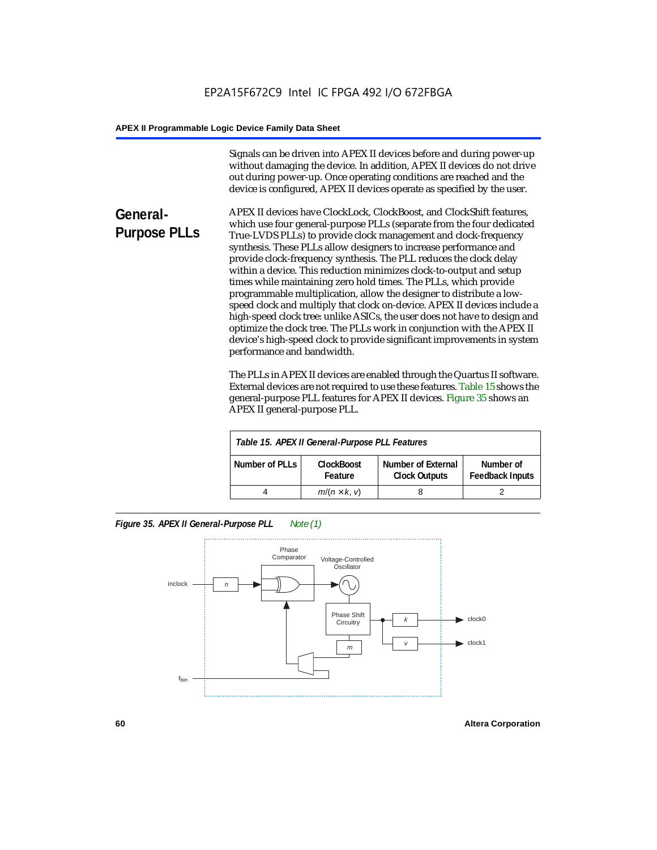Signals can be driven into APEX II devices before and during power-up without damaging the device. In addition, APEX II devices do not drive out during power-up. Once operating conditions are reached and the device is configured, APEX II devices operate as specified by the user.

**General-Purpose PLLs** APEX II devices have ClockLock, ClockBoost, and ClockShift features, which use four general-purpose PLLs (separate from the four dedicated True-LVDS PLLs) to provide clock management and clock-frequency synthesis. These PLLs allow designers to increase performance and provide clock-frequency synthesis. The PLL reduces the clock delay within a device. This reduction minimizes clock-to-output and setup times while maintaining zero hold times. The PLLs, which provide programmable multiplication, allow the designer to distribute a lowspeed clock and multiply that clock on-device. APEX II devices include a high-speed clock tree: unlike ASICs, the user does not have to design and optimize the clock tree. The PLLs work in conjunction with the APEX II device's high-speed clock to provide significant improvements in system performance and bandwidth.

> The PLLs in APEX II devices are enabled through the Quartus II software. External devices are not required to use these features. Table 15 shows the general-purpose PLL features for APEX II devices. Figure 35 shows an APEX II general-purpose PLL.

| Table 15. APEX II General-Purpose PLL Features |                              |                                                   |                                     |  |
|------------------------------------------------|------------------------------|---------------------------------------------------|-------------------------------------|--|
| Number of PLLs                                 | <b>ClockBoost</b><br>Feature | <b>Number of External</b><br><b>Clock Outputs</b> | Number of<br><b>Feedback Inputs</b> |  |
|                                                | $m/(n \times k, v)$          |                                                   |                                     |  |

*Figure 35. APEX II General-Purpose PLL Note (1)*

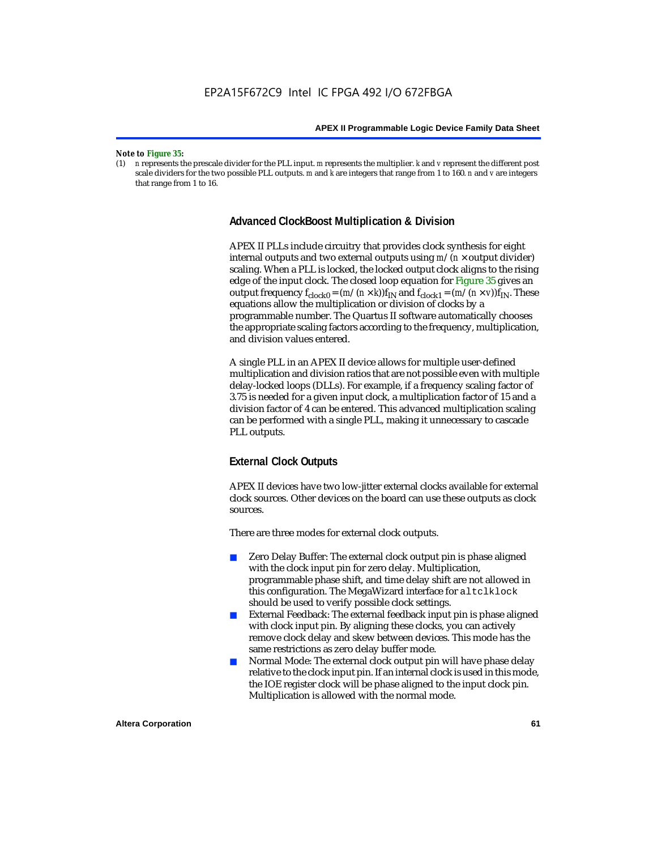#### *Note to Figure 35:*

(1) *n* represents the prescale divider for the PLL input. *m* represents the multiplier. *k* and *v* represent the different post scale dividers for the two possible PLL outputs. *m* and *k* are integers that range from 1 to 160. *n* and *v* are integers that range from 1 to 16.

## **Advanced ClockBoost Multiplication & Division**

APEX II PLLs include circuitry that provides clock synthesis for eight internal outputs and two external outputs using  $m/(n \times$  output divider) scaling. When a PLL is locked, the locked output clock aligns to the rising edge of the input clock. The closed loop equation for Figure 35 gives an output frequency  $f_{clock0} = (m/(n \times k))f_{IN}$  and  $f_{clock1} = (m/(n \times v))f_{IN}$ . These equations allow the multiplication or division of clocks by a programmable number. The Quartus II software automatically chooses the appropriate scaling factors according to the frequency, multiplication, and division values entered.

A single PLL in an APEX II device allows for multiple user-defined multiplication and division ratios that are not possible even with multiple delay-locked loops (DLLs). For example, if a frequency scaling factor of 3.75 is needed for a given input clock, a multiplication factor of 15 and a division factor of 4 can be entered. This advanced multiplication scaling can be performed with a single PLL, making it unnecessary to cascade PLL outputs.

## **External Clock Outputs**

APEX II devices have two low-jitter external clocks available for external clock sources. Other devices on the board can use these outputs as clock sources.

There are three modes for external clock outputs.

- Zero Delay Buffer: The external clock output pin is phase aligned with the clock input pin for zero delay. Multiplication, programmable phase shift, and time delay shift are not allowed in this configuration. The MegaWizard interface for altclklock should be used to verify possible clock settings.
- External Feedback: The external feedback input pin is phase aligned with clock input pin. By aligning these clocks, you can actively remove clock delay and skew between devices. This mode has the same restrictions as zero delay buffer mode.
- Normal Mode: The external clock output pin will have phase delay relative to the clock input pin. If an internal clock is used in this mode, the IOE register clock will be phase aligned to the input clock pin. Multiplication is allowed with the normal mode.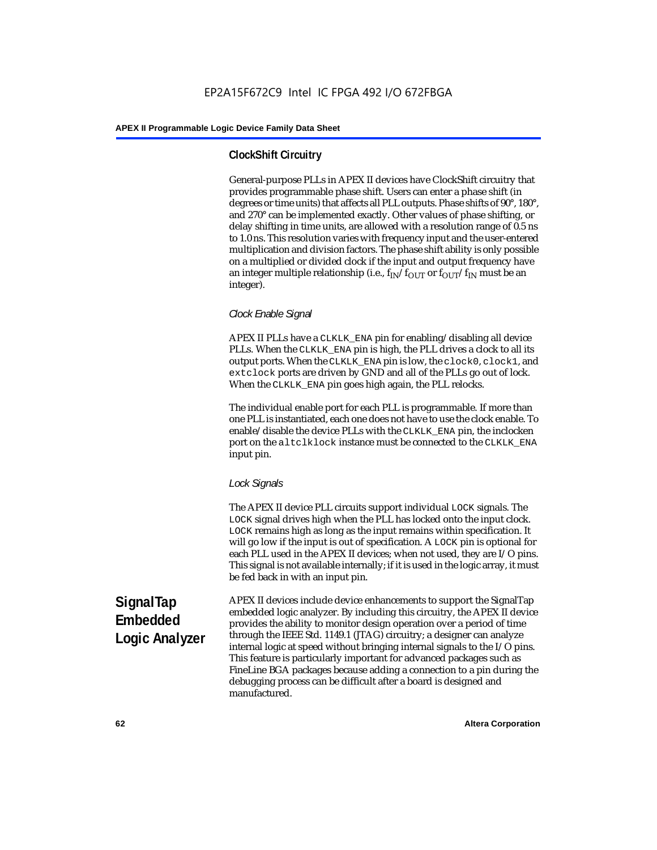## **ClockShift Circuitry**

General-purpose PLLs in APEX II devices have ClockShift circuitry that provides programmable phase shift. Users can enter a phase shift (in degrees or time units) that affects all PLL outputs. Phase shifts of 90°, 180°, and 270° can be implemented exactly. Other values of phase shifting, or delay shifting in time units, are allowed with a resolution range of 0.5 ns to 1.0 ns. This resolution varies with frequency input and the user-entered multiplication and division factors. The phase shift ability is only possible on a multiplied or divided clock if the input and output frequency have an integer multiple relationship (i.e.,  $f_{IN}/f_{OUT}$  or  $f_{OUT}/f_{IN}$  must be an integer).

## *Clock Enable Signal*

APEX II PLLs have a CLKLK\_ENA pin for enabling/disabling all device PLLs. When the CLKLK\_ENA pin is high, the PLL drives a clock to all its output ports. When the CLKLK\_ENA pin is low, the clock0, clock1, and extclock ports are driven by GND and all of the PLLs go out of lock. When the CLKLK\_ENA pin goes high again, the PLL relocks.

The individual enable port for each PLL is programmable. If more than one PLL is instantiated, each one does not have to use the clock enable. To enable/disable the device PLLs with the CLKLK\_ENA pin, the inclocken port on the altclklock instance must be connected to the CLKLK\_ENA input pin.

## *Lock Signals*

The APEX II device PLL circuits support individual LOCK signals. The LOCK signal drives high when the PLL has locked onto the input clock. LOCK remains high as long as the input remains within specification. It will go low if the input is out of specification. A LOCK pin is optional for each PLL used in the APEX II devices; when not used, they are I/O pins. This signal is not available internally; if it is used in the logic array, it must be fed back in with an input pin.

**SignalTap Embedded Logic Analyzer** APEX II devices include device enhancements to support the SignalTap embedded logic analyzer. By including this circuitry, the APEX II device provides the ability to monitor design operation over a period of time through the IEEE Std. 1149.1 (JTAG) circuitry; a designer can analyze internal logic at speed without bringing internal signals to the I/O pins. This feature is particularly important for advanced packages such as FineLine BGA packages because adding a connection to a pin during the debugging process can be difficult after a board is designed and manufactured.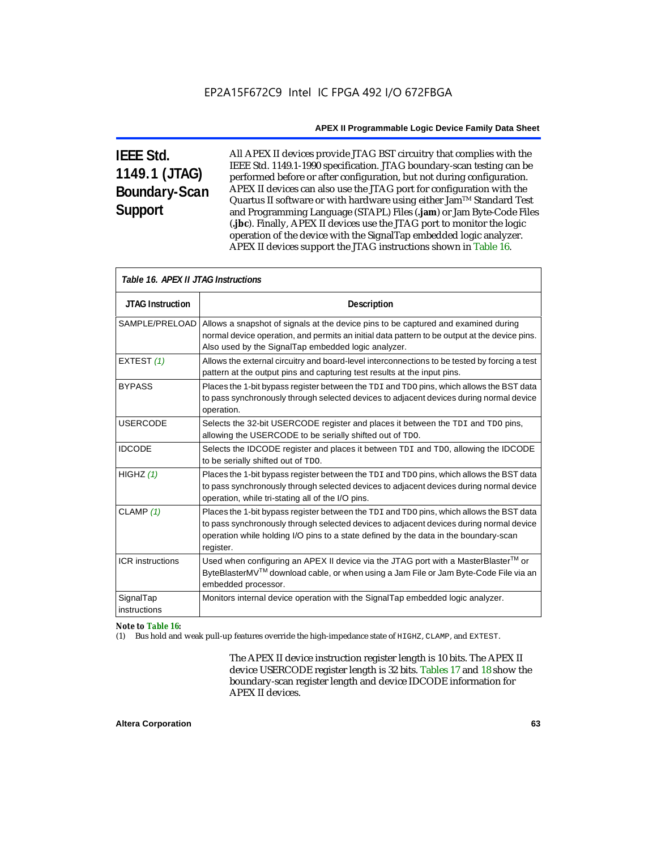# **IEEE Std. 1149.1 (JTAG) Boundary-Scan Support**

All APEX II devices provide JTAG BST circuitry that complies with the IEEE Std. 1149.1-1990 specification. JTAG boundary-scan testing can be performed before or after configuration, but not during configuration. APEX II devices can also use the JTAG port for configuration with the Quartus II software or with hardware using either Jam<sup>TM</sup> Standard Test and Programming Language (STAPL) Files (**.jam**) or Jam Byte-Code Files (**.jbc**). Finally, APEX II devices use the JTAG port to monitor the logic operation of the device with the SignalTap embedded logic analyzer. APEX II devices support the JTAG instructions shown in Table 16.

|                           | Table 16. APEX II JTAG Instructions                                                                                                                                                                                                                                                      |  |  |  |  |
|---------------------------|------------------------------------------------------------------------------------------------------------------------------------------------------------------------------------------------------------------------------------------------------------------------------------------|--|--|--|--|
| <b>JTAG Instruction</b>   | <b>Description</b>                                                                                                                                                                                                                                                                       |  |  |  |  |
| SAMPLE/PRELOAD            | Allows a snapshot of signals at the device pins to be captured and examined during<br>normal device operation, and permits an initial data pattern to be output at the device pins.<br>Also used by the SignalTap embedded logic analyzer.                                               |  |  |  |  |
| EXTEST (1)                | Allows the external circuitry and board-level interconnections to be tested by forcing a test<br>pattern at the output pins and capturing test results at the input pins.                                                                                                                |  |  |  |  |
| <b>BYPASS</b>             | Places the 1-bit bypass register between the TDI and TDO pins, which allows the BST data<br>to pass synchronously through selected devices to adjacent devices during normal device<br>operation.                                                                                        |  |  |  |  |
| <b>USERCODE</b>           | Selects the 32-bit USERCODE register and places it between the TDI and TDO pins,<br>allowing the USERCODE to be serially shifted out of TDO.                                                                                                                                             |  |  |  |  |
| <b>IDCODE</b>             | Selects the IDCODE register and places it between TDI and TDO, allowing the IDCODE<br>to be serially shifted out of TDO.                                                                                                                                                                 |  |  |  |  |
| HIGHZ $(1)$               | Places the 1-bit bypass register between the TDI and TDO pins, which allows the BST data<br>to pass synchronously through selected devices to adjacent devices during normal device<br>operation, while tri-stating all of the I/O pins.                                                 |  |  |  |  |
| CLAMP $(1)$               | Places the 1-bit bypass register between the TDI and TDO pins, which allows the BST data<br>to pass synchronously through selected devices to adjacent devices during normal device<br>operation while holding I/O pins to a state defined by the data in the boundary-scan<br>register. |  |  |  |  |
| <b>ICR</b> instructions   | Used when configuring an APEX II device via the JTAG port with a MasterBlaster™ or<br>ByteBlasterMV <sup>TM</sup> download cable, or when using a Jam File or Jam Byte-Code File via an<br>embedded processor.                                                                           |  |  |  |  |
| SignalTap<br>instructions | Monitors internal device operation with the SignalTap embedded logic analyzer.                                                                                                                                                                                                           |  |  |  |  |

## *Note to Table 16:*

(1) Bus hold and weak pull-up features override the high-impedance state of HIGHZ, CLAMP, and EXTEST.

The APEX II device instruction register length is 10 bits. The APEX II device USERCODE register length is 32 bits. Tables 17 and 18 show the boundary-scan register length and device IDCODE information for APEX II devices.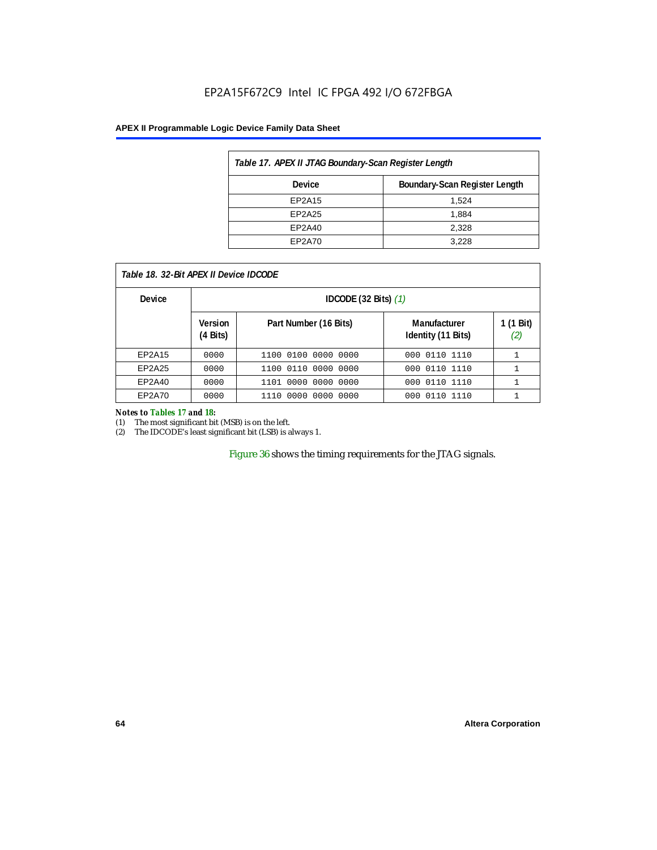## EP2A15F672C9 Intel IC FPGA 492 I/O 672FBGA

## **APEX II Programmable Logic Device Family Data Sheet**

| Table 17. APEX II JTAG Boundary-Scan Register Length |                               |  |  |  |
|------------------------------------------------------|-------------------------------|--|--|--|
| Device                                               | Boundary-Scan Register Length |  |  |  |
| EP2A15                                               | 1.524                         |  |  |  |
| EP2A25                                               | 1.884                         |  |  |  |
| EP2A40                                               | 2,328                         |  |  |  |
| EP2A70                                               | 3.228                         |  |  |  |

| Table 18. 32-Bit APEX II Device IDCODE |                                  |                           |                                    |                  |  |  |
|----------------------------------------|----------------------------------|---------------------------|------------------------------------|------------------|--|--|
| <b>Device</b>                          | IDCODE $(32 \text{ Bits})$ $(1)$ |                           |                                    |                  |  |  |
|                                        | <b>Version</b><br>(4 Bits)       | Part Number (16 Bits)     | Manufacturer<br>Identity (11 Bits) | 1 (1 Bit)<br>(2) |  |  |
| EP2A15                                 | 0000                             | 1100 0100 0000 0000       | 000 0110 1110                      |                  |  |  |
| EP2A25                                 | 0000                             | 1100 0110 0000 0000       | 000 0110 1110                      |                  |  |  |
| EP2A40                                 | 0000                             | 0000 0000 0000<br>1101    | 000 0110 1110                      |                  |  |  |
| EP2A70                                 | 0000                             | . 0000 0000 0000<br>1110. | 0110 1110<br>000                   |                  |  |  |

#### *Notes to Tables 17 and 18:*

(1) The most significant bit (MSB) is on the left.

(2) The IDCODE's least significant bit (LSB) is always 1.

Figure 36 shows the timing requirements for the JTAG signals.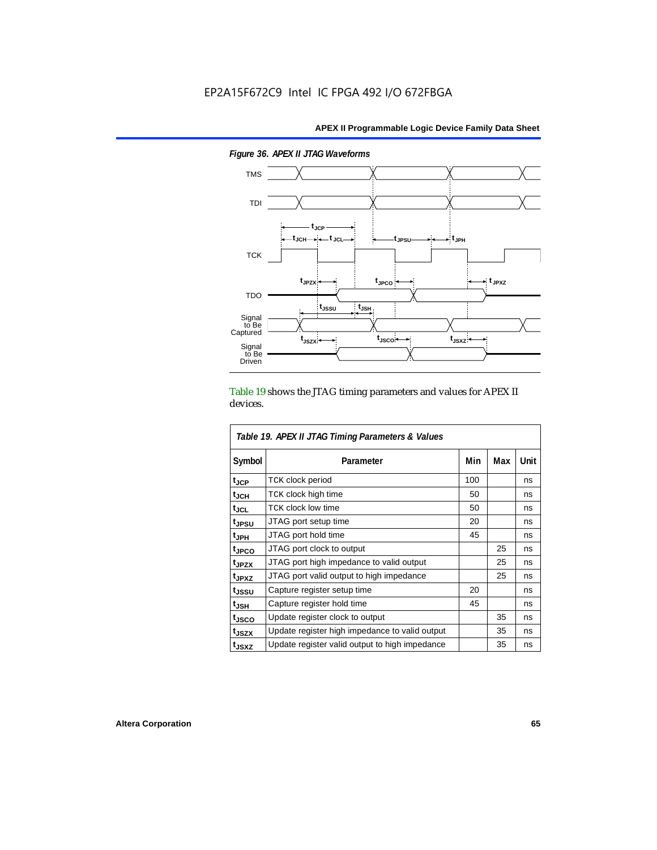

*Figure 36. APEX II JTAG Waveforms*

Table 19 shows the JTAG timing parameters and values for APEX II devices.

| Table 19. APEX II JTAG Timing Parameters & Values |                                                |     |     |      |  |  |  |
|---------------------------------------------------|------------------------------------------------|-----|-----|------|--|--|--|
| Symbol                                            | Parameter                                      | Min | Max | Unit |  |  |  |
| $t_{\rm JCP}$                                     | <b>TCK clock period</b>                        | 100 |     | ns   |  |  |  |
| $t_{JCH}$                                         | TCK clock high time                            | 50  |     | ns   |  |  |  |
| tjcl                                              | <b>TCK clock low time</b>                      | 50  |     | ns   |  |  |  |
| t <sub>JPSU</sub>                                 | JTAG port setup time                           | 20  |     | ns   |  |  |  |
| t <sub>JPH</sub>                                  | JTAG port hold time                            | 45  |     | ns   |  |  |  |
| <sup>t</sup> JPCO                                 | JTAG port clock to output                      |     | 25  | ns   |  |  |  |
| t <sub>JPZX</sub>                                 | JTAG port high impedance to valid output       |     | 25  | ns   |  |  |  |
| t <sub>JPXZ</sub>                                 | JTAG port valid output to high impedance       |     | 25  | ns   |  |  |  |
| tjssu                                             | Capture register setup time                    | 20  |     | ns   |  |  |  |
| $t_{\mathsf{JSH}}$                                | Capture register hold time                     | 45  |     | ns   |  |  |  |
| tjsco                                             | Update register clock to output                |     | 35  | ns   |  |  |  |
| t <sub>JSZX</sub>                                 | Update register high impedance to valid output |     | 35  | ns   |  |  |  |
| t <sub>JSXZ</sub>                                 | Update register valid output to high impedance |     | 35  | ns   |  |  |  |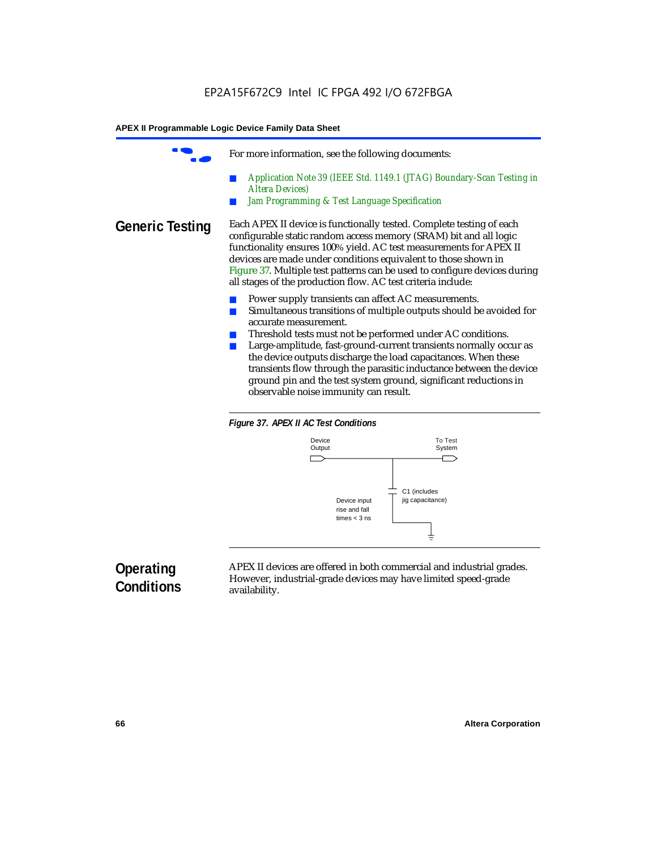|                 | For more information, see the following documents:                                                                                                                                                                                                                                                                                                                                                                                                                                                                                          |
|-----------------|---------------------------------------------------------------------------------------------------------------------------------------------------------------------------------------------------------------------------------------------------------------------------------------------------------------------------------------------------------------------------------------------------------------------------------------------------------------------------------------------------------------------------------------------|
|                 | Application Note 39 (IEEE Std. 1149.1 (JTAG) Boundary-Scan Testing in<br><b>Altera Devices</b> )<br>Jam Programming & Test Language Specification                                                                                                                                                                                                                                                                                                                                                                                           |
| Generic Testing | Each APEX II device is functionally tested. Complete testing of each<br>configurable static random access memory (SRAM) bit and all logic<br>functionality ensures 100% yield. AC test measurements for APEX II<br>devices are made under conditions equivalent to those shown in<br>Figure 37. Multiple test patterns can be used to configure devices during<br>all stages of the production flow. AC test criteria include:                                                                                                              |
|                 | Power supply transients can affect AC measurements.<br>Simultaneous transitions of multiple outputs should be avoided for<br>accurate measurement.<br>Threshold tests must not be performed under AC conditions.<br>Large-amplitude, fast-ground-current transients normally occur as<br>the device outputs discharge the load capacitances. When these<br>transients flow through the parasitic inductance between the device<br>ground pin and the test system ground, significant reductions in<br>observable noise immunity can result. |





# **Operating Conditions**

APEX II devices are offered in both commercial and industrial grades. However, industrial-grade devices may have limited speed-grade availability.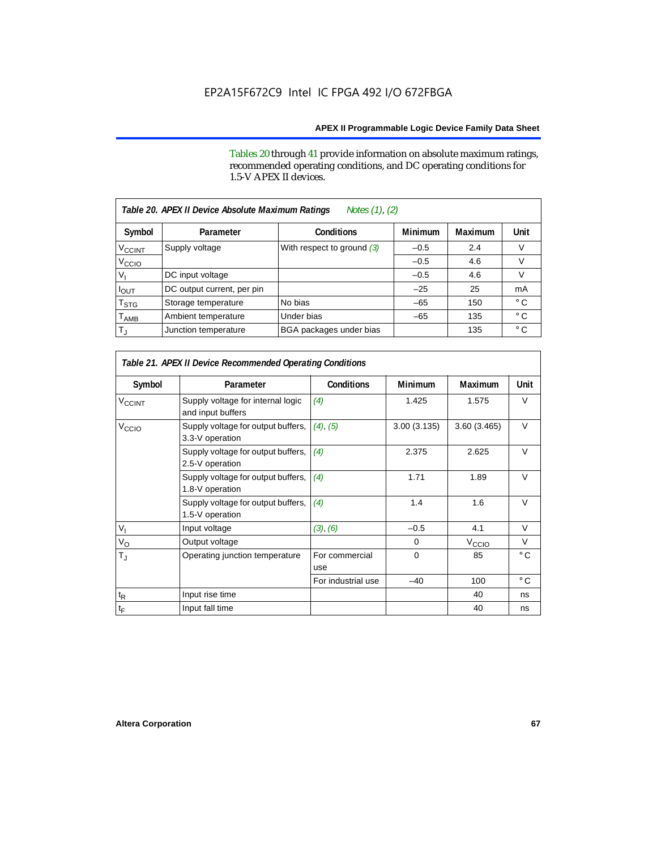Tables 20 through 41 provide information on absolute maximum ratings, recommended operating conditions, and DC operating conditions for 1.5-V APEX II devices.

| Notes (1), (2)<br>Table 20. APEX II Device Absolute Maximum Ratings |                            |                              |                |         |              |  |  |  |
|---------------------------------------------------------------------|----------------------------|------------------------------|----------------|---------|--------------|--|--|--|
| Symbol                                                              | Parameter                  | <b>Conditions</b>            | <b>Minimum</b> | Maximum | Unit         |  |  |  |
| $V_{\text{CCINT}}$                                                  | Supply voltage             | With respect to ground $(3)$ | $-0.5$         | 2.4     | V            |  |  |  |
| V <sub>CCIO</sub>                                                   |                            |                              | $-0.5$         | 4.6     | V            |  |  |  |
| v,                                                                  | DC input voltage           |                              | $-0.5$         | 4.6     | V            |  |  |  |
| <b>POUT</b>                                                         | DC output current, per pin |                              | $-25$          | 25      | mA           |  |  |  |
| T <sub>STG</sub>                                                    | Storage temperature        | No bias                      | $-65$          | 150     | $^{\circ}$ C |  |  |  |
| $\mathsf{T}_{\mathsf{AMB}}$                                         | Ambient temperature        | Under bias                   | $-65$          | 135     | $^{\circ}$ C |  |  |  |
| $T_{\rm J}$                                                         | Junction temperature       | BGA packages under bias      |                | 135     | $^{\circ}$ C |  |  |  |

| Table 21. APEX II Device Recommended Operating Conditions |                                                        |                       |             |                   |              |  |
|-----------------------------------------------------------|--------------------------------------------------------|-----------------------|-------------|-------------------|--------------|--|
| Symbol                                                    | Parameter                                              | <b>Conditions</b>     | Minimum     | <b>Maximum</b>    | Unit         |  |
| <b>V<sub>CCINT</sub></b>                                  | Supply voltage for internal logic<br>and input buffers | (4)                   | 1.425       | 1.575             | $\vee$       |  |
| V <sub>CCIO</sub>                                         | Supply voltage for output buffers,<br>3.3-V operation  | $(4)$ , $(5)$         | 3.00(3.135) | 3.60(3.465)       | $\vee$       |  |
|                                                           | Supply voltage for output buffers,<br>2.5-V operation  | (4)                   | 2.375       | 2.625             | $\vee$       |  |
|                                                           | Supply voltage for output buffers,<br>1.8-V operation  | (4)                   | 1.71        | 1.89              | $\vee$       |  |
|                                                           | Supply voltage for output buffers,<br>1.5-V operation  | (4)                   | 1.4         | 1.6               | $\vee$       |  |
| $V_{\parallel}$                                           | Input voltage                                          | (3), (6)              | $-0.5$      | 4.1               | V            |  |
| $V_{\rm O}$                                               | Output voltage                                         |                       | 0           | V <sub>CCIO</sub> | V            |  |
| $T_{\rm J}$                                               | Operating junction temperature                         | For commercial<br>use | $\Omega$    | 85                | $^{\circ}$ C |  |
|                                                           |                                                        | For industrial use    | $-40$       | 100               | $^{\circ}$ C |  |
| $t_{\mathsf{R}}$                                          | Input rise time                                        |                       |             | 40                | ns           |  |
| $t_{\mathsf{F}}$                                          | Input fall time                                        |                       |             | 40                | ns           |  |

Г

٦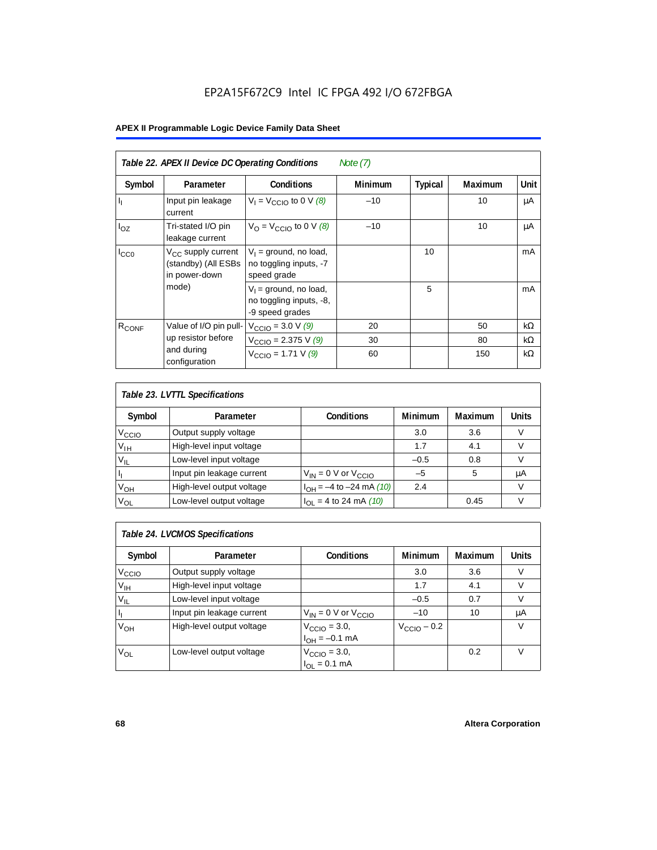## EP2A15F672C9 Intel IC FPGA 492 I/O 672FBGA

## **APEX II Programmable Logic Device Family Data Sheet**

| Table 22. APEX II Device DC Operating Conditions<br>Note $(7)$ |                                                                        |                                                                        |                |                |                |             |  |  |
|----------------------------------------------------------------|------------------------------------------------------------------------|------------------------------------------------------------------------|----------------|----------------|----------------|-------------|--|--|
| Symbol                                                         | Parameter                                                              | <b>Conditions</b>                                                      | <b>Minimum</b> | <b>Typical</b> | <b>Maximum</b> | <b>Unit</b> |  |  |
| $\mathbf{l}_1$                                                 | Input pin leakage<br>current                                           | $V_1 = V_{\text{CCIO}}$ to 0 V (8)                                     | $-10$          |                | 10             | μA          |  |  |
| $I_{OZ}$                                                       | Tri-stated I/O pin<br>leakage current                                  | $V_{\Omega}$ = V <sub>CCIO</sub> to 0 V (8)                            | $-10$          |                | 10             | μA          |  |  |
| $I_{CC0}$                                                      | V <sub>CC</sub> supply current<br>(standby) (All ESBs<br>in power-down | $V_1$ = ground, no load,<br>no toggling inputs, -7<br>speed grade      |                | 10             |                | mA          |  |  |
|                                                                | mode)                                                                  | $V_1$ = ground, no load,<br>no toggling inputs, -8,<br>-9 speed grades |                | 5              |                | mA          |  |  |
| $R_{CONF}$                                                     | Value of I/O pin pull-                                                 | $V_{\text{CCIO}} = 3.0 \text{ V } (9)$                                 | 20             |                | 50             | $k\Omega$   |  |  |
|                                                                | up resistor before                                                     | $V_{\text{CCIO}} = 2.375 \text{ V } (9)$                               | 30             |                | 80             | $k\Omega$   |  |  |
|                                                                | and during<br>configuration                                            | $V_{\text{CCIO}} = 1.71 \text{ V } (9)$                                | 60             |                | 150            | $k\Omega$   |  |  |

| Table 23. LVTTL Specifications |                           |                                |         |                |              |  |  |
|--------------------------------|---------------------------|--------------------------------|---------|----------------|--------------|--|--|
| Symbol                         | Parameter                 | <b>Conditions</b>              | Minimum | <b>Maximum</b> | <b>Units</b> |  |  |
| V <sub>CCIO</sub>              | Output supply voltage     |                                | 3.0     | 3.6            |              |  |  |
| $V_{IH}$                       | High-level input voltage  |                                | 1.7     | 4.1            |              |  |  |
| $V_{IL}$                       | Low-level input voltage   |                                | $-0.5$  | 0.8            |              |  |  |
| H                              | Input pin leakage current | $V_{IN}$ = 0 V or $V_{CCIO}$   | $-5$    | 5              | μA           |  |  |
| $V_{OH}$                       | High-level output voltage | $I_{OH} = -4$ to $-24$ mA (10) | 2.4     |                | V            |  |  |
| $V_{OL}$                       | Low-level output voltage  | $I_{OL}$ = 4 to 24 mA (10)     |         | 0.45           |              |  |  |

| Table 24. LVCMOS Specifications |                           |                                                               |                         |                |        |  |  |  |
|---------------------------------|---------------------------|---------------------------------------------------------------|-------------------------|----------------|--------|--|--|--|
| Symbol                          | Parameter                 | <b>Conditions</b>                                             | Minimum                 | <b>Maximum</b> | Units  |  |  |  |
| V <sub>CCIO</sub>               | Output supply voltage     |                                                               | 3.0                     | 3.6            | v      |  |  |  |
| $V_{\text{IH}}$                 | High-level input voltage  |                                                               | 1.7                     | 4.1            | $\vee$ |  |  |  |
| $V_{IL}$                        | Low-level input voltage   |                                                               | $-0.5$                  | 0.7            | V      |  |  |  |
| H,                              | Input pin leakage current | $V_{IN}$ = 0 V or $V_{CCIO}$                                  | $-10$                   | 10             | μA     |  |  |  |
| $V_{OH}$                        | High-level output voltage | $V_{\text{CCIO}} = 3.0,$<br>$I_{\text{OH}} = -0.1 \text{ mA}$ | $V_{\text{CCIO}} - 0.2$ |                | v      |  |  |  |
| $V_{OL}$                        | Low-level output voltage  | $V_{\text{CCIO}} = 3.0,$<br>$I_{OL} = 0.1$ mA                 |                         | 0.2            | V      |  |  |  |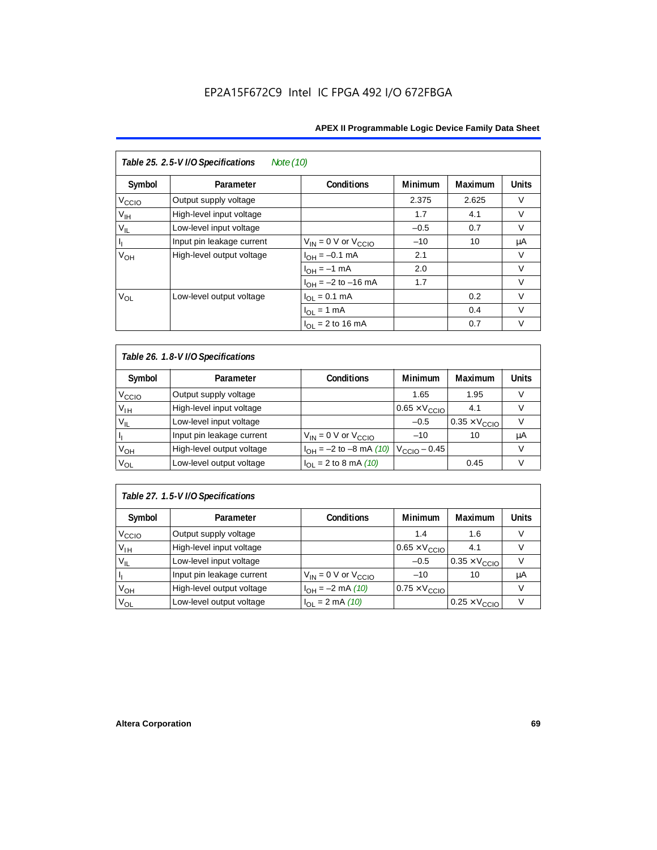| Table 25. 2.5-V I/O Specifications<br>Note (10) |                           |                              |                |         |              |  |  |
|-------------------------------------------------|---------------------------|------------------------------|----------------|---------|--------------|--|--|
| Symbol                                          | Parameter                 | Conditions                   | <b>Minimum</b> | Maximum | <b>Units</b> |  |  |
| $V_{\text{CC}10}$                               | Output supply voltage     |                              | 2.375          | 2.625   | $\vee$       |  |  |
| $V_{\text{IH}}$                                 | High-level input voltage  |                              | 1.7            | 4.1     | $\vee$       |  |  |
| $V_{IL}$                                        | Low-level input voltage   |                              | $-0.5$         | 0.7     | $\vee$       |  |  |
| $\vert \, \vert_1$                              | Input pin leakage current | $V_{IN} = 0$ V or $V_{CCIO}$ | $-10$          | 10      | μA           |  |  |
| V <sub>OH</sub>                                 | High-level output voltage | $I_{OH} = -0.1$ mA           | 2.1            |         | V            |  |  |
|                                                 |                           | $I_{OH} = -1$ mA             | 2.0            |         | $\vee$       |  |  |
|                                                 |                           | $I_{OH} = -2$ to $-16$ mA    | 1.7            |         | $\vee$       |  |  |
| $V_{OL}$                                        | Low-level output voltage  | $I_{OL} = 0.1$ mA            |                | 0.2     | $\vee$       |  |  |
|                                                 |                           | $I_{OL} = 1$ mA              |                | 0.4     | $\vee$       |  |  |
|                                                 |                           | $I_{\Omega I}$ = 2 to 16 mA  |                | 0.7     | v            |  |  |

| Table 26. 1.8-V I/O Specifications |                           |                                                 |                               |                               |              |  |  |  |
|------------------------------------|---------------------------|-------------------------------------------------|-------------------------------|-------------------------------|--------------|--|--|--|
| Symbol                             | Parameter                 | <b>Conditions</b>                               | <b>Minimum</b>                | Maximum                       | <b>Units</b> |  |  |  |
| V <sub>ccio</sub>                  | Output supply voltage     |                                                 | 1.65                          | 1.95                          | V            |  |  |  |
| $V_{IH}$                           | High-level input voltage  |                                                 | $0.65 \times V_{\text{CCIO}}$ | 4.1                           | V            |  |  |  |
| $V_{IL}$                           | Low-level input voltage   |                                                 | $-0.5$                        | $0.35 \times V_{\text{CCIO}}$ |              |  |  |  |
| H                                  | Input pin leakage current | $V_{IN} = 0$ V or $V_{CCIO}$                    | $-10$                         | 10                            | μA           |  |  |  |
| $V_{OH}$                           | High-level output voltage | $I_{OH} = -2$ to $-8$ mA (10) $V_{CCIO} - 0.45$ |                               |                               | V            |  |  |  |
| $V_{OL}$                           | Low-level output voltage  | $I_{OL}$ = 2 to 8 mA (10)                       |                               | 0.45                          | V            |  |  |  |

## *Table 27. 1.5-V I/O Specifications*

| Symbol            | Parameter                 | <b>Conditions</b>            | <b>Minimum</b>                | <b>Maximum</b>                | <b>Units</b> |
|-------------------|---------------------------|------------------------------|-------------------------------|-------------------------------|--------------|
| V <sub>CCIO</sub> | Output supply voltage     |                              | 1.4                           | 1.6                           |              |
| $V_{\text{IH}}$   | High-level input voltage  |                              | $0.65 \times V_{\text{CCIO}}$ | 4.1                           |              |
| $V_{IL}$          | Low-level input voltage   |                              | $-0.5$                        | $0.35 \times V_{\text{CCIO}}$ |              |
| П                 | Input pin leakage current | $V_{IN} = 0$ V or $V_{CCIO}$ | $-10$                         | 10                            | μA           |
| V <sub>OH</sub>   | High-level output voltage | $I_{OH} = -2$ mA (10)        | $0.75 \times V_{\text{CCIO}}$ |                               |              |
| $V_{OL}$          | Low-level output voltage  | $I_{OL} = 2 \text{ mA} (10)$ |                               | $0.25 \times V_{\text{CCIO}}$ |              |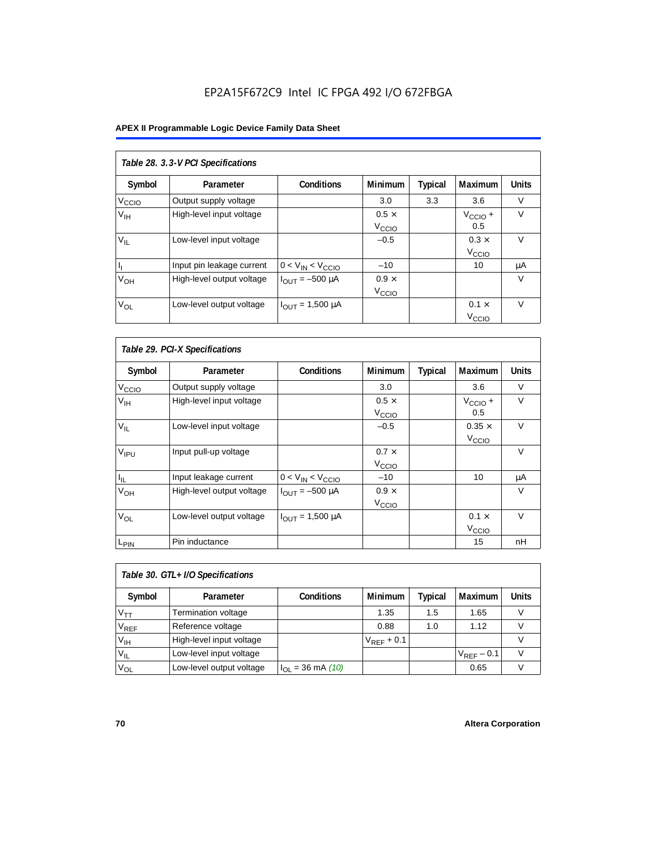## EP2A15F672C9 Intel IC FPGA 492 I/O 672FBGA

## **APEX II Programmable Logic Device Family Data Sheet**

| Table 28. 3.3-V PCI Specifications |                           |                         |                                   |         |                                   |              |  |
|------------------------------------|---------------------------|-------------------------|-----------------------------------|---------|-----------------------------------|--------------|--|
| Symbol                             | Parameter                 | <b>Conditions</b>       | <b>Minimum</b>                    | Typical | Maximum                           | <b>Units</b> |  |
| V <sub>ccio</sub>                  | Output supply voltage     |                         | 3.0                               | 3.3     | 3.6                               | $\vee$       |  |
| V <sub>IH</sub>                    | High-level input voltage  |                         | $0.5 \times$<br>V <sub>CCIO</sub> |         | $V_{\text{CCIO}} +$<br>0.5        | $\vee$       |  |
| $V_{\rm II}$                       | Low-level input voltage   |                         | $-0.5$                            |         | $0.3 \times$<br>V <sub>CCIO</sub> | $\vee$       |  |
| h,                                 | Input pin leakage current | $0 < V_{IN} < V_{CCIO}$ | $-10$                             |         | 10                                | μA           |  |
| $V_{OH}$                           | High-level output voltage | $I_{OUIT} = -500 \mu A$ | $0.9 \times$<br>V <sub>CCIO</sub> |         |                                   | V            |  |
| $V_{OL}$                           | Low-level output voltage  | $I_{OUT} = 1,500 \mu A$ |                                   |         | $0.1 \times$<br>V <sub>ccio</sub> | $\vee$       |  |

| Table 29. PCI-X Specifications |                           |                                |                                   |                |                                    |              |  |
|--------------------------------|---------------------------|--------------------------------|-----------------------------------|----------------|------------------------------------|--------------|--|
| Symbol                         | Parameter                 | <b>Conditions</b>              | <b>Minimum</b>                    | <b>Typical</b> | Maximum                            | <b>Units</b> |  |
| $V_{\text{CCIO}}$              | Output supply voltage     |                                | 3.0                               |                | 3.6                                | V            |  |
| $V_{\text{IH}}$                | High-level input voltage  |                                | $0.5 \times$<br>V <sub>CCIO</sub> |                | $V_{\text{CCIO}} +$<br>0.5         | $\vee$       |  |
| $V_{IL}$                       | Low-level input voltage   |                                | $-0.5$                            |                | $0.35 \times$<br>V <sub>CCIO</sub> | $\vee$       |  |
| V <sub>IPU</sub>               | Input pull-up voltage     |                                | $0.7 \times$<br>V <sub>CCIO</sub> |                |                                    | $\vee$       |  |
| ΙL.                            | Input leakage current     | $0 < V_{IN} < V_{CCIO}$        | $-10$                             |                | 10                                 | μA           |  |
| V <sub>OH</sub>                | High-level output voltage | $I_{\text{OUT}} = -500 \mu A$  | $0.9 \times$<br>V <sub>CCIO</sub> |                |                                    | $\vee$       |  |
| $V_{OL}$                       | Low-level output voltage  | $I_{\text{OUT}} = 1,500 \mu A$ |                                   |                | $0.1 \times$<br>V <sub>CCIO</sub>  | $\vee$       |  |
| L <sub>PIN</sub>               | Pin inductance            |                                |                                   |                | 15                                 | nH           |  |

| Table 30. GTL+ I/O Specifications |                            |                       |                 |         |                 |              |
|-----------------------------------|----------------------------|-----------------------|-----------------|---------|-----------------|--------------|
| Symbol                            | Parameter                  | <b>Conditions</b>     | <b>Minimum</b>  | Typical | <b>Maximum</b>  | <b>Units</b> |
| $V_{TT}$                          | <b>Termination voltage</b> |                       | 1.35            | 1.5     | 1.65            |              |
| $V_{REF}$                         | Reference voltage          |                       | 0.88            | 1.0     | 1.12            |              |
| V <sub>IH</sub>                   | High-level input voltage   |                       | $V_{REF}$ + 0.1 |         |                 |              |
| $V_{IL}$                          | Low-level input voltage    |                       |                 |         | $V_{RFF}$ – 0.1 |              |
| $V_{OL}$                          | Low-level output voltage   | $I_{OL}$ = 36 mA (10) |                 |         | 0.65            |              |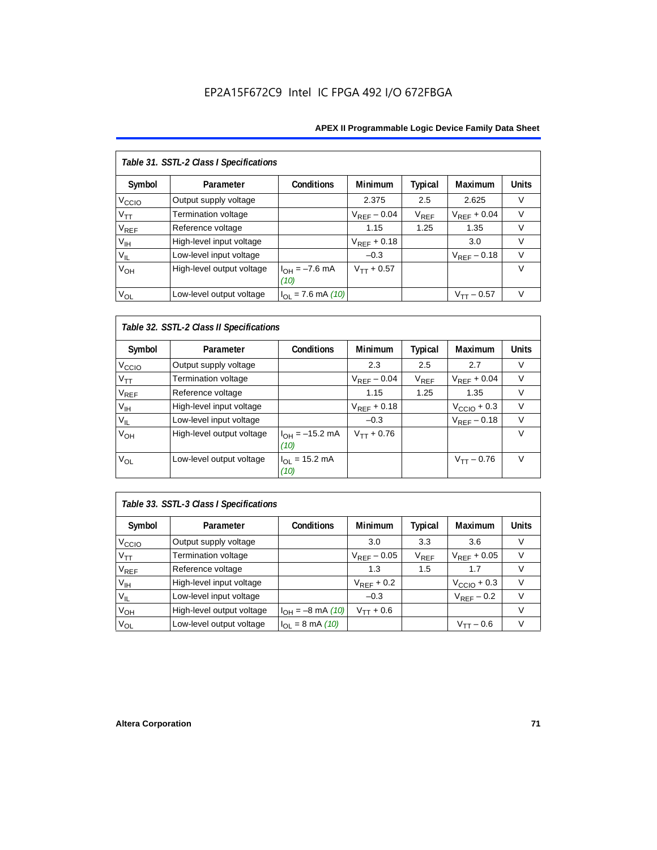## EP2A15F672C9 Intel IC FPGA 492 I/O 672FBGA

## **APEX II Programmable Logic Device Family Data Sheet**

| Table 31. SSTL-2 Class I Specifications |                           |                            |                  |                |                  |              |  |
|-----------------------------------------|---------------------------|----------------------------|------------------|----------------|------------------|--------------|--|
| Symbol                                  | Parameter                 | <b>Conditions</b>          | <b>Minimum</b>   | <b>Typical</b> | Maximum          | <b>Units</b> |  |
| V <sub>CCIO</sub>                       | Output supply voltage     |                            | 2.375            | 2.5            | 2.625            | $\vee$       |  |
| $V_{TT}$                                | Termination voltage       |                            | $V_{RFF}$ – 0.04 | $V_{REF}$      | $V_{RFF}$ + 0.04 | $\vee$       |  |
| <b>V<sub>REF</sub></b>                  | Reference voltage         |                            | 1.15             | 1.25           | 1.35             | V            |  |
| V <sub>IH</sub>                         | High-level input voltage  |                            | $V_{REF}$ + 0.18 |                | 3.0              | $\vee$       |  |
| $V_{IL}$                                | Low-level input voltage   |                            | $-0.3$           |                | $V_{RFF}$ – 0.18 | $\vee$       |  |
| V <sub>OH</sub>                         | High-level output voltage | $I_{OH} = -7.6$ mA<br>(10) | $V_{TT} + 0.57$  |                |                  | $\vee$       |  |
| $V_{OL}$                                | Low-level output voltage  | $I_{OL}$ = 7.6 mA (10)     |                  |                | $V_{TT}$ – 0.57  | $\vee$       |  |

## *Table 32. SSTL-2 Class II Specifications*

| Symbol            | Parameter                 | <b>Conditions</b>           | <b>Minimum</b>   | Typical   | <b>Maximum</b>          | <b>Units</b> |
|-------------------|---------------------------|-----------------------------|------------------|-----------|-------------------------|--------------|
| V <sub>CCIO</sub> | Output supply voltage     |                             | 2.3              | 2.5       | 2.7                     | v            |
| $\rm V_{TT}$      | Termination voltage       |                             | $V_{REF} - 0.04$ | $V_{REF}$ | $V_{RFF}$ + 0.04        | $\vee$       |
| $V_{REF}$         | Reference voltage         |                             | 1.15             | 1.25      | 1.35                    | $\vee$       |
| V <sub>IH</sub>   | High-level input voltage  |                             | $V_{REF}$ + 0.18 |           | $V_{\text{CCIO}} + 0.3$ | $\vee$       |
| $V_{IL}$          | Low-level input voltage   |                             | $-0.3$           |           | $V_{REF} - 0.18$        | $\vee$       |
| V <sub>OH</sub>   | High-level output voltage | $I_{OH} = -15.2$ mA<br>(10) | $V_{TT} + 0.76$  |           |                         | $\vee$       |
| V <sub>OL</sub>   | Low-level output voltage  | $I_{OL}$ = 15.2 mA<br>(10)  |                  |           | $V_{TT} - 0.76$         | $\vee$       |

## *Table 33. SSTL-3 Class I Specifications*

| Symbol            | Parameter                 | <b>Conditions</b>            | <b>Minimum</b>   | <b>Typical</b>              | Maximum                 | <b>Units</b> |
|-------------------|---------------------------|------------------------------|------------------|-----------------------------|-------------------------|--------------|
| V <sub>ccio</sub> | Output supply voltage     |                              | 3.0              | 3.3                         | 3.6                     |              |
| $V_{TT}$          | Termination voltage       |                              | $V_{REF}$ – 0.05 | $\mathsf{V}_{\mathsf{REF}}$ | $V_{RFF}$ + 0.05        | V            |
| $V_{REF}$         | Reference voltage         |                              | 1.3              | 1.5                         | 1.7                     |              |
| V <sub>IH</sub>   | High-level input voltage  |                              | $V_{REF}$ + 0.2  |                             | $V_{\text{CCIO}} + 0.3$ |              |
| $V_{IL}$          | Low-level input voltage   |                              | $-0.3$           |                             | $V_{REF}$ – 0.2         |              |
| $V_{OH}$          | High-level output voltage | $I_{OH} = -8$ mA (10)        | $V_{TT} + 0.6$   |                             |                         |              |
| $V_{OL}$          | Low-level output voltage  | $I_{OL} = 8 \text{ mA} (10)$ |                  |                             | $V_{TT} - 0.6$          |              |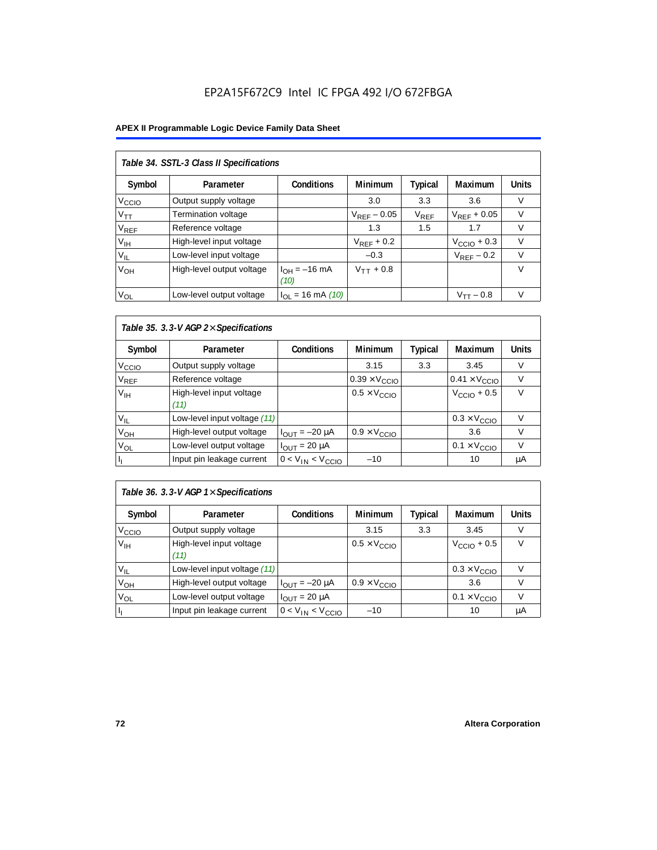#### **APEX II Programmable Logic Device Family Data Sheet**

| Table 34. SSTL-3 Class II Specifications |                           |                           |                  |           |                         |              |  |  |  |
|------------------------------------------|---------------------------|---------------------------|------------------|-----------|-------------------------|--------------|--|--|--|
| Symbol                                   | Parameter                 | <b>Conditions</b>         | <b>Minimum</b>   | Typical   | Maximum                 | <b>Units</b> |  |  |  |
| V <sub>CCIO</sub>                        | Output supply voltage     |                           | 3.0              | 3.3       | 3.6                     | V            |  |  |  |
| $V_{\mathsf{TT}}$                        | Termination voltage       |                           | $V_{REF}$ – 0.05 | $V_{REF}$ | $V_{RFF}$ + 0.05        | V            |  |  |  |
| <b>V<sub>REF</sub></b>                   | Reference voltage         |                           | 1.3              | 1.5       | 1.7                     | V            |  |  |  |
| V <sub>IH</sub>                          | High-level input voltage  |                           | $V_{RFF}$ + 0.2  |           | $V_{\text{CCIO}} + 0.3$ | $\vee$       |  |  |  |
| $V_{IL}$                                 | Low-level input voltage   |                           | $-0.3$           |           | $V_{RFF}$ – 0.2         | $\vee$       |  |  |  |
| V <sub>OH</sub>                          | High-level output voltage | $I_{OH} = -16$ mA<br>(10) | $V_{TT}$ + 0.8   |           |                         | $\vee$       |  |  |  |
| $V_{OL}$                                 | Low-level output voltage  | $I_{OL}$ = 16 mA (10)     |                  |           | $V_{TT} - 0.8$          | $\vee$       |  |  |  |

# *Table 35. 3.3-V AGP 2*× *Specifications*

| Symbol            | Parameter                        | <b>Conditions</b>       | <b>Minimum</b>                | <b>Typical</b> | <b>Maximum</b>                | <b>Units</b> |
|-------------------|----------------------------------|-------------------------|-------------------------------|----------------|-------------------------------|--------------|
| V <sub>CCIO</sub> | Output supply voltage            |                         | 3.15                          | 3.3            | 3.45                          | V            |
| $\rm V_{REF}$     | Reference voltage                |                         | $0.39 \times V_{\text{CCIO}}$ |                | $0.41 \times V_{\text{CCIO}}$ |              |
| V <sub>IH</sub>   | High-level input voltage<br>(11) |                         | $0.5 \times V_{\text{CCIO}}$  |                | $V_{\text{CCIO}} + 0.5$       | $\vee$       |
| $V_{IL}$          | Low-level input voltage (11)     |                         |                               |                | $0.3 \times V_{\text{CCIO}}$  | v            |
| V <sub>OH</sub>   | High-level output voltage        | $I_{OUT} = -20 \mu A$   | $0.9 \times V_{\text{CCIO}}$  |                | 3.6                           | V            |
| V <sub>OL</sub>   | Low-level output voltage         | $I_{OUIT}$ = 20 µA      |                               |                | $0.1 \times V_{\text{CCIO}}$  | V            |
|                   | Input pin leakage current        | $0 < V_{IN} < V_{CCIO}$ | $-10$                         |                | 10                            | μA           |

# *Table 36. 3.3-V AGP 1*× *Specifications*

| Symbol            | Parameter                        | <b>Conditions</b>       | Minimum                      | <b>Typical</b> | Maximum                      | Units |
|-------------------|----------------------------------|-------------------------|------------------------------|----------------|------------------------------|-------|
| V <sub>CCIO</sub> | Output supply voltage            |                         | 3.15                         | 3.3            | 3.45                         | V     |
| V <sub>IH</sub>   | High-level input voltage<br>(11) |                         | $0.5 \times V_{\text{CCIO}}$ |                | $VCCIO + 0.5$                | v     |
| $V_{IL}$          | Low-level input voltage (11)     |                         |                              |                | $0.3 \times V_{\text{CCIO}}$ |       |
| V <sub>ОН</sub>   | High-level output voltage        | $I_{OUT} = -20 \mu A$   | $0.9 \times V_{\text{CCIO}}$ |                | 3.6                          |       |
| $V_{OL}$          | Low-level output voltage         | $I_{OUT}$ = 20 µA       |                              |                | $0.1 \times V_{\text{CCIO}}$ |       |
|                   | Input pin leakage current        | $0 < V_{IN} < V_{CCIO}$ | $-10$                        |                | 10                           | μA    |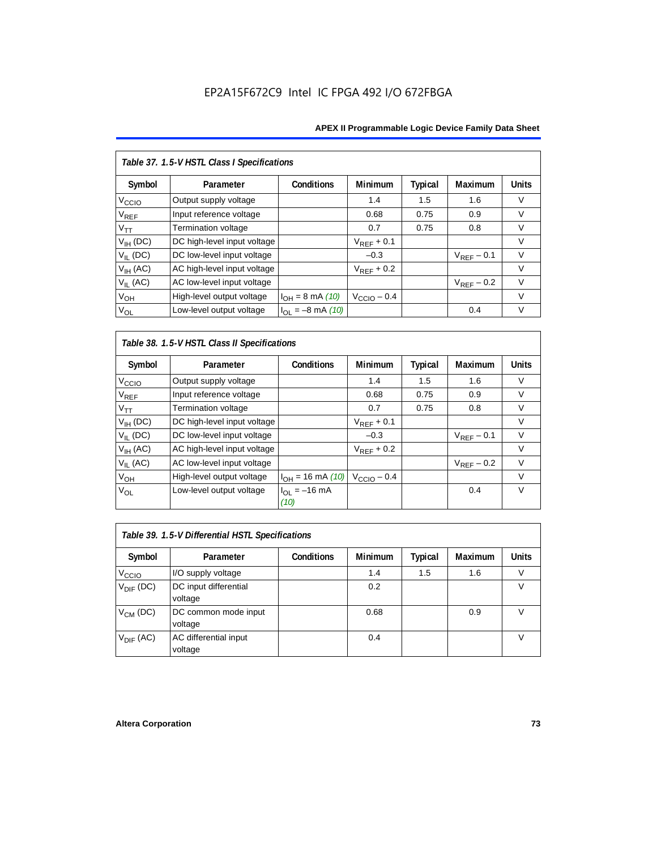| Table 37. 1.5-V HSTL Class I Specifications |                             |                       |                         |                |                        |              |  |  |  |
|---------------------------------------------|-----------------------------|-----------------------|-------------------------|----------------|------------------------|--------------|--|--|--|
| Symbol                                      | Parameter                   | Conditions            | Minimum                 | <b>Typical</b> | Maximum                | <b>Units</b> |  |  |  |
| V <sub>CCIO</sub>                           | Output supply voltage       |                       | 1.4                     | 1.5            | 1.6                    | V            |  |  |  |
| $\mathsf{V}_{\mathsf{REF}}$                 | Input reference voltage     |                       | 0.68                    | 0.75           | 0.9                    | $\vee$       |  |  |  |
| $V_{TT}$                                    | <b>Termination voltage</b>  |                       | 0.7                     | 0.75           | 0.8                    | $\vee$       |  |  |  |
| $V_{IH}$ (DC)                               | DC high-level input voltage |                       | $V_{REF}$ + 0.1         |                |                        | $\vee$       |  |  |  |
| $V_{IL}$ (DC)                               | DC low-level input voltage  |                       | $-0.3$                  |                | $V_{RFF}$ – 0.1        | $\vee$       |  |  |  |
| $V_{IH}$ (AC)                               | AC high-level input voltage |                       | $V_{RFF}$ + 0.2         |                |                        | $\vee$       |  |  |  |
| $V_{II}$ (AC)                               | AC low-level input voltage  |                       |                         |                | $V_{\text{REF}}$ – 0.2 | $\vee$       |  |  |  |
| V <sub>OH</sub>                             | High-level output voltage   | $I_{OH} = 8$ mA (10)  | $V_{\text{CCIO}} - 0.4$ |                |                        | $\vee$       |  |  |  |
| $V_{OL}$                                    | Low-level output voltage    | $I_{OL} = -8$ mA (10) |                         |                | 0.4                    | $\vee$       |  |  |  |

*Table 38. 1.5-V HSTL Class II Specifications*

| Symbol            | Parameter                   | <b>Conditions</b>         | <b>Minimum</b>          | Typical | Maximum         | <b>Units</b> |
|-------------------|-----------------------------|---------------------------|-------------------------|---------|-----------------|--------------|
| V <sub>CCIO</sub> | Output supply voltage       |                           | 1.4                     | 1.5     | 1.6             | V            |
| $V_{REF}$         | Input reference voltage     |                           | 0.68                    | 0.75    | 0.9             | $\vee$       |
| $V_{TT}$          | Termination voltage         |                           | 0.7                     | 0.75    | 0.8             | V            |
| $V_{IH}$ (DC)     | DC high-level input voltage |                           | $V_{REF}$ + 0.1         |         |                 | V            |
| $V_{II}$ (DC)     | DC low-level input voltage  |                           | $-0.3$                  |         | $V_{RFF}$ – 0.1 | V            |
| $V_{IH}$ (AC)     | AC high-level input voltage |                           | $V_{REF}$ + 0.2         |         |                 | V            |
| $V_{II}$ (AC)     | AC low-level input voltage  |                           |                         |         | $V_{REF}$ – 0.2 | V            |
| V <sub>OH</sub>   | High-level output voltage   | $I_{OH} = 16$ mA (10)     | $V_{\text{CCIO}} - 0.4$ |         |                 | V            |
| V <sub>OL</sub>   | Low-level output voltage    | $I_{OL} = -16$ mA<br>(10) |                         |         | 0.4             | V            |

| Table 39. 1.5-V Differential HSTL Specifications |                                  |                   |                |         |                |              |  |  |  |
|--------------------------------------------------|----------------------------------|-------------------|----------------|---------|----------------|--------------|--|--|--|
| Symbol                                           | Parameter                        | <b>Conditions</b> | <b>Minimum</b> | Typical | <b>Maximum</b> | <b>Units</b> |  |  |  |
| V <sub>CCIO</sub>                                | I/O supply voltage               |                   | 1.4            | 1.5     | 1.6            | V            |  |  |  |
| $V_{\text{DIF}}$ (DC)                            | DC input differential<br>voltage |                   | 0.2            |         |                | V            |  |  |  |
| $V_{CM}$ (DC)                                    | DC common mode input<br>voltage  |                   | 0.68           |         | 0.9            |              |  |  |  |
| $V_{\text{DIF}}$ (AC)                            | AC differential input<br>voltage |                   | 0.4            |         |                |              |  |  |  |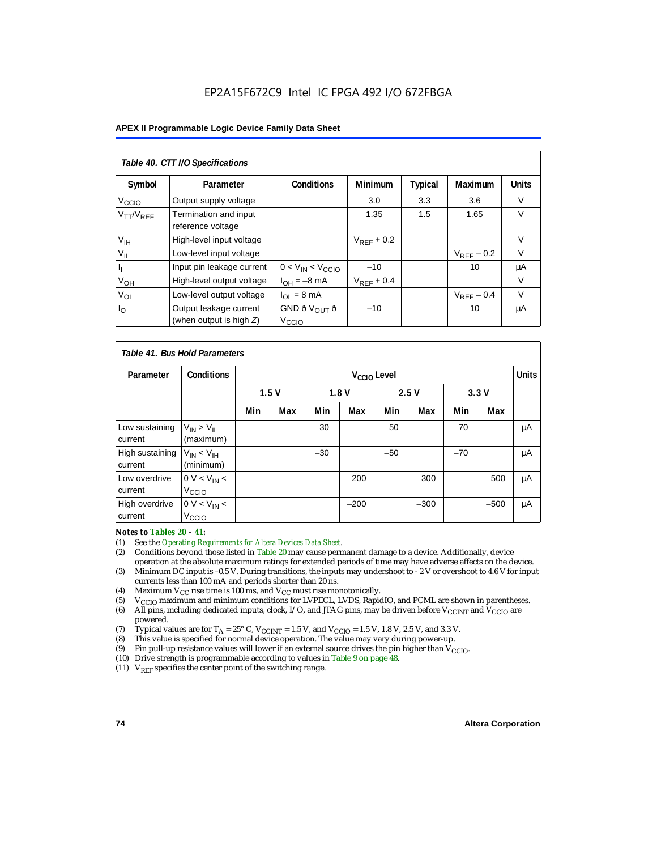#### **APEX II Programmable Logic Device Family Data Sheet**

| Table 40. CTT I/O Specifications |                                            |                           |                 |         |                 |              |  |  |  |
|----------------------------------|--------------------------------------------|---------------------------|-----------------|---------|-----------------|--------------|--|--|--|
| Symbol                           | Parameter                                  | <b>Conditions</b>         | <b>Minimum</b>  | Typical | Maximum         | <b>Units</b> |  |  |  |
| V <sub>CCIO</sub>                | Output supply voltage                      |                           | 3.0             | 3.3     | 3.6             | $\vee$       |  |  |  |
| $V_{TT}/V_{REF}$                 | Termination and input<br>reference voltage |                           | 1.35            | 1.5     | 1.65            | $\vee$       |  |  |  |
| V <sub>IH</sub>                  | High-level input voltage                   |                           | $V_{RFF}$ + 0.2 |         |                 | V            |  |  |  |
| $V_{IL}$                         | Low-level input voltage                    |                           |                 |         | $V_{RFF}$ – 0.2 | V            |  |  |  |
|                                  | Input pin leakage current                  | $0 < V_{IN} < V_{CCIO}$   | $-10$           |         | 10              | μA           |  |  |  |
| $V_{OH}$                         | High-level output voltage                  | $I_{OH} = -8$ mA          | $V_{REF}$ + 0.4 |         |                 | V            |  |  |  |
| $V_{OL}$                         | Low-level output voltage                   | $I_{OL} = 8 \text{ mA}$   |                 |         | $V_{REF}$ – 0.4 | $\vee$       |  |  |  |
| $I_{\rm O}$                      | Output leakage current                     | GND ð V $_{\text{OUT}}$ ð | $-10$           |         | 10              | μA           |  |  |  |
|                                  | (when output is high $Z$ )                 | V <sub>CCIO</sub>         |                 |         |                 |              |  |  |  |

| Table 41, Bus Hold Parameters |                                     |     |                         |       |        |       |        |       |              |    |
|-------------------------------|-------------------------------------|-----|-------------------------|-------|--------|-------|--------|-------|--------------|----|
| Parameter                     | <b>Conditions</b>                   |     | V <sub>CCIO</sub> Level |       |        |       |        |       | <b>Units</b> |    |
|                               |                                     |     | 1.5V<br>1.8V            |       | 2.5V   |       | 3.3V   |       |              |    |
|                               |                                     | Min | Max                     | Min   | Max    | Min   | Max    | Min   | Max          |    |
| Low sustaining<br>current     | $V_{IN}$ > $V_{II}$<br>(maximum)    |     |                         | 30    |        | 50    |        | 70    |              | μA |
| High sustaining<br>current    | $V_{IN}$ < $V_{IH}$<br>(minimum)    |     |                         | $-30$ |        | $-50$ |        | $-70$ |              | μA |
| Low overdrive<br>current      | $0 V < V_{IN}$<br>V <sub>CCIO</sub> |     |                         |       | 200    |       | 300    |       | 500          | μA |
| High overdrive<br>current     | $0 V < V_{IN}$<br>V <sub>CCIO</sub> |     |                         |       | $-200$ |       | $-300$ |       | $-500$       | μA |

# *Notes to Tables 20 – 41:*<br>(1) See the *Operating Res*

- (1) See the *Operating Requirements for Altera Devices Data Sheet.*
- (2) Conditions beyond those listed in Table 20 may cause permanent damage to a device. Additionally, device operation at the absolute maximum ratings for extended periods of time may have adverse affects on the device.
- (3) Minimum DC input is –0.5 V. During transitions, the inputs may undershoot to 2 V or overshoot to 4.6 V for input currents less than 100 mA and periods shorter than 20 ns.
- (4) Maximum  $V_{CC}$  rise time is 100 ms, and  $V_{CC}$  must rise monotonically.<br>(5)  $V_{CC}$  maximum and minimum conditions for LVPECL, LVDS, Rapic
- V<sub>CCIO</sub> maximum and minimum conditions for LVPECL, LVDS, RapidIO, and PCML are shown in parentheses.
- (6) All pins, including dedicated inputs, clock, I/O, and JTAG pins, may be driven before V<sub>CCINT</sub> and V<sub>CCIO</sub> are powered.
- (7) Typical values are for  $T_A = 25^\circ$  C,  $V_{\text{CCINT}} = 1.5$  V, and  $V_{\text{CCIO}} = 1.5$  V, 1.8 V, 2.5 V, and 3.3 V.<br>(8) This value is specified for normal device operation. The value may vary during power-up.
- This value is specified for normal device operation. The value may vary during power-up.
- (9) Pin pull-up resistance values will lower if an external source drives the pin higher than  $V_{\text{CCIO}}$ .
- (10) Drive strength is programmable according to values in Table 9 on page 48.
- (11)  $V_{REF}$  specifies the center point of the switching range.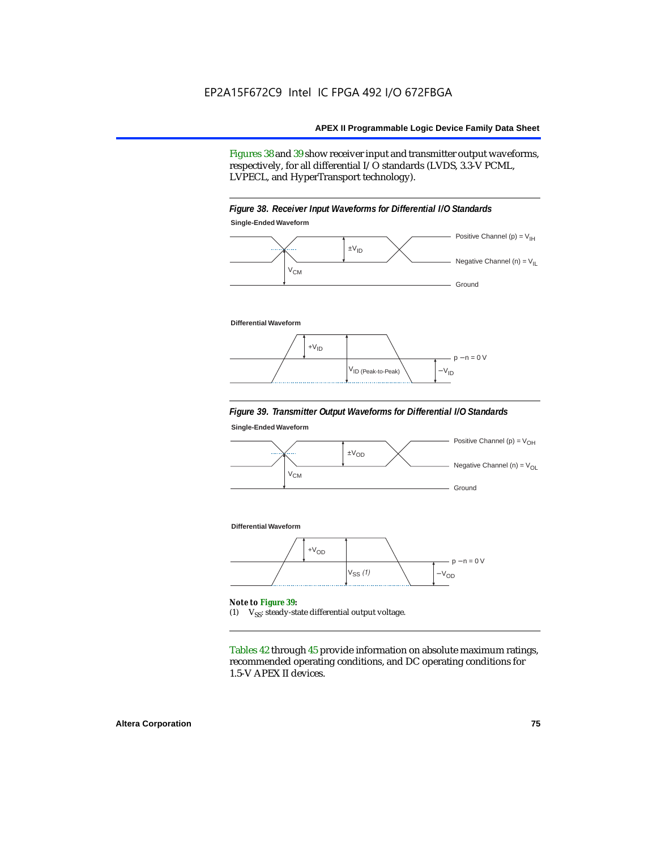Figures 38 and 39 show receiver input and transmitter output waveforms, respectively, for all differential I/O standards (LVDS, 3.3-V PCML, LVPECL, and HyperTransport technology).





#### **Differential Waveform**



#### *Figure 39. Transmitter Output Waveforms for Differential I/O Standards*

**Single-Ended Waveform**



(1)  $V_{SS}$ : steady-state differential output voltage.

Tables 42 through 45 provide information on absolute maximum ratings, recommended operating conditions, and DC operating conditions for 1.5-V APEX II devices.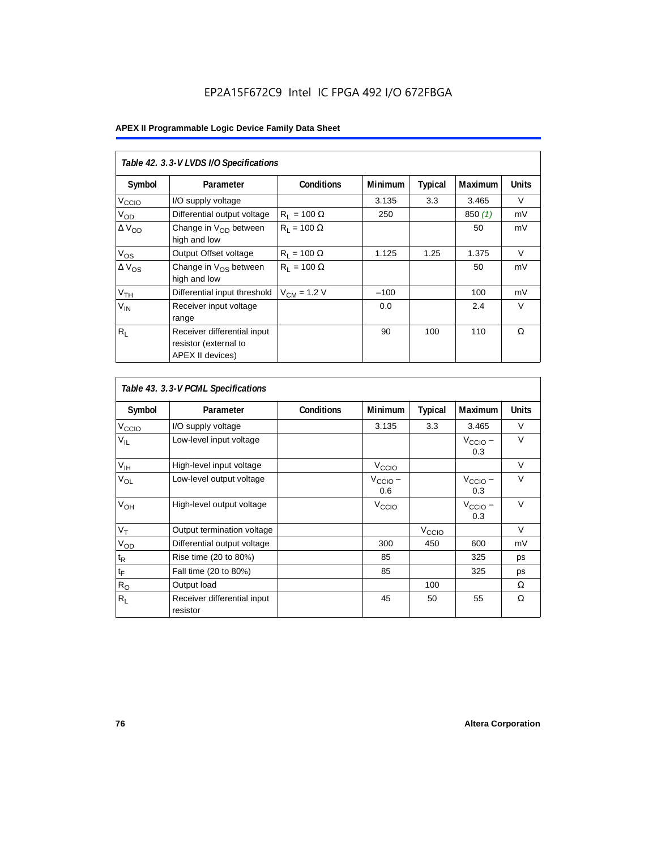| Table 42. 3.3-V LVDS I/O Specifications |                                                                          |                    |         |         |                |              |  |  |  |  |
|-----------------------------------------|--------------------------------------------------------------------------|--------------------|---------|---------|----------------|--------------|--|--|--|--|
| Symbol                                  | Parameter                                                                | <b>Conditions</b>  | Minimum | Typical | <b>Maximum</b> | <b>Units</b> |  |  |  |  |
| V <sub>CCIO</sub>                       | I/O supply voltage                                                       |                    | 3.135   | 3.3     | 3.465          | V            |  |  |  |  |
| V <sub>OD</sub>                         | Differential output voltage                                              | $R_1 = 100 \Omega$ | 250     |         | 850(1)         | mV           |  |  |  |  |
| $\Delta$ V <sub>OD</sub>                | Change in $V_{OD}$ between<br>high and low                               | $R_1 = 100 \Omega$ |         |         | 50             | mV           |  |  |  |  |
| $V_{OS}$                                | Output Offset voltage                                                    | $R_1 = 100 \Omega$ | 1.125   | 1.25    | 1.375          | $\vee$       |  |  |  |  |
| $\Delta V_{OS}$                         | Change in $V_{OS}$ between<br>high and low                               | $R_1 = 100 \Omega$ |         |         | 50             | mV           |  |  |  |  |
| V <sub>TH</sub>                         | Differential input threshold                                             | $V_{CM}$ = 1.2 V   | $-100$  |         | 100            | mV           |  |  |  |  |
| $V_{IN}$                                | Receiver input voltage<br>range                                          |                    | 0.0     |         | 2.4            | $\vee$       |  |  |  |  |
| $R_{\rm L}$                             | Receiver differential input<br>resistor (external to<br>APEX II devices) |                    | 90      | 100     | 110            | Ω            |  |  |  |  |

| Table 43. 3.3-V PCML Specifications |                                         |                   |                            |                   |                            |              |  |  |  |
|-------------------------------------|-----------------------------------------|-------------------|----------------------------|-------------------|----------------------------|--------------|--|--|--|
| Symbol                              | Parameter                               | <b>Conditions</b> | Minimum                    | <b>Typical</b>    | Maximum                    | <b>Units</b> |  |  |  |
| $V_{\text{CCLO}}$                   | I/O supply voltage                      |                   | 3.135                      | 3.3               | 3.465                      | V            |  |  |  |
| $V_{IL}$                            | Low-level input voltage                 |                   |                            |                   | $V_{\text{CCIO}}$ –<br>0.3 | $\vee$       |  |  |  |
| $V_{\text{IH}}$                     | High-level input voltage                |                   | $V_{\text{CCI}Q}$          |                   |                            | $\vee$       |  |  |  |
| $V_{OL}$                            | Low-level output voltage                |                   | $V_{\text{CCIO}}$ –<br>0.6 |                   | $V_{\text{CCIO}}$ –<br>0.3 | $\vee$       |  |  |  |
| V <sub>OH</sub>                     | High-level output voltage               |                   | V <sub>CCIO</sub>          |                   | $V_{\text{CCIO}}$ –<br>0.3 | $\vee$       |  |  |  |
| $V_T$                               | Output termination voltage              |                   |                            | V <sub>CCIO</sub> |                            | $\vee$       |  |  |  |
| $V_{OD}$                            | Differential output voltage             |                   | 300                        | 450               | 600                        | mV           |  |  |  |
| $t_{\mathsf{R}}$                    | Rise time (20 to 80%)                   |                   | 85                         |                   | 325                        | ps           |  |  |  |
| $\mathfrak{t}_{\mathsf{F}}$         | Fall time (20 to 80%)                   |                   | 85                         |                   | 325                        | ps           |  |  |  |
| $R_{\rm O}$                         | Output load                             |                   |                            | 100               |                            | Ω            |  |  |  |
| $R_L$                               | Receiver differential input<br>resistor |                   | 45                         | 50                | 55                         | Ω            |  |  |  |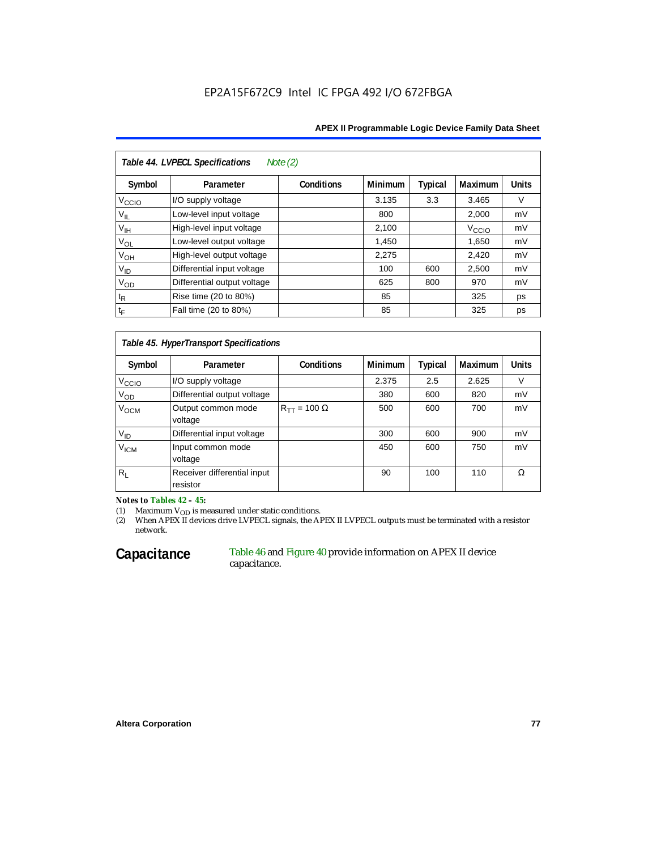#### **APEX II Programmable Logic Device Family Data Sheet**

| Table 44. LVPECL Specifications<br>Note $(2)$ |                             |                   |                |         |                   |              |  |  |  |  |
|-----------------------------------------------|-----------------------------|-------------------|----------------|---------|-------------------|--------------|--|--|--|--|
| Symbol                                        | Parameter                   | <b>Conditions</b> | <b>Minimum</b> | Typical | <b>Maximum</b>    | <b>Units</b> |  |  |  |  |
| V <sub>CCIO</sub>                             | I/O supply voltage          |                   | 3.135          | 3.3     | 3.465             | V            |  |  |  |  |
| $V_{IL}$                                      | Low-level input voltage     |                   | 800            |         | 2,000             | mV           |  |  |  |  |
| $V_{\text{IH}}$                               | High-level input voltage    |                   | 2,100          |         | V <sub>CCIO</sub> | mV           |  |  |  |  |
| $V_{OL}$                                      | Low-level output voltage    |                   | 1,450          |         | 1,650             | mV           |  |  |  |  |
| $V_{OH}$                                      | High-level output voltage   |                   | 2,275          |         | 2,420             | mV           |  |  |  |  |
| $V_{ID}$                                      | Differential input voltage  |                   | 100            | 600     | 2,500             | mV           |  |  |  |  |
| $V_{OD}$                                      | Differential output voltage |                   | 625            | 800     | 970               | mV           |  |  |  |  |
| $t_{\mathsf{R}}$                              | Rise time (20 to 80%)       |                   | 85             |         | 325               | ps           |  |  |  |  |
| $t_{\mathsf{F}}$                              | Fall time (20 to 80%)       |                   | 85             |         | 325               | ps           |  |  |  |  |

# *Table 45. HyperTransport Specifications*

| Symbol             | Parameter                               | <b>Conditions</b>       | <b>Minimum</b> | <b>Typical</b> | <b>Maximum</b> | <b>Units</b> |
|--------------------|-----------------------------------------|-------------------------|----------------|----------------|----------------|--------------|
| V <sub>CCIO</sub>  | I/O supply voltage                      |                         | 2.375          | 2.5            | 2.625          | V            |
| $V_{OD}$           | Differential output voltage             |                         | 380            | 600            | 820            | mV           |
| V <sub>OCM</sub>   | Output common mode<br>voltage           | $R_{TT}$ = 100 $\Omega$ | 500            | 600            | 700            | mV           |
| $V_{ID}$           | Differential input voltage              |                         | 300            | 600            | 900            | mV           |
| $V_{\mathsf{ICM}}$ | Input common mode<br>voltage            |                         | 450            | 600            | 750            | mV           |
| $R_L$              | Receiver differential input<br>resistor |                         | 90             | 100            | 110            | Ω            |

*Notes to Tables 42 – 45:*

(1) Maximum  $V_{OD}$  is measured under static conditions.

(2) When APEX II devices drive LVPECL signals, the APEX II LVPECL outputs must be terminated with a resistor network.

### Capacitance Table 46 and Figure 40 provide information on APEX II device capacitance.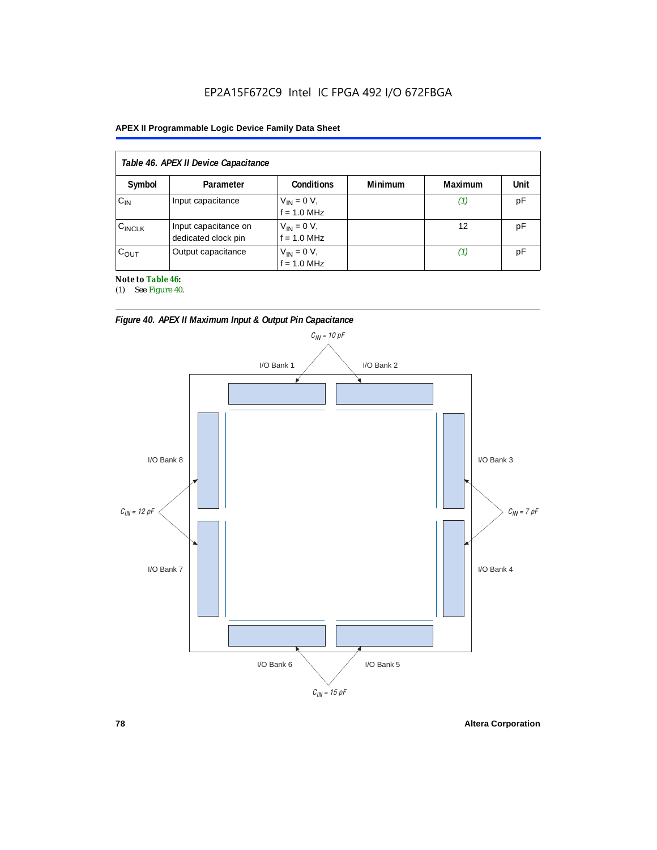### **APEX II Programmable Logic Device Family Data Sheet**

| Table 46. APEX II Device Capacitance |                                             |                                |                |         |      |  |  |  |
|--------------------------------------|---------------------------------------------|--------------------------------|----------------|---------|------|--|--|--|
| Symbol                               | Parameter                                   | <b>Conditions</b>              | <b>Minimum</b> | Maximum | Unit |  |  |  |
| $C_{IN}$                             | Input capacitance                           | $V_{IN} = 0 V,$<br>f = 1.0 MHz |                | (1)     | рF   |  |  |  |
| $C_{\text{INCLK}}$                   | Input capacitance on<br>dedicated clock pin | $V_{IN} = 0 V,$<br>f = 1.0 MHz |                | 12      | рF   |  |  |  |
| $C_{OUT}$                            | Output capacitance                          | $V_{IN} = 0 V,$<br>f = 1.0 MHz |                | (1)     | pF   |  |  |  |

*Note to Table 46:*

(1) See Figure 40.





**78 Altera Corporation**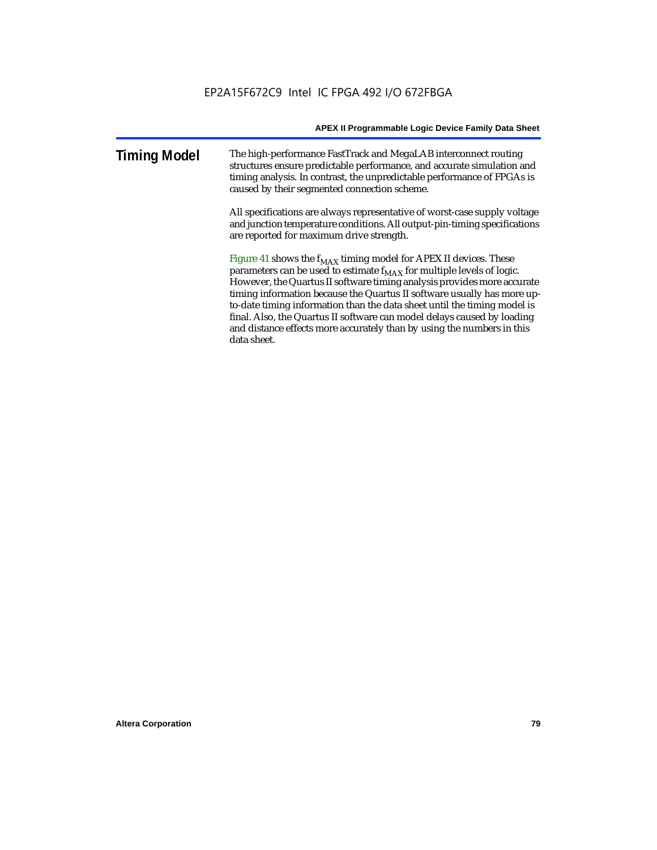| <b>Timing Model</b> | The high-performance FastTrack and MegaLAB interconnect routing<br>structures ensure predictable performance, and accurate simulation and<br>timing analysis. In contrast, the unpredictable performance of FPGAs is<br>caused by their segmented connection scheme. |
|---------------------|----------------------------------------------------------------------------------------------------------------------------------------------------------------------------------------------------------------------------------------------------------------------|
|                     |                                                                                                                                                                                                                                                                      |

All specifications are always representative of worst-case supply voltage and junction temperature conditions. All output-pin-timing specifications are reported for maximum drive strength.

Figure 41 shows the  $f_{MAX}$  timing model for APEX II devices. These parameters can be used to estimate  $f_{MAX}$  for multiple levels of logic. However, the Quartus II software timing analysis provides more accurate timing information because the Quartus II software usually has more upto-date timing information than the data sheet until the timing model is final. Also, the Quartus II software can model delays caused by loading and distance effects more accurately than by using the numbers in this data sheet.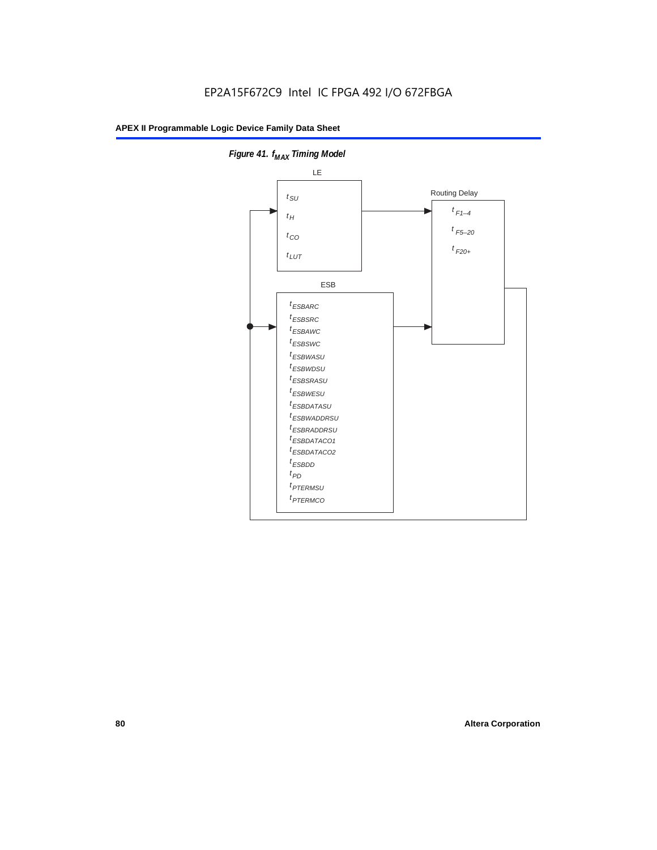

**Figure 41. f**<sub>MAX</sub> Timing Model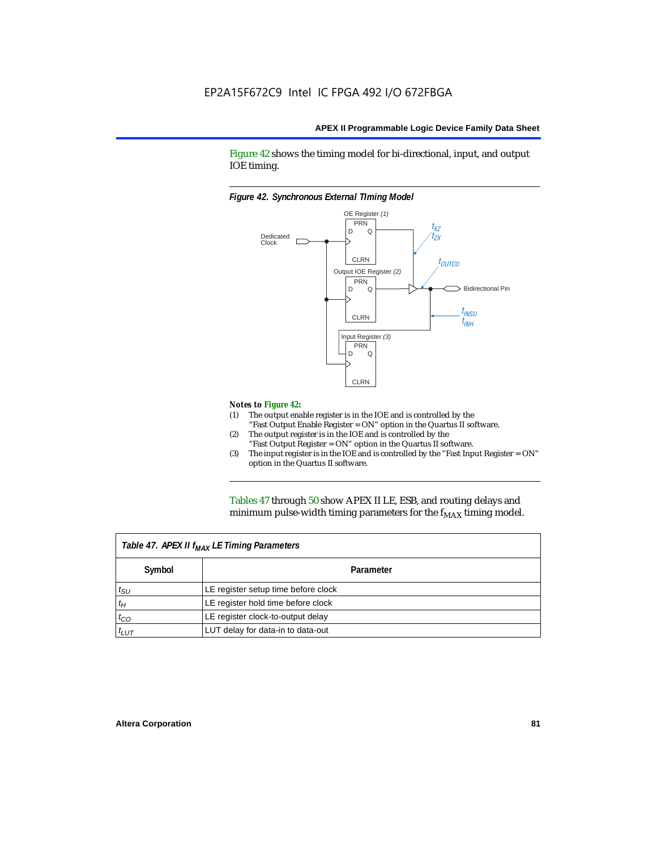Figure 42 shows the timing model for bi-directional, input, and output IOE timing.

#### *Figure 42. Synchronous External TIming Model*



#### *Notes to Figure 42:*

- (1) The output enable register is in the IOE and is controlled by the "Fast Output Enable Register = ON" option in the Quartus II software.
- (2) The output register is in the IOE and is controlled by the "Fast Output Register = ON" option in the Quartus II software.
- (3) The input register is in the IOE and is controlled by the "Fast Input Register = ON" option in the Quartus II software.

Tables 47 through 50 show APEX II LE, ESB, and routing delays and minimum pulse-width timing parameters for the  $f_{MAX}$  timing model.

| Table 47. APEX II f <sub>MAX</sub> LE Timing Parameters |                                     |  |  |  |  |
|---------------------------------------------------------|-------------------------------------|--|--|--|--|
| Symbol                                                  | Parameter                           |  |  |  |  |
| $t_{\rm SU}$                                            | LE register setup time before clock |  |  |  |  |
| $t_H$                                                   | LE register hold time before clock  |  |  |  |  |
| $t_{CO}$                                                | LE register clock-to-output delay   |  |  |  |  |
| $t_{LUT}$                                               | LUT delay for data-in to data-out   |  |  |  |  |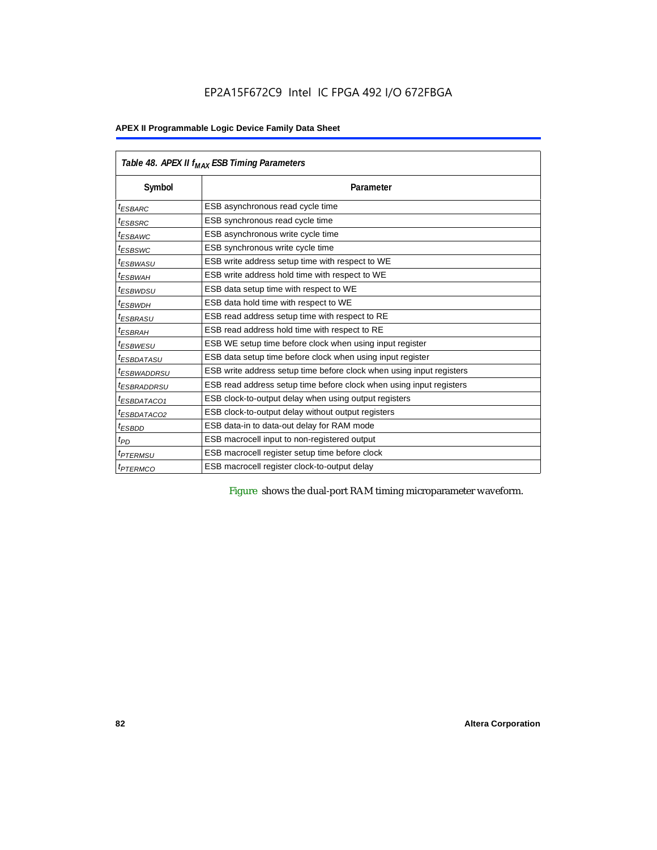# **APEX II Programmable Logic Device Family Data Sheet**

|                            | Table 48. APEX II f <sub>MAX</sub> ESB Timing Parameters             |  |  |  |  |  |
|----------------------------|----------------------------------------------------------------------|--|--|--|--|--|
| Symbol                     | Parameter                                                            |  |  |  |  |  |
| <sup>t</sup> ESBARC        | ESB asynchronous read cycle time                                     |  |  |  |  |  |
| <sup>t</sup> ESBSRC        | ESB synchronous read cycle time                                      |  |  |  |  |  |
| <sup>t</sup> ESBAWC        | ESB asynchronous write cycle time                                    |  |  |  |  |  |
| <sup>t</sup> ESBSWC        | ESB synchronous write cycle time                                     |  |  |  |  |  |
| <sup>t</sup> ESBWASU       | ESB write address setup time with respect to WE                      |  |  |  |  |  |
| <sup>t</sup> ESBWАН        | ESB write address hold time with respect to WE                       |  |  |  |  |  |
| <sup>t</sup> ESBWDSU       | ESB data setup time with respect to WE                               |  |  |  |  |  |
| <sup>t</sup> ESBWDH        | ESB data hold time with respect to WE                                |  |  |  |  |  |
| <sup>t</sup> ESBRASU       | ESB read address setup time with respect to RE                       |  |  |  |  |  |
| <sup>t</sup> ESBRAH        | ESB read address hold time with respect to RE                        |  |  |  |  |  |
| <sup>t</sup> ESBWESU       | ESB WE setup time before clock when using input register             |  |  |  |  |  |
| <sup>t</sup> ESBDATASU     | ESB data setup time before clock when using input register           |  |  |  |  |  |
| <sup>t</sup> ESBWADDRSU    | ESB write address setup time before clock when using input registers |  |  |  |  |  |
| <sup>t</sup> ESBRADDRSU    | ESB read address setup time before clock when using input registers  |  |  |  |  |  |
| <sup>t</sup> ESBDATACO1    | ESB clock-to-output delay when using output registers                |  |  |  |  |  |
| <sup>t</sup> ESBDATACO2    | ESB clock-to-output delay without output registers                   |  |  |  |  |  |
| <sup>t</sup> ESBDD         | ESB data-in to data-out delay for RAM mode                           |  |  |  |  |  |
| $t_{PD}$                   | ESB macrocell input to non-registered output                         |  |  |  |  |  |
| <i><b>TPTERMSU</b></i>     | ESB macrocell register setup time before clock                       |  |  |  |  |  |
| <i>t<sub>PTERMCO</sub></i> | ESB macrocell register clock-to-output delay                         |  |  |  |  |  |

Figure shows the dual-port RAM timing microparameter waveform.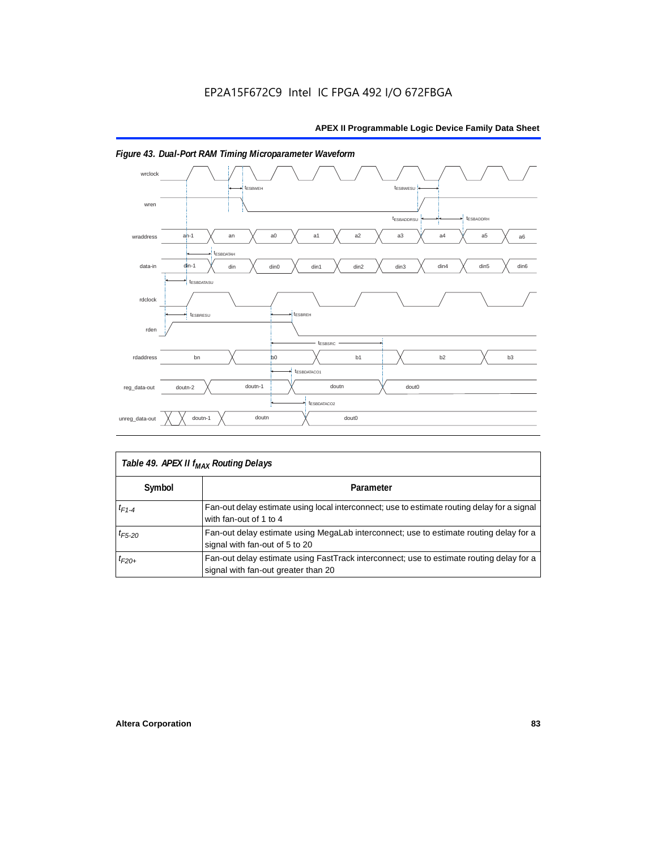

# *Figure 43. Dual-Port RAM Timing Microparameter Waveform*

| Table 49. APEX II f <sub>MAX</sub> Routing Delays |                                                                                                                                 |  |  |  |  |
|---------------------------------------------------|---------------------------------------------------------------------------------------------------------------------------------|--|--|--|--|
| Symbol                                            | Parameter                                                                                                                       |  |  |  |  |
| $t_{F1-4}$                                        | Fan-out delay estimate using local interconnect; use to estimate routing delay for a signal<br>with fan-out of 1 to 4           |  |  |  |  |
| $t_{F5-20}$                                       | Fan-out delay estimate using MegaLab interconnect; use to estimate routing delay for a<br>signal with fan-out of 5 to 20        |  |  |  |  |
| $t_{F20+}$                                        | Fan-out delay estimate using FastTrack interconnect; use to estimate routing delay for a<br>signal with fan-out greater than 20 |  |  |  |  |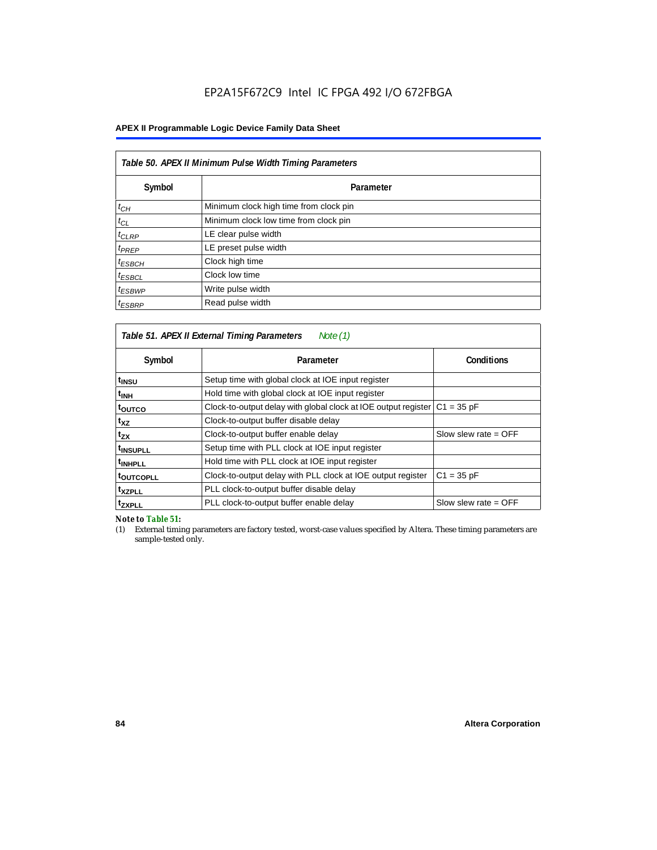# **APEX II Programmable Logic Device Family Data Sheet**

| Table 50. APEX II Minimum Pulse Width Timing Parameters |                                        |  |  |  |
|---------------------------------------------------------|----------------------------------------|--|--|--|
| Symbol                                                  | Parameter                              |  |  |  |
| $t_{CH}$                                                | Minimum clock high time from clock pin |  |  |  |
| $t_{CL}$                                                | Minimum clock low time from clock pin  |  |  |  |
| $t_{CLRP}$                                              | LE clear pulse width                   |  |  |  |
| $t_{PREF}$                                              | LE preset pulse width                  |  |  |  |
| $t_{ESBCH}$                                             | Clock high time                        |  |  |  |
| $t_{ESBCL}$                                             | Clock low time                         |  |  |  |
| $t_{ESBWP}$                                             | Write pulse width                      |  |  |  |
| $t_{ESBRP}$                                             | Read pulse width                       |  |  |  |

| Table 51. APEX II External Timing Parameters<br>Note (1) |                                                                |                        |  |  |  |  |  |
|----------------------------------------------------------|----------------------------------------------------------------|------------------------|--|--|--|--|--|
| Symbol                                                   | Parameter                                                      | <b>Conditions</b>      |  |  |  |  |  |
| t <sub>INSU</sub>                                        | Setup time with global clock at IOE input register             |                        |  |  |  |  |  |
| $t_{\rm INH}$                                            | Hold time with global clock at IOE input register              |                        |  |  |  |  |  |
| toutco                                                   | Clock-to-output delay with global clock at IOE output register | $C1 = 35 pF$           |  |  |  |  |  |
| t <sub>XZ</sub>                                          | Clock-to-output buffer disable delay                           |                        |  |  |  |  |  |
| t <sub>ΖΧ</sub>                                          | Clock-to-output buffer enable delay                            | Slow slew rate $=$ OFF |  |  |  |  |  |
| <sup>t</sup> INSUPLL                                     | Setup time with PLL clock at IOE input register                |                        |  |  |  |  |  |
| <sup>t</sup> INHPLL                                      | Hold time with PLL clock at IOE input register                 |                        |  |  |  |  |  |
| <b>toutcopll</b>                                         | Clock-to-output delay with PLL clock at IOE output register    | $C1 = 35 pF$           |  |  |  |  |  |
| <sup>t</sup> xzpll                                       | PLL clock-to-output buffer disable delay                       |                        |  |  |  |  |  |
| <sup>t</sup> zxpll                                       | PLL clock-to-output buffer enable delay                        | Slow slew rate $=$ OFF |  |  |  |  |  |

*Note to Table 51:*

(1) External timing parameters are factory tested, worst-case values specified by Altera. These timing parameters are sample-tested only.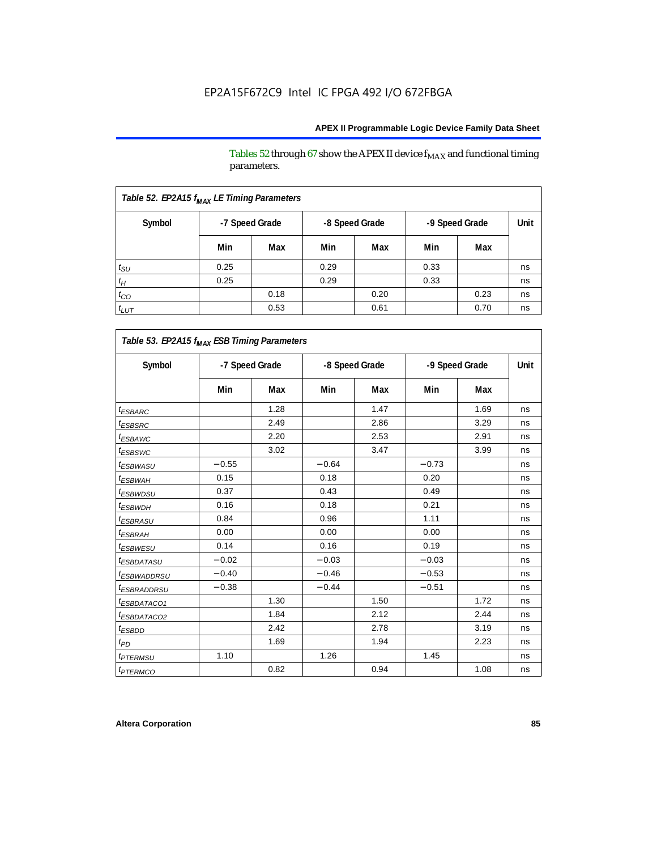Tables 52 through 67 show the APEX II device  $\rm f_{MAX}$  and functional timing parameters.

| Table 52. EP2A15 f <sub>MAX</sub> LE Timing Parameters |                |      |                |      |                |      |      |  |
|--------------------------------------------------------|----------------|------|----------------|------|----------------|------|------|--|
| Symbol                                                 | -7 Speed Grade |      | -8 Speed Grade |      | -9 Speed Grade |      | Unit |  |
|                                                        | Min            | Max  | Min            | Max  | Min            | Max  |      |  |
| $t_{\text{SU}}$                                        | 0.25           |      | 0.29           |      | 0.33           |      | ns   |  |
| $t_H$                                                  | 0.25           |      | 0.29           |      | 0.33           |      | ns   |  |
| $t_{CO}$                                               |                | 0.18 |                | 0.20 |                | 0.23 | ns   |  |
| $t_{LUT}$                                              |                | 0.53 |                | 0.61 |                | 0.70 | ns   |  |

| Table 53. EP2A15 f <sub>MAX</sub> ESB Timing Parameters |                |      |                |      |                |      |      |  |  |
|---------------------------------------------------------|----------------|------|----------------|------|----------------|------|------|--|--|
| Symbol                                                  | -7 Speed Grade |      | -8 Speed Grade |      | -9 Speed Grade |      | Unit |  |  |
|                                                         | Min            | Max  | Min            | Max  | Min            | Max  |      |  |  |
| <i><b>ESBARC</b></i>                                    |                | 1.28 |                | 1.47 |                | 1.69 | ns   |  |  |
| <sup>t</sup> ESBSRC                                     |                | 2.49 |                | 2.86 |                | 3.29 | ns   |  |  |
| <sup>t</sup> ESBAWC                                     |                | 2.20 |                | 2.53 |                | 2.91 | ns   |  |  |
| <sup>t</sup> ESBSWC                                     |                | 3.02 |                | 3.47 |                | 3.99 | ns   |  |  |
| <i>t<sub>ESBWASU</sub></i>                              | $-0.55$        |      | $-0.64$        |      | $-0.73$        |      | ns   |  |  |
| <sup>t</sup> ESBWAH                                     | 0.15           |      | 0.18           |      | 0.20           |      | ns   |  |  |
| <sup>t</sup> ESBWDSU                                    | 0.37           |      | 0.43           |      | 0.49           |      | ns   |  |  |
| <sup>t</sup> ESBWDH                                     | 0.16           |      | 0.18           |      | 0.21           |      | ns   |  |  |
| <i><b>ESBRASU</b></i>                                   | 0.84           |      | 0.96           |      | 1.11           |      | ns   |  |  |
| <sup>t</sup> ESBRAH                                     | 0.00           |      | 0.00           |      | 0.00           |      | ns   |  |  |
| <i>t<sub>ESBWESU</sub></i>                              | 0.14           |      | 0.16           |      | 0.19           |      | ns   |  |  |
| <sup>t</sup> ESBDATASU                                  | $-0.02$        |      | $-0.03$        |      | $-0.03$        |      | ns   |  |  |
| <sup>t</sup> ESBWADDRSU                                 | $-0.40$        |      | $-0.46$        |      | $-0.53$        |      | ns   |  |  |
| <sup>t</sup> ESBRADDRSU                                 | $-0.38$        |      | $-0.44$        |      | $-0.51$        |      | ns   |  |  |
| <i>ESBDATACO1</i>                                       |                | 1.30 |                | 1.50 |                | 1.72 | ns   |  |  |
| <i>ESBDATACO2</i>                                       |                | 1.84 |                | 2.12 |                | 2.44 | ns   |  |  |
| <sup>t</sup> ESBDD                                      |                | 2.42 |                | 2.78 |                | 3.19 | ns   |  |  |
| t <sub>PD</sub>                                         |                | 1.69 |                | 1.94 |                | 2.23 | ns   |  |  |
| <i><b><i>FTERMSU</i></b></i>                            | 1.10           |      | 1.26           |      | 1.45           |      | ns   |  |  |
| <i><b>IPTERMCO</b></i>                                  |                | 0.82 |                | 0.94 |                | 1.08 | ns   |  |  |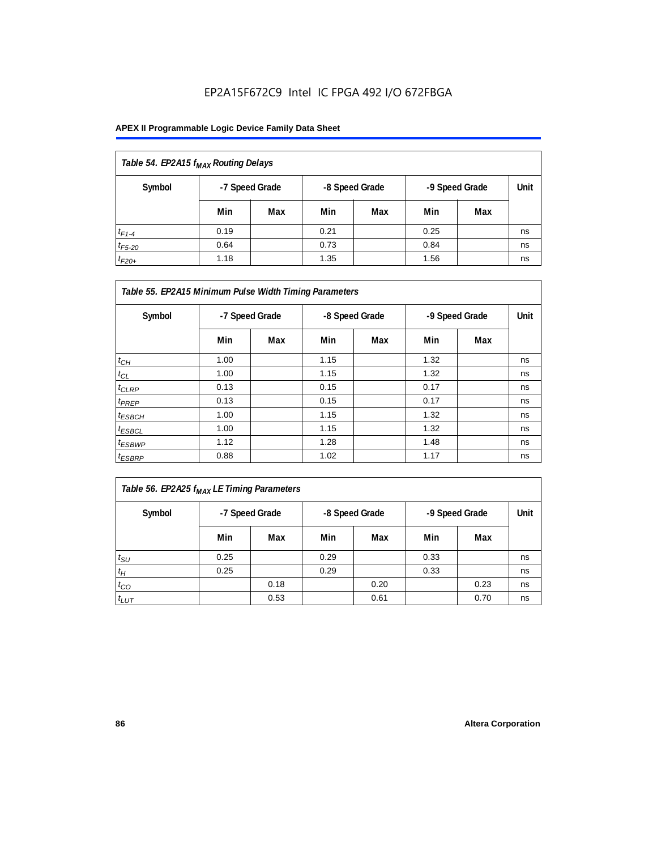| Table 54. EP2A15 f <sub>MAX</sub> Routing Delays |      |                |                |     |                |     |      |  |
|--------------------------------------------------|------|----------------|----------------|-----|----------------|-----|------|--|
| Symbol                                           |      | -7 Speed Grade | -8 Speed Grade |     | -9 Speed Grade |     | Unit |  |
|                                                  | Min  | Max            | Min            | Max | Min            | Max |      |  |
| $t_{F1-4}$                                       | 0.19 |                | 0.21           |     | 0.25           |     | ns   |  |
| $t_{F5-20}$                                      | 0.64 |                | 0.73           |     | 0.84           |     | ns   |  |
| $t_{F20+}$                                       | 1.18 |                | 1.35           |     | 1.56           |     | ns   |  |

| Table 55. EP2A15 Minimum Pulse Width Timing Parameters |                |     |      |                |      |                |    |  |
|--------------------------------------------------------|----------------|-----|------|----------------|------|----------------|----|--|
| Symbol                                                 | -7 Speed Grade |     |      | -8 Speed Grade |      | -9 Speed Grade |    |  |
|                                                        | Min            | Max | Min  | Max            | Min  | Max            |    |  |
| $t_{CH}$                                               | 1.00           |     | 1.15 |                | 1.32 |                | ns |  |
| $t_{CL}$                                               | 1.00           |     | 1.15 |                | 1.32 |                | ns |  |
| $t_{CLRP}$                                             | 0.13           |     | 0.15 |                | 0.17 |                | ns |  |
| $t_{PREF}$                                             | 0.13           |     | 0.15 |                | 0.17 |                | ns |  |
| $t_{ESBCH}$                                            | 1.00           |     | 1.15 |                | 1.32 |                | ns |  |
| $t_{ESBCL}$                                            | 1.00           |     | 1.15 |                | 1.32 |                | ns |  |
| <sup>t</sup> ESBWP                                     | 1.12           |     | 1.28 |                | 1.48 |                | ns |  |
| $t_{ESBRP}$                                            | 0.88           |     | 1.02 |                | 1.17 |                | ns |  |

| Table 56. EP2A25 f <sub>MAX</sub> LE Timing Parameters |                |      |                |      |                |      |      |  |
|--------------------------------------------------------|----------------|------|----------------|------|----------------|------|------|--|
| Symbol                                                 | -7 Speed Grade |      | -8 Speed Grade |      | -9 Speed Grade |      | Unit |  |
|                                                        | Min            | Max  | Min            | Max  | Min            | Max  |      |  |
| $t_{\rm SU}$                                           | 0.25           |      | 0.29           |      | 0.33           |      | ns   |  |
| $t_H$                                                  | 0.25           |      | 0.29           |      | 0.33           |      | ns   |  |
| $t_{CO}$                                               |                | 0.18 |                | 0.20 |                | 0.23 | ns   |  |
| $t_{LUT}$                                              |                | 0.53 |                | 0.61 |                | 0.70 | ns   |  |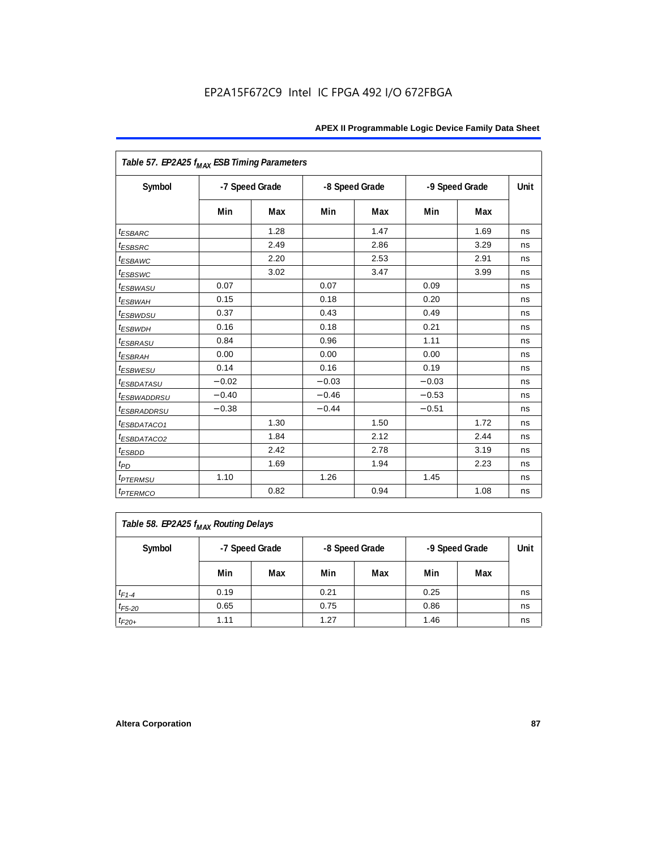| Table 57. EP2A25 f <sub>MAX</sub> ESB Timing Parameters |                |      |         |                |         |                |      |
|---------------------------------------------------------|----------------|------|---------|----------------|---------|----------------|------|
| Symbol                                                  | -7 Speed Grade |      |         | -8 Speed Grade |         | -9 Speed Grade | Unit |
|                                                         | Min            | Max  | Min     | Max            | Min     | Max            |      |
| <i><b>ESBARC</b></i>                                    |                | 1.28 |         | 1.47           |         | 1.69           | ns   |
| <i>t</i> <sub>ESBSRC</sub>                              |                | 2.49 |         | 2.86           |         | 3.29           | ns   |
| <sup>t</sup> ESBAWC                                     |                | 2.20 |         | 2.53           |         | 2.91           | ns   |
| t <sub>ESBSWC</sub>                                     |                | 3.02 |         | 3.47           |         | 3.99           | ns   |
| <sup>t</sup> ESBWASU                                    | 0.07           |      | 0.07    |                | 0.09    |                | ns   |
| <sup>t</sup> ESBWAH                                     | 0.15           |      | 0.18    |                | 0.20    |                | ns   |
| $t_{ESBWDSU}$                                           | 0.37           |      | 0.43    |                | 0.49    |                | ns   |
| <sup>t</sup> ESBWDH                                     | 0.16           |      | 0.18    |                | 0.21    |                | ns   |
| <sup>t</sup> ESBRASU                                    | 0.84           |      | 0.96    |                | 1.11    |                | ns   |
| <sup>t</sup> ESBRAH                                     | 0.00           |      | 0.00    |                | 0.00    |                | ns   |
| <sup>t</sup> ESBWESU                                    | 0.14           |      | 0.16    |                | 0.19    |                | ns   |
| <i>ESBDATASU</i>                                        | $-0.02$        |      | $-0.03$ |                | $-0.03$ |                | ns   |
| <sup>t</sup> ESBWADDRSU                                 | $-0.40$        |      | $-0.46$ |                | $-0.53$ |                | ns   |
| <sup>t</sup> ESBRADDRSU                                 | $-0.38$        |      | $-0.44$ |                | $-0.51$ |                | ns   |
| <i>ESBDATACO1</i>                                       |                | 1.30 |         | 1.50           |         | 1.72           | ns   |
| <i>ESBDATACO2</i>                                       |                | 1.84 |         | 2.12           |         | 2.44           | ns   |
| <sup>t</sup> ESBDD                                      |                | 2.42 |         | 2.78           |         | 3.19           | ns   |
| $t_{PD}$                                                |                | 1.69 |         | 1.94           |         | 2.23           | ns   |
| <i>t<sub>PTERMSU</sub></i>                              | 1.10           |      | 1.26    |                | 1.45    |                | ns   |
| <i><b>t<sub>PTERMCO</sub></b></i>                       |                | 0.82 |         | 0.94           |         | 1.08           | ns   |

| Table 58. EP2A25 f <sub>MAX</sub> Routing Delays |      |                                                    |      |     |      |     |    |  |  |
|--------------------------------------------------|------|----------------------------------------------------|------|-----|------|-----|----|--|--|
| Symbol                                           |      | -8 Speed Grade<br>-7 Speed Grade<br>-9 Speed Grade |      |     |      |     |    |  |  |
|                                                  | Min  | Max                                                | Min  | Max | Min  | Max |    |  |  |
| $t_{F1-4}$                                       | 0.19 |                                                    | 0.21 |     | 0.25 |     | ns |  |  |
| $t_{F5-20}$                                      | 0.65 |                                                    | 0.75 |     | 0.86 |     | ns |  |  |
| $t_{F20+}$                                       | 1.11 |                                                    | 1.27 |     | 1.46 |     | ns |  |  |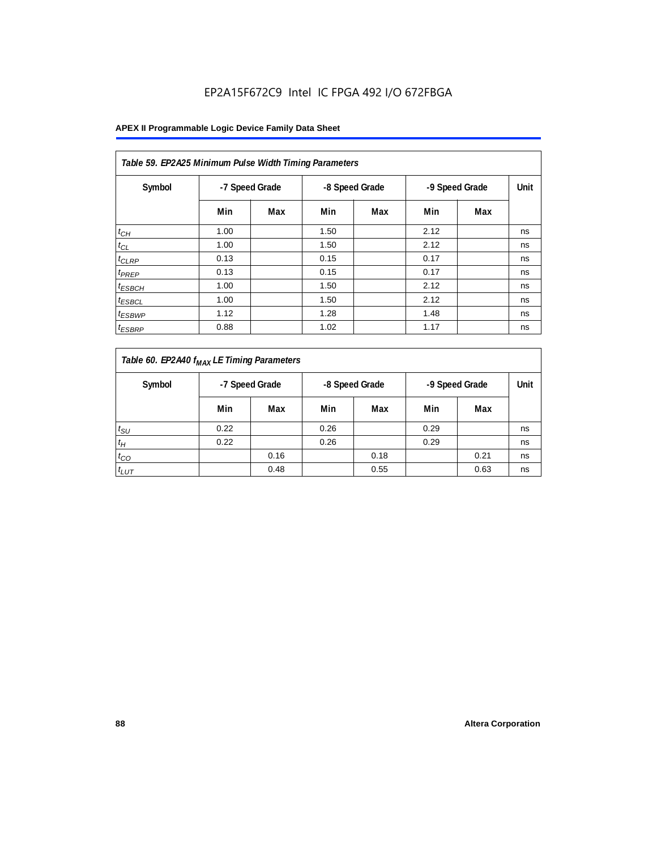| Table 59. EP2A25 Minimum Pulse Width Timing Parameters |                |     |      |                |                |     |      |  |  |  |
|--------------------------------------------------------|----------------|-----|------|----------------|----------------|-----|------|--|--|--|
| Symbol                                                 | -7 Speed Grade |     |      | -8 Speed Grade | -9 Speed Grade |     | Unit |  |  |  |
|                                                        | Min            | Max | Min  | Max            | Min            | Max |      |  |  |  |
| $t_{CH}$                                               | 1.00           |     | 1.50 |                | 2.12           |     | ns   |  |  |  |
| $t_{CL}$                                               | 1.00           |     | 1.50 |                | 2.12           |     | ns   |  |  |  |
| $t_{CLRP}$                                             | 0.13           |     | 0.15 |                | 0.17           |     | ns   |  |  |  |
| t <sub>PREP</sub>                                      | 0.13           |     | 0.15 |                | 0.17           |     | ns   |  |  |  |
| <sup>t</sup> ESBCH                                     | 1.00           |     | 1.50 |                | 2.12           |     | ns   |  |  |  |
| <sup>t</sup> ESBCL                                     | 1.00           |     | 1.50 |                | 2.12           |     | ns   |  |  |  |
| <sup>t</sup> ESBWP                                     | 1.12           |     | 1.28 |                | 1.48           |     | ns   |  |  |  |
| <sup>t</sup> ESBRP                                     | 0.88           |     | 1.02 |                | 1.17           |     | ns   |  |  |  |

| Table 60. EP2A40 f <sub>MAX</sub> LE Timing Parameters |      |                                                    |      |      |      |      |      |  |  |
|--------------------------------------------------------|------|----------------------------------------------------|------|------|------|------|------|--|--|
| Symbol                                                 |      | -7 Speed Grade<br>-8 Speed Grade<br>-9 Speed Grade |      |      |      |      | Unit |  |  |
|                                                        | Min  | Max                                                | Min  | Max  | Min  | Max  |      |  |  |
| $t_{\text{SU}}$                                        | 0.22 |                                                    | 0.26 |      | 0.29 |      | ns   |  |  |
| $t_H$                                                  | 0.22 |                                                    | 0.26 |      | 0.29 |      | ns   |  |  |
| $t_{CO}$                                               |      | 0.16                                               |      | 0.18 |      | 0.21 | ns   |  |  |
| $t_{LUT}$                                              |      | 0.48                                               |      | 0.55 |      | 0.63 | ns   |  |  |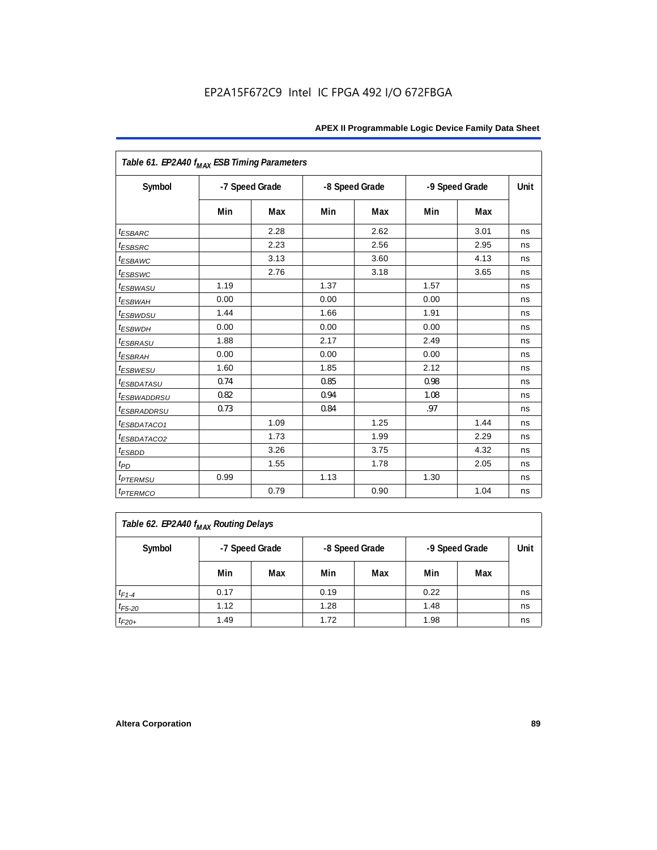| Table 61. EP2A40 f <sub>MAX</sub> ESB Timing Parameters |      |                |      |                |      |                |      |
|---------------------------------------------------------|------|----------------|------|----------------|------|----------------|------|
| Symbol                                                  |      | -7 Speed Grade |      | -8 Speed Grade |      | -9 Speed Grade | Unit |
|                                                         | Min  | Max            | Min  | Max            | Min  | Max            |      |
| <i><b>ESBARC</b></i>                                    |      | 2.28           |      | 2.62           |      | 3.01           | ns   |
| <i><b>ESBSRC</b></i>                                    |      | 2.23           |      | 2.56           |      | 2.95           | ns   |
| <i>ESBAWC</i>                                           |      | 3.13           |      | 3.60           |      | 4.13           | ns   |
| t <sub>ESBSWC</sub>                                     |      | 2.76           |      | 3.18           |      | 3.65           | ns   |
| <sup>t</sup> ESBWASU                                    | 1.19 |                | 1.37 |                | 1.57 |                | ns   |
| <sup>t</sup> ESBWAH                                     | 0.00 |                | 0.00 |                | 0.00 |                | ns   |
| <i>t<sub>ESBWDSU</sub></i>                              | 1.44 |                | 1.66 |                | 1.91 |                | ns   |
| <sup>t</sup> ESBWDH                                     | 0.00 |                | 0.00 |                | 0.00 |                | ns   |
| <i><b>ESBRASU</b></i>                                   | 1.88 |                | 2.17 |                | 2.49 |                | ns   |
| <sup>t</sup> ESBRAH                                     | 0.00 |                | 0.00 |                | 0.00 |                | ns   |
| $t_{ESBWESU}$                                           | 1.60 |                | 1.85 |                | 2.12 |                | ns   |
| <sup>t</sup> ESBDATASU                                  | 0.74 |                | 0.85 |                | 0.98 |                | ns   |
| <sup>t</sup> ESBWADDRSU                                 | 0.82 |                | 0.94 |                | 1.08 |                | ns   |
| <sup>t</sup> ESBRADDRSU                                 | 0.73 |                | 0.84 |                | .97  |                | ns   |
| <sup>t</sup> ESBDATACO1                                 |      | 1.09           |      | 1.25           |      | 1.44           | ns   |
| <sup>t</sup> ESBDATACO2                                 |      | 1.73           |      | 1.99           |      | 2.29           | ns   |
| <sup>t</sup> ESBDD                                      |      | 3.26           |      | 3.75           |      | 4.32           | ns   |
| t <sub>PD</sub>                                         |      | 1.55           |      | 1.78           |      | 2.05           | ns   |
| <i>t<sub>PTERMSU</sub></i>                              | 0.99 |                | 1.13 |                | 1.30 |                | ns   |
| <i><b>t</b>PTERMCO</i>                                  |      | 0.79           |      | 0.90           |      | 1.04           | ns   |

| Table 62. EP2A40 f <sub>MAX</sub> Routing Delays |      |                                                    |      |     |      |     |    |  |  |
|--------------------------------------------------|------|----------------------------------------------------|------|-----|------|-----|----|--|--|
| Symbol                                           |      | -7 Speed Grade<br>-8 Speed Grade<br>-9 Speed Grade |      |     |      |     |    |  |  |
|                                                  | Min  | Max                                                | Min  | Max | Min  | Max |    |  |  |
| $t_{F1-4}$                                       | 0.17 |                                                    | 0.19 |     | 0.22 |     | ns |  |  |
| $t_{F5-20}$                                      | 1.12 |                                                    | 1.28 |     | 1.48 |     | ns |  |  |
| $t_{F20+}$                                       | 1.49 |                                                    | 1.72 |     | 1.98 |     | ns |  |  |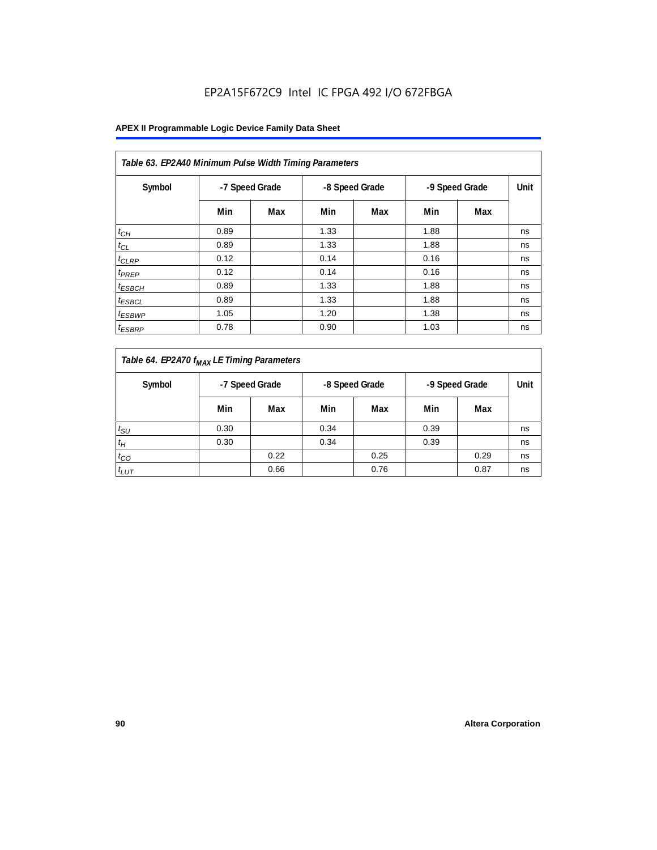| Table 63. EP2A40 Minimum Pulse Width Timing Parameters |                                                    |     |      |      |      |     |    |  |  |  |
|--------------------------------------------------------|----------------------------------------------------|-----|------|------|------|-----|----|--|--|--|
| Symbol                                                 | -7 Speed Grade<br>-8 Speed Grade<br>-9 Speed Grade |     |      | Unit |      |     |    |  |  |  |
|                                                        | Min                                                | Max | Min  | Max  | Min  | Max |    |  |  |  |
| $t_{CH}$                                               | 0.89                                               |     | 1.33 |      | 1.88 |     | ns |  |  |  |
| $t_{CL}$                                               | 0.89                                               |     | 1.33 |      | 1.88 |     | ns |  |  |  |
| $t_{CLRP}$                                             | 0.12                                               |     | 0.14 |      | 0.16 |     | ns |  |  |  |
| t <sub>PREP</sub>                                      | 0.12                                               |     | 0.14 |      | 0.16 |     | ns |  |  |  |
| <sup>t</sup> ESBCH                                     | 0.89                                               |     | 1.33 |      | 1.88 |     | ns |  |  |  |
| <sup>t</sup> ESBCL                                     | 0.89                                               |     | 1.33 |      | 1.88 |     | ns |  |  |  |
| <sup>t</sup> ESBWP                                     | 1.05                                               |     | 1.20 |      | 1.38 |     | ns |  |  |  |
| <sup>t</sup> ESBRP                                     | 0.78                                               |     | 0.90 |      | 1.03 |     | ns |  |  |  |

| Table 64. EP2A70 f <sub>MAX</sub> LE Timing Parameters |                |      |                |      |                |      |      |
|--------------------------------------------------------|----------------|------|----------------|------|----------------|------|------|
| Symbol                                                 | -7 Speed Grade |      | -8 Speed Grade |      | -9 Speed Grade |      | Unit |
|                                                        | Min            | Max  | Min            | Max  | Min            | Max  |      |
| $t_{\rm SU}$                                           | 0.30           |      | 0.34           |      | 0.39           |      | ns   |
| $t_H$                                                  | 0.30           |      | 0.34           |      | 0.39           |      | ns   |
| $t_{CO}$                                               |                | 0.22 |                | 0.25 |                | 0.29 | ns   |
| $t_{LUT}$                                              |                | 0.66 |                | 0.76 |                | 0.87 | ns   |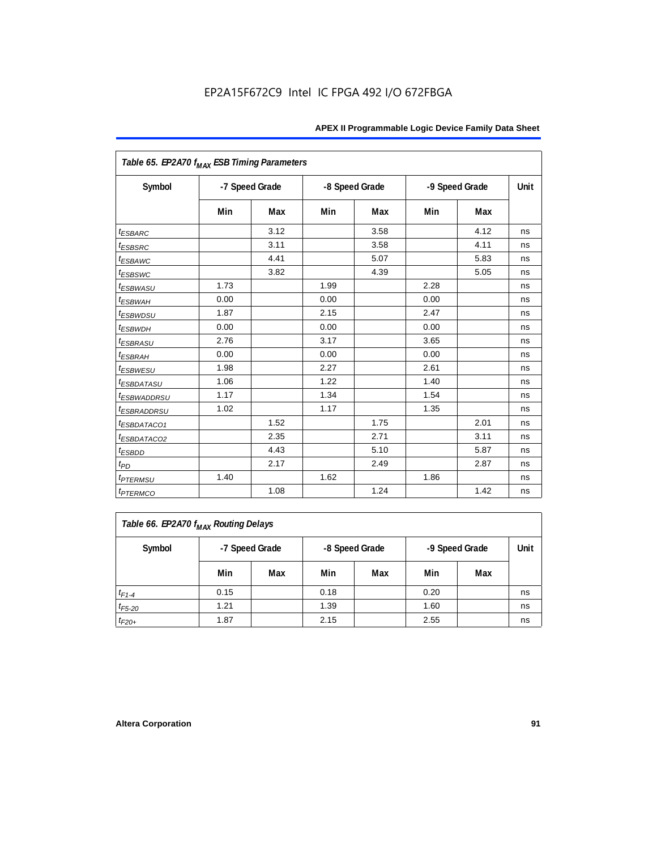| Table 65. EP2A70 f <sub>MAX</sub> ESB Timing Parameters |      |                |      |                |      |                |      |
|---------------------------------------------------------|------|----------------|------|----------------|------|----------------|------|
| Symbol                                                  |      | -7 Speed Grade |      | -8 Speed Grade |      | -9 Speed Grade | Unit |
|                                                         | Min  | Max            | Min  | Max            | Min  | Max            |      |
| <i><b>ESBARC</b></i>                                    |      | 3.12           |      | 3.58           |      | 4.12           | ns   |
| <i>t</i> <sub>ESBSRC</sub>                              |      | 3.11           |      | 3.58           |      | 4.11           | ns   |
| <sup>t</sup> ESBAWC                                     |      | 4.41           |      | 5.07           |      | 5.83           | ns   |
| t <sub>ESBSWC</sub>                                     |      | 3.82           |      | 4.39           |      | 5.05           | ns   |
| <sup>t</sup> ESBWASU                                    | 1.73 |                | 1.99 |                | 2.28 |                | ns   |
| <sup>t</sup> ESBWAH                                     | 0.00 |                | 0.00 |                | 0.00 |                | ns   |
| <i>t<sub>ESBWDSU</sub></i>                              | 1.87 |                | 2.15 |                | 2.47 |                | ns   |
| <sup>t</sup> ESBWDH                                     | 0.00 |                | 0.00 |                | 0.00 |                | ns   |
| <sup>t</sup> ESBRASU                                    | 2.76 |                | 3.17 |                | 3.65 |                | ns   |
| <sup>t</sup> ESBRAH                                     | 0.00 |                | 0.00 |                | 0.00 |                | ns   |
| <sup>t</sup> ESBWESU                                    | 1.98 |                | 2.27 |                | 2.61 |                | ns   |
| <i>ESBDATASU</i>                                        | 1.06 |                | 1.22 |                | 1.40 |                | ns   |
| <sup>t</sup> ESBWADDRSU                                 | 1.17 |                | 1.34 |                | 1.54 |                | ns   |
| <sup>t</sup> ESBRADDRSU                                 | 1.02 |                | 1.17 |                | 1.35 |                | ns   |
| <i>ESBDATACO1</i>                                       |      | 1.52           |      | 1.75           |      | 2.01           | ns   |
| <i>ESBDATACO2</i>                                       |      | 2.35           |      | 2.71           |      | 3.11           | ns   |
| <sup>t</sup> ESBDD                                      |      | 4.43           |      | 5.10           |      | 5.87           | ns   |
| $t_{PD}$                                                |      | 2.17           |      | 2.49           |      | 2.87           | ns   |
| <i>t<sub>PTERMSU</sub></i>                              | 1.40 |                | 1.62 |                | 1.86 |                | ns   |
| <i><b>t</b>PTERMCO</i>                                  |      | 1.08           |      | 1.24           |      | 1.42           | ns   |

| Table 66. EP2A70 f <sub>MAX</sub> Routing Delays |                                                    |     |      |     |      |     |      |  |  |
|--------------------------------------------------|----------------------------------------------------|-----|------|-----|------|-----|------|--|--|
| Symbol                                           | -7 Speed Grade<br>-8 Speed Grade<br>-9 Speed Grade |     |      |     |      |     | Unit |  |  |
|                                                  | Min                                                | Max | Min  | Max | Min  | Max |      |  |  |
| $t_{F1-4}$                                       | 0.15                                               |     | 0.18 |     | 0.20 |     | ns   |  |  |
| $t_{F5-20}$                                      | 1.21                                               |     | 1.39 |     | 1.60 |     | ns   |  |  |
| $t_{F20+}$                                       | 1.87                                               |     | 2.15 |     | 2.55 |     | ns   |  |  |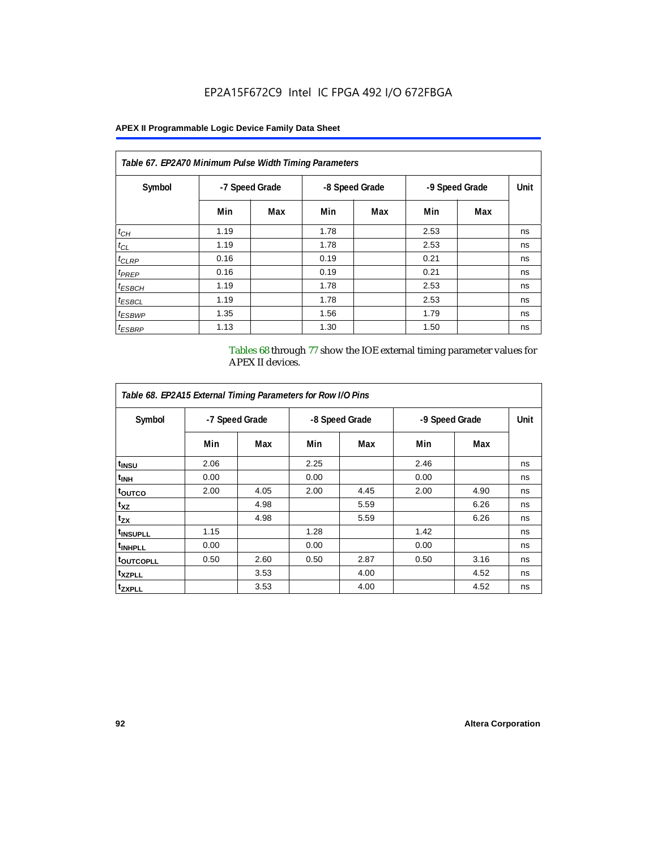# **APEX II Programmable Logic Device Family Data Sheet**

| Table 67. EP2A70 Minimum Pulse Width Timing Parameters |      |                |      |                                  |      |     |      |  |  |  |
|--------------------------------------------------------|------|----------------|------|----------------------------------|------|-----|------|--|--|--|
| Symbol                                                 |      | -7 Speed Grade |      | -8 Speed Grade<br>-9 Speed Grade |      |     | Unit |  |  |  |
|                                                        | Min  | Max            | Min  | Max                              | Min  | Max |      |  |  |  |
| $t_{CH}$                                               | 1.19 |                | 1.78 |                                  | 2.53 |     | ns   |  |  |  |
| $t_{CL}$                                               | 1.19 |                | 1.78 |                                  | 2.53 |     | ns   |  |  |  |
| $t_{CLRP}$                                             | 0.16 |                | 0.19 |                                  | 0.21 |     | ns   |  |  |  |
| t <sub>PREP</sub>                                      | 0.16 |                | 0.19 |                                  | 0.21 |     | ns   |  |  |  |
| $t_{ESBCH}$                                            | 1.19 |                | 1.78 |                                  | 2.53 |     | ns   |  |  |  |
| <sup>t</sup> ESBCL                                     | 1.19 |                | 1.78 |                                  | 2.53 |     | ns   |  |  |  |
| <sup>t</sup> ESBWP                                     | 1.35 |                | 1.56 |                                  | 1.79 |     | ns   |  |  |  |
| <sup>t</sup> ESBRP                                     | 1.13 |                | 1.30 |                                  | 1.50 |     | ns   |  |  |  |

Tables 68 through 77 show the IOE external timing parameter values for APEX II devices.

|                       | Table 68. EP2A15 External Timing Parameters for Row I/O Pins |      |      |                |      |                |      |  |  |  |  |  |  |  |
|-----------------------|--------------------------------------------------------------|------|------|----------------|------|----------------|------|--|--|--|--|--|--|--|
| Symbol                | -7 Speed Grade                                               |      |      | -8 Speed Grade |      | -9 Speed Grade | Unit |  |  |  |  |  |  |  |
|                       | Min                                                          | Max  | Min  | Max            | Min  | Max            |      |  |  |  |  |  |  |  |
| t <sub>INSU</sub>     | 2.06                                                         |      | 2.25 |                | 2.46 |                | ns   |  |  |  |  |  |  |  |
| <sup>t</sup> inh      | 0.00                                                         |      | 0.00 |                | 0.00 |                | ns   |  |  |  |  |  |  |  |
| toutco                | 2.00                                                         | 4.05 | 2.00 | 4.45           | 2.00 | 4.90           | ns   |  |  |  |  |  |  |  |
| $t_{XZ}$              |                                                              | 4.98 |      | 5.59           |      | 6.26           | ns   |  |  |  |  |  |  |  |
| $t_{ZX}$              |                                                              | 4.98 |      | 5.59           |      | 6.26           | ns   |  |  |  |  |  |  |  |
| <sup>t</sup> INSUPLL  | 1.15                                                         |      | 1.28 |                | 1.42 |                | ns   |  |  |  |  |  |  |  |
| <sup>t</sup> INHPLL   | 0.00                                                         |      | 0.00 |                | 0.00 |                | ns   |  |  |  |  |  |  |  |
| <sup>t</sup> OUTCOPLL | 0.50                                                         | 2.60 | 0.50 | 2.87           | 0.50 | 3.16           | ns   |  |  |  |  |  |  |  |
| <sup>t</sup> XZPLL    |                                                              | 3.53 |      | 4.00           |      | 4.52           | ns   |  |  |  |  |  |  |  |
| <sup>t</sup> ZXPLL    |                                                              | 3.53 |      | 4.00           |      | 4.52           | ns   |  |  |  |  |  |  |  |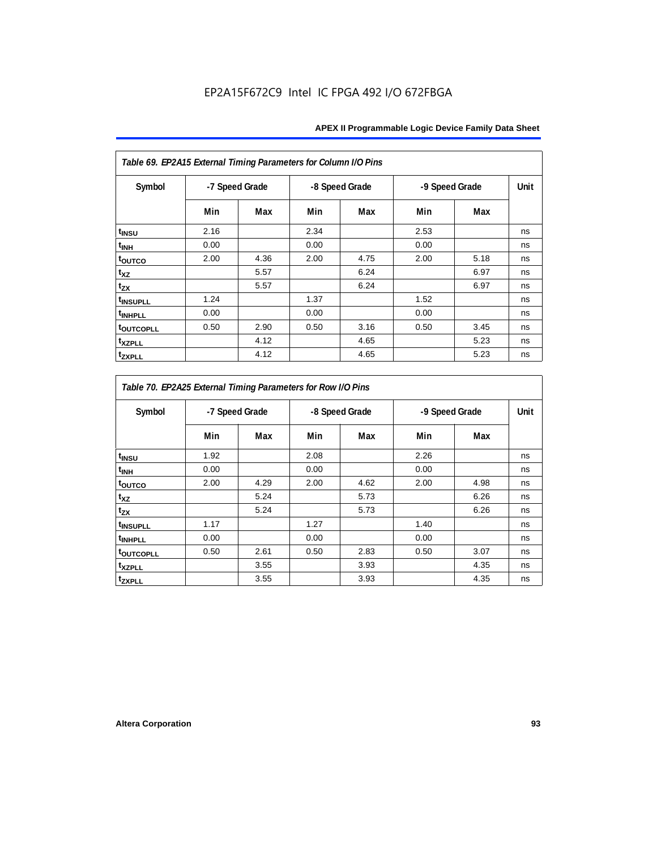| Table 69. EP2A15 External Timing Parameters for Column I/O Pins |                |      |      |                |                |      |      |  |
|-----------------------------------------------------------------|----------------|------|------|----------------|----------------|------|------|--|
| Symbol                                                          | -7 Speed Grade |      |      | -8 Speed Grade | -9 Speed Grade |      | Unit |  |
|                                                                 | Min            | Max  | Min  | Max            | Min            | Max  |      |  |
| t <sub>INSU</sub>                                               | 2.16           |      | 2.34 |                | 2.53           |      | ns   |  |
| $t_{\rm INH}$                                                   | 0.00           |      | 0.00 |                | 0.00           |      | ns   |  |
| toutco                                                          | 2.00           | 4.36 | 2.00 | 4.75           | 2.00           | 5.18 | ns   |  |
| t <sub>XZ</sub>                                                 |                | 5.57 |      | 6.24           |                | 6.97 | ns   |  |
| $t_{ZX}$                                                        |                | 5.57 |      | 6.24           |                | 6.97 | ns   |  |
| <sup>t</sup> INSUPLL                                            | 1.24           |      | 1.37 |                | 1.52           |      | ns   |  |
| <sup>t</sup> INHPLL                                             | 0.00           |      | 0.00 |                | 0.00           |      | ns   |  |
| <b>toutcopll</b>                                                | 0.50           | 2.90 | 0.50 | 3.16           | 0.50           | 3.45 | ns   |  |
| t <sub>XZPLL</sub>                                              |                | 4.12 |      | 4.65           |                | 5.23 | ns   |  |
| <sup>t</sup> zxpll                                              |                | 4.12 |      | 4.65           |                | 5.23 | ns   |  |

| Table 70. EP2A25 External Timing Parameters for Row I/O Pins |                |      |      |                |      |                |      |  |
|--------------------------------------------------------------|----------------|------|------|----------------|------|----------------|------|--|
| Symbol                                                       | -7 Speed Grade |      |      | -8 Speed Grade |      | -9 Speed Grade | Unit |  |
|                                                              | Min            | Max  | Min  | Max            | Min  | Max            |      |  |
| t <sub>INSU</sub>                                            | 1.92           |      | 2.08 |                | 2.26 |                | ns   |  |
| <sup>t</sup> INH                                             | 0.00           |      | 0.00 |                | 0.00 |                | ns   |  |
| toutco                                                       | 2.00           | 4.29 | 2.00 | 4.62           | 2.00 | 4.98           | ns   |  |
| t <sub>XZ</sub>                                              |                | 5.24 |      | 5.73           |      | 6.26           | ns   |  |
| $t_{ZX}$                                                     |                | 5.24 |      | 5.73           |      | 6.26           | ns   |  |
| <sup>t</sup> INSUPLL                                         | 1.17           |      | 1.27 |                | 1.40 |                | ns   |  |
| <sup>t</sup> INHPLL                                          | 0.00           |      | 0.00 |                | 0.00 |                | ns   |  |
| t <sub>outcopll</sub>                                        | 0.50           | 2.61 | 0.50 | 2.83           | 0.50 | 3.07           | ns   |  |
| <sup>t</sup> xzpll                                           |                | 3.55 |      | 3.93           |      | 4.35           | ns   |  |
| tzxpll                                                       |                | 3.55 |      | 3.93           |      | 4.35           | ns   |  |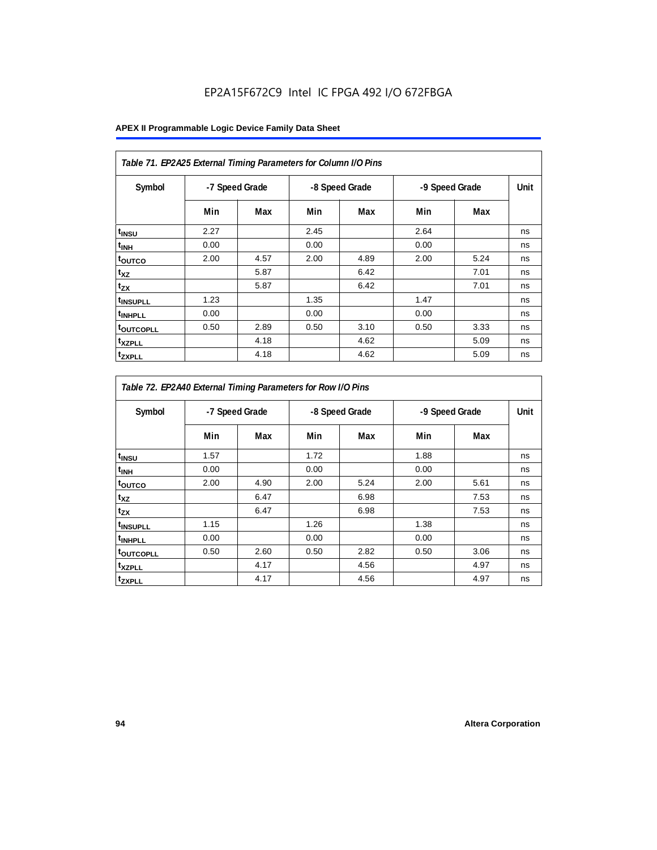| Table 71. EP2A25 External Timing Parameters for Column I/O Pins |                |      |      |                |      |                |    |
|-----------------------------------------------------------------|----------------|------|------|----------------|------|----------------|----|
| Symbol                                                          | -7 Speed Grade |      |      | -8 Speed Grade |      | -9 Speed Grade |    |
|                                                                 | Min            | Max  | Min  | Max            | Min  | Max            |    |
| t <sub>INSU</sub>                                               | 2.27           |      | 2.45 |                | 2.64 |                | ns |
| t <sub>INH</sub>                                                | 0.00           |      | 0.00 |                | 0.00 |                | ns |
| toutco                                                          | 2.00           | 4.57 | 2.00 | 4.89           | 2.00 | 5.24           | ns |
| $t_{XZ}$                                                        |                | 5.87 |      | 6.42           |      | 7.01           | ns |
| $t_{ZX}$                                                        |                | 5.87 |      | 6.42           |      | 7.01           | ns |
| t <sub>INSUPLL</sub>                                            | 1.23           |      | 1.35 |                | 1.47 |                | ns |
| <sup>t</sup> INHPLL                                             | 0.00           |      | 0.00 |                | 0.00 |                | ns |
| <b>toutcopll</b>                                                | 0.50           | 2.89 | 0.50 | 3.10           | 0.50 | 3.33           | ns |
| <sup>t</sup> xzpll                                              |                | 4.18 |      | 4.62           |      | 5.09           | ns |
| <sup>t</sup> zxpll                                              |                | 4.18 |      | 4.62           |      | 5.09           | ns |

| Table 72. EP2A40 External Timing Parameters for Row I/O Pins |                |      |      |                |      |                |    |  |
|--------------------------------------------------------------|----------------|------|------|----------------|------|----------------|----|--|
| Symbol                                                       | -7 Speed Grade |      |      | -8 Speed Grade |      | -9 Speed Grade |    |  |
|                                                              | Min            | Max  | Min  | Max            | Min  | Max            |    |  |
| $t_{INSU}$                                                   | 1.57           |      | 1.72 |                | 1.88 |                | ns |  |
| $t_{\mathsf{INH}}$                                           | 0.00           |      | 0.00 |                | 0.00 |                | ns |  |
| toutco                                                       | 2.00           | 4.90 | 2.00 | 5.24           | 2.00 | 5.61           | ns |  |
| $t_{XZ}$                                                     |                | 6.47 |      | 6.98           |      | 7.53           | ns |  |
| tzx                                                          |                | 6.47 |      | 6.98           |      | 7.53           | ns |  |
| t <sub>INSUPLL</sub>                                         | 1.15           |      | 1.26 |                | 1.38 |                | ns |  |
| t <sub>INHPLL</sub>                                          | 0.00           |      | 0.00 |                | 0.00 |                | ns |  |
| toutcopll                                                    | 0.50           | 2.60 | 0.50 | 2.82           | 0.50 | 3.06           | ns |  |
| t <sub>XZPLL</sub>                                           |                | 4.17 |      | 4.56           |      | 4.97           | ns |  |
| tzxpLL                                                       |                | 4.17 |      | 4.56           |      | 4.97           | ns |  |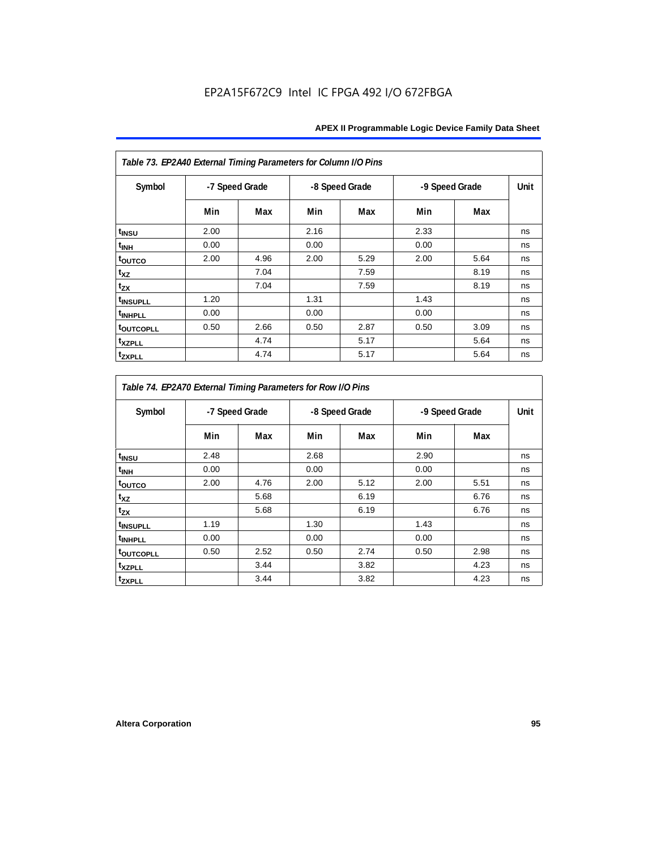| Table 73. EP2A40 External Timing Parameters for Column I/O Pins |                |      |      |                |                |      |      |  |
|-----------------------------------------------------------------|----------------|------|------|----------------|----------------|------|------|--|
| Symbol                                                          | -7 Speed Grade |      |      | -8 Speed Grade | -9 Speed Grade |      | Unit |  |
|                                                                 | Min            | Max  | Min  | Max            | Min            | Max  |      |  |
| t <sub>INSU</sub>                                               | 2.00           |      | 2.16 |                | 2.33           |      | ns   |  |
| $t_{\rm INH}$                                                   | 0.00           |      | 0.00 |                | 0.00           |      | ns   |  |
| toutco                                                          | 2.00           | 4.96 | 2.00 | 5.29           | 2.00           | 5.64 | ns   |  |
| t <sub>XZ</sub>                                                 |                | 7.04 |      | 7.59           |                | 8.19 | ns   |  |
| $t_{ZX}$                                                        |                | 7.04 |      | 7.59           |                | 8.19 | ns   |  |
| <sup>t</sup> INSUPLL                                            | 1.20           |      | 1.31 |                | 1.43           |      | ns   |  |
| <sup>t</sup> INHPLL                                             | 0.00           |      | 0.00 |                | 0.00           |      | ns   |  |
| <b>toutcopll</b>                                                | 0.50           | 2.66 | 0.50 | 2.87           | 0.50           | 3.09 | ns   |  |
| t <sub>XZPLL</sub>                                              |                | 4.74 |      | 5.17           |                | 5.64 | ns   |  |
| <sup>t</sup> zxpll                                              |                | 4.74 |      | 5.17           |                | 5.64 | ns   |  |

| Table 74. EP2A70 External Timing Parameters for Row I/O Pins |                |      |      |                |                |      |      |  |
|--------------------------------------------------------------|----------------|------|------|----------------|----------------|------|------|--|
| Symbol                                                       | -7 Speed Grade |      |      | -8 Speed Grade | -9 Speed Grade |      | Unit |  |
|                                                              | Min            | Max  | Min  | Max            | Min            | Max  |      |  |
| t <sub>INSU</sub>                                            | 2.48           |      | 2.68 |                | 2.90           |      | ns   |  |
| <sup>t</sup> INH                                             | 0.00           |      | 0.00 |                | 0.00           |      | ns   |  |
| toutco                                                       | 2.00           | 4.76 | 2.00 | 5.12           | 2.00           | 5.51 | ns   |  |
| t <sub>XZ</sub>                                              |                | 5.68 |      | 6.19           |                | 6.76 | ns   |  |
| t <sub>zx</sub>                                              |                | 5.68 |      | 6.19           |                | 6.76 | ns   |  |
| <sup>t</sup> INSUPLL                                         | 1.19           |      | 1.30 |                | 1.43           |      | ns   |  |
| <sup>t</sup> INHPLL                                          | 0.00           |      | 0.00 |                | 0.00           |      | ns   |  |
| <b>toutcopll</b>                                             | 0.50           | 2.52 | 0.50 | 2.74           | 0.50           | 2.98 | ns   |  |
| <sup>t</sup> xzpll                                           |                | 3.44 |      | 3.82           |                | 4.23 | ns   |  |
| tzxpll                                                       |                | 3.44 |      | 3.82           |                | 4.23 | ns   |  |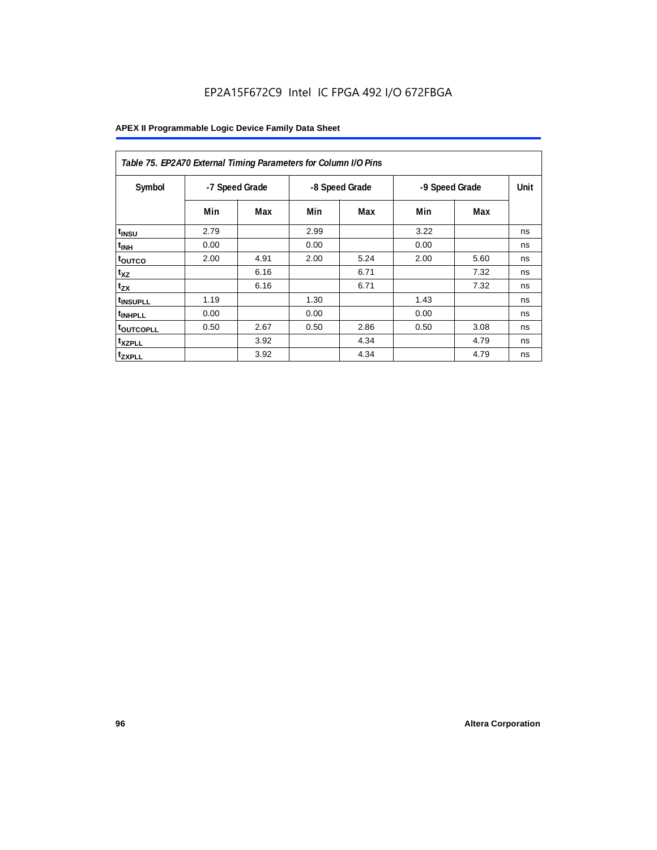| Table 75. EP2A70 External Timing Parameters for Column I/O Pins |                |      |      |                |                |             |    |  |
|-----------------------------------------------------------------|----------------|------|------|----------------|----------------|-------------|----|--|
| Symbol                                                          | -7 Speed Grade |      |      | -8 Speed Grade | -9 Speed Grade | <b>Unit</b> |    |  |
|                                                                 | Min            | Max  | Min  | Max            | Min            | Max         |    |  |
| t <sub>INSU</sub>                                               | 2.79           |      | 2.99 |                | 3.22           |             | ns |  |
| $t_{\text{INH}}$                                                | 0.00           |      | 0.00 |                | 0.00           |             | ns |  |
| toutco                                                          | 2.00           | 4.91 | 2.00 | 5.24           | 2.00           | 5.60        | ns |  |
| t <sub>XZ</sub>                                                 |                | 6.16 |      | 6.71           |                | 7.32        | ns |  |
| $t_{ZX}$                                                        |                | 6.16 |      | 6.71           |                | 7.32        | ns |  |
| <sup>t</sup> INSUPLL                                            | 1.19           |      | 1.30 |                | 1.43           |             | ns |  |
| <sup>t</sup> INHPLL                                             | 0.00           |      | 0.00 |                | 0.00           |             | ns |  |
| <b>toutcopll</b>                                                | 0.50           | 2.67 | 0.50 | 2.86           | 0.50           | 3.08        | ns |  |
| <sup>t</sup> xzpll                                              |                | 3.92 |      | 4.34           |                | 4.79        | ns |  |
| <sup>t</sup> zxpll                                              |                | 3.92 |      | 4.34           |                | 4.79        | ns |  |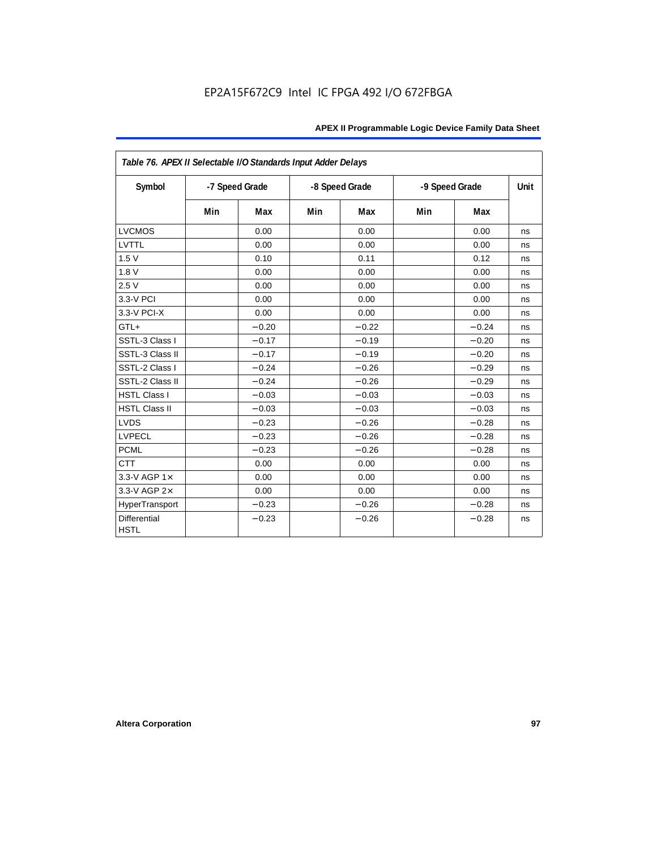| Table 76. APEX II Selectable I/O Standards Input Adder Delays |     |                |     |                |                |         |      |
|---------------------------------------------------------------|-----|----------------|-----|----------------|----------------|---------|------|
| Symbol                                                        |     | -7 Speed Grade |     | -8 Speed Grade | -9 Speed Grade |         | Unit |
|                                                               | Min | Max            | Min | Max            | Min            | Max     |      |
| <b>LVCMOS</b>                                                 |     | 0.00           |     | 0.00           |                | 0.00    | ns   |
| LVTTL                                                         |     | 0.00           |     | 0.00           |                | 0.00    | ns   |
| 1.5V                                                          |     | 0.10           |     | 0.11           |                | 0.12    | ns   |
| 1.8V                                                          |     | 0.00           |     | 0.00           |                | 0.00    | ns   |
| 2.5V                                                          |     | 0.00           |     | 0.00           |                | 0.00    | ns   |
| 3.3-V PCI                                                     |     | 0.00           |     | 0.00           |                | 0.00    | ns   |
| 3.3-V PCI-X                                                   |     | 0.00           |     | 0.00           |                | 0.00    | ns   |
| GTL+                                                          |     | $-0.20$        |     | $-0.22$        |                | $-0.24$ | ns   |
| SSTL-3 Class I                                                |     | $-0.17$        |     | $-0.19$        |                | $-0.20$ | ns   |
| SSTL-3 Class II                                               |     | $-0.17$        |     | $-0.19$        |                | $-0.20$ | ns   |
| SSTL-2 Class I                                                |     | $-0.24$        |     | $-0.26$        |                | $-0.29$ | ns   |
| SSTL-2 Class II                                               |     | $-0.24$        |     | $-0.26$        |                | $-0.29$ | ns   |
| <b>HSTL Class I</b>                                           |     | $-0.03$        |     | $-0.03$        |                | $-0.03$ | ns   |
| <b>HSTL Class II</b>                                          |     | $-0.03$        |     | $-0.03$        |                | $-0.03$ | ns   |
| <b>LVDS</b>                                                   |     | $-0.23$        |     | $-0.26$        |                | $-0.28$ | ns   |
| <b>LVPECL</b>                                                 |     | $-0.23$        |     | $-0.26$        |                | $-0.28$ | ns   |
| <b>PCML</b>                                                   |     | $-0.23$        |     | $-0.26$        |                | $-0.28$ | ns   |
| <b>CTT</b>                                                    |     | 0.00           |     | 0.00           |                | 0.00    | ns   |
| 3.3-V AGP $1\times$                                           |     | 0.00           |     | 0.00           |                | 0.00    | ns   |
| 3.3-V AGP 2×                                                  |     | 0.00           |     | 0.00           |                | 0.00    | ns   |
| HyperTransport                                                |     | $-0.23$        |     | $-0.26$        |                | $-0.28$ | ns   |
| <b>Differential</b><br><b>HSTL</b>                            |     | $-0.23$        |     | $-0.26$        |                | $-0.28$ | ns   |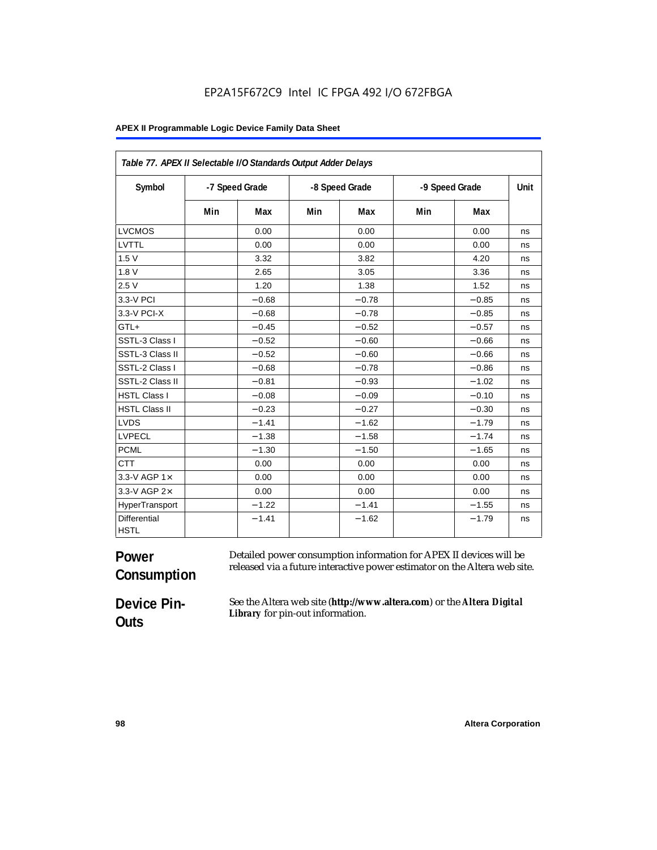#### **APEX II Programmable Logic Device Family Data Sheet**

| Table 77. APEX II Selectable I/O Standards Output Adder Delays |     |                |     |                |     |                |    |
|----------------------------------------------------------------|-----|----------------|-----|----------------|-----|----------------|----|
| Symbol                                                         |     | -7 Speed Grade |     | -8 Speed Grade |     | -9 Speed Grade |    |
|                                                                | Min | Max            | Min | Max            | Min | Max            |    |
| <b>LVCMOS</b>                                                  |     | 0.00           |     | 0.00           |     | 0.00           | ns |
| LVTTL                                                          |     | 0.00           |     | 0.00           |     | 0.00           | ns |
| 1.5V                                                           |     | 3.32           |     | 3.82           |     | 4.20           | ns |
| 1.8V                                                           |     | 2.65           |     | 3.05           |     | 3.36           | ns |
| 2.5V                                                           |     | 1.20           |     | 1.38           |     | 1.52           | ns |
| 3.3-V PCI                                                      |     | $-0.68$        |     | $-0.78$        |     | $-0.85$        | ns |
| 3.3-V PCI-X                                                    |     | $-0.68$        |     | $-0.78$        |     | $-0.85$        | ns |
| GTL+                                                           |     | $-0.45$        |     | $-0.52$        |     | $-0.57$        | ns |
| SSTL-3 Class I                                                 |     | $-0.52$        |     | $-0.60$        |     | $-0.66$        | ns |
| SSTL-3 Class II                                                |     | $-0.52$        |     | $-0.60$        |     | $-0.66$        | ns |
| SSTL-2 Class I                                                 |     | $-0.68$        |     | $-0.78$        |     | $-0.86$        | ns |
| SSTL-2 Class II                                                |     | $-0.81$        |     | $-0.93$        |     | $-1.02$        | ns |
| <b>HSTL Class I</b>                                            |     | $-0.08$        |     | $-0.09$        |     | $-0.10$        | ns |
| <b>HSTL Class II</b>                                           |     | $-0.23$        |     | $-0.27$        |     | $-0.30$        | ns |
| <b>LVDS</b>                                                    |     | $-1.41$        |     | $-1.62$        |     | $-1.79$        | ns |
| <b>LVPECL</b>                                                  |     | $-1.38$        |     | $-1.58$        |     | $-1.74$        | ns |
| <b>PCML</b>                                                    |     | $-1.30$        |     | $-1.50$        |     | $-1.65$        | ns |
| <b>CTT</b>                                                     |     | 0.00           |     | 0.00           |     | 0.00           | ns |
| 3.3-V AGP 1×                                                   |     | 0.00           |     | 0.00           |     | 0.00           | ns |
| 3.3-V AGP 2×                                                   |     | 0.00           |     | 0.00           |     | 0.00           | ns |
| HyperTransport                                                 |     | $-1.22$        |     | $-1.41$        |     | $-1.55$        | ns |
| Differential<br><b>HSTL</b>                                    |     | $-1.41$        |     | $-1.62$        |     | $-1.79$        | ns |

#### **Power Consumption** Detailed power consumption information for APEX II devices will be released via a future interactive power estimator on the Altera web site.

**Device Pin-Outs**

See the Altera web site (**http://www.altera.com**) or the *Altera Digital Library* for pin-out information.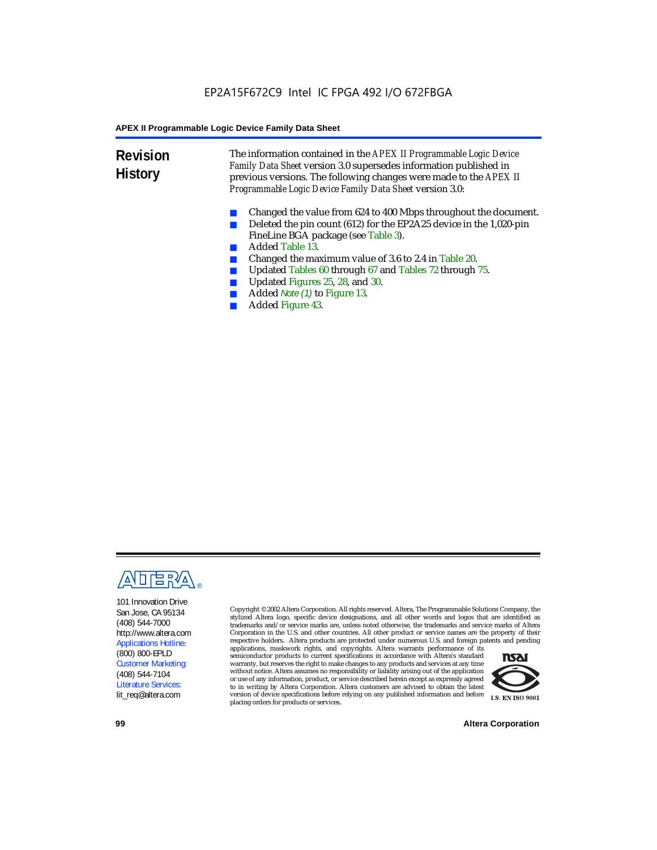**Revision History** The information contained in the *APEX II Programmable Logic Device Family Data Sheet* version 3.0 supersedes information published in previous versions. The following changes were made to the *APEX II Programmable Logic Device Family Data Sheet* version 3.0:

- Changed the value from 624 to 400 Mbps throughout the document.
- Deleted the pin count (612) for the EP2A25 device in the 1,020-pin FineLine BGA package (see Table 3).
- Added Table 13.
- Changed the maximum value of 3.6 to 2.4 in Table 20.
- Updated Tables 60 through 67 and Tables 72 through 75.<br>■ Updated Figures 25, 28, and 30
- Updated Figures 25, 28, and 30.
- Added *Note (1)* to Figure 13.
- Added Figure 43.



101 Innovation Drive San Jose, CA 95134 (408) 544-7000 http://www.altera.com Applications Hotline: (800) 800-EPLD Customer Marketing: (408) 544-7104 Literature Services: lit\_req@altera.com

Copyright © 2002 Altera Corporation. All rights reserved. Altera, The Programmable Solutions Company, the stylized Altera logo, specific device designations, and all other words and logos that are identified as trademarks and/or service marks are, unless noted otherwise, the trademarks and service marks of Altera Corporation in the U.S. and other countries. All other product or service names are the property of their respective holders. Altera products are protected under numerous U.S. and foreign patents and pending

applications, maskwork rights, and copyrights. Altera warrants performance of its semiconductor products to current specifications in accordance with Altera's standard warranty, but reserves the right to make changes to any products and services at any time without notice. Altera assumes no responsibility or liability arising out of the application or use of any information, product, or service described herein except as expressly agreed to in writing by Altera Corporation. Altera customers are advised to obtain the latest version of device specifications before relying on any published information and before placing orders for products or services.



**99 Altera Corporation**